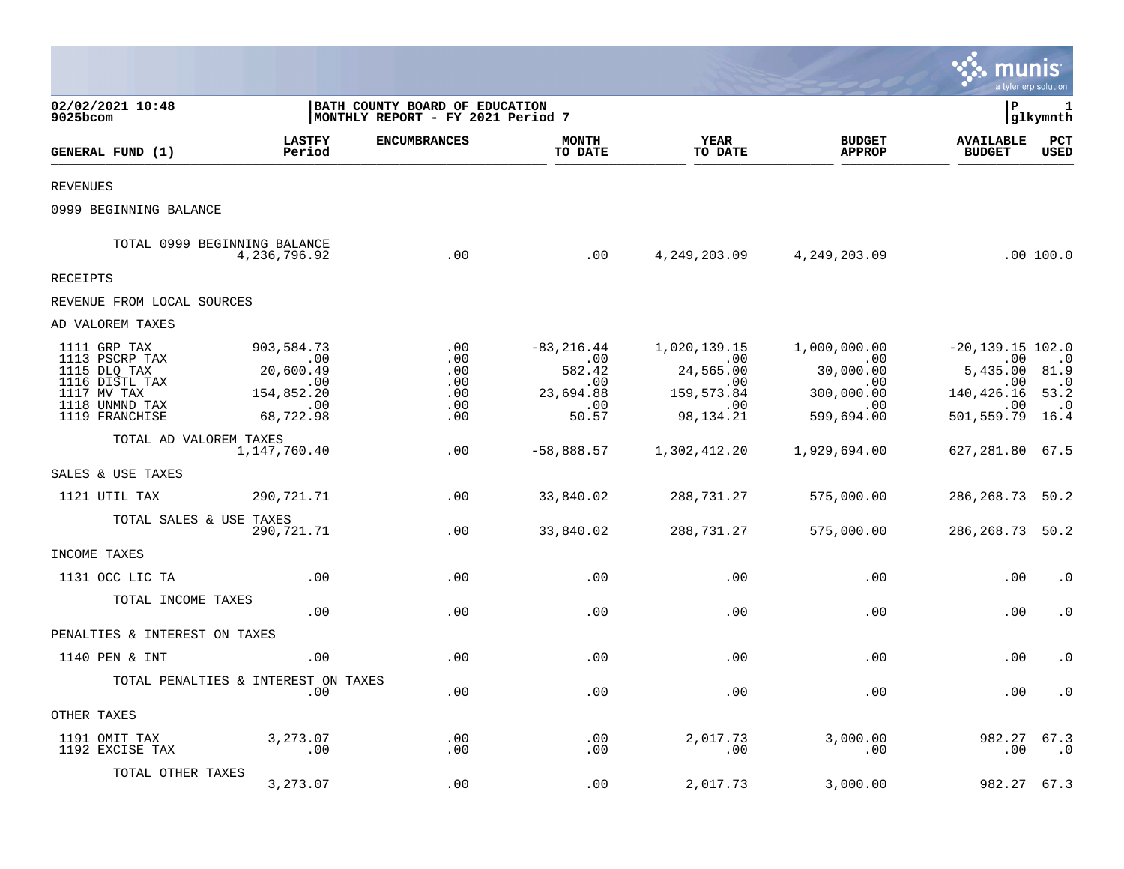|                                                                                                                     |                                                                                                 |                                                                     |                                                                         |                                                                                             |                                                                                              | munis                                                                                                                       | a tyler erp solution                |
|---------------------------------------------------------------------------------------------------------------------|-------------------------------------------------------------------------------------------------|---------------------------------------------------------------------|-------------------------------------------------------------------------|---------------------------------------------------------------------------------------------|----------------------------------------------------------------------------------------------|-----------------------------------------------------------------------------------------------------------------------------|-------------------------------------|
| 02/02/2021 10:48<br>9025bcom                                                                                        |                                                                                                 | BATH COUNTY BOARD OF EDUCATION<br>MONTHLY REPORT - FY 2021 Period 7 |                                                                         |                                                                                             |                                                                                              | l P                                                                                                                         | 1<br> glkymnth                      |
| GENERAL FUND (1)                                                                                                    | <b>LASTFY</b><br>Period                                                                         | <b>ENCUMBRANCES</b>                                                 | <b>MONTH</b><br>TO DATE                                                 | YEAR<br>TO DATE                                                                             | <b>BUDGET</b><br><b>APPROP</b>                                                               | <b>AVAILABLE</b><br><b>BUDGET</b>                                                                                           | $_{\rm PCT}$<br><b>USED</b>         |
| <b>REVENUES</b>                                                                                                     |                                                                                                 |                                                                     |                                                                         |                                                                                             |                                                                                              |                                                                                                                             |                                     |
| 0999 BEGINNING BALANCE                                                                                              |                                                                                                 |                                                                     |                                                                         |                                                                                             |                                                                                              |                                                                                                                             |                                     |
|                                                                                                                     | TOTAL 0999 BEGINNING BALANCE<br>4,236,796.92                                                    | .00                                                                 | .00                                                                     |                                                                                             | 4,249,203.09  4,249,203.09                                                                   |                                                                                                                             | .00100.0                            |
| <b>RECEIPTS</b>                                                                                                     |                                                                                                 |                                                                     |                                                                         |                                                                                             |                                                                                              |                                                                                                                             |                                     |
| REVENUE FROM LOCAL SOURCES                                                                                          |                                                                                                 |                                                                     |                                                                         |                                                                                             |                                                                                              |                                                                                                                             |                                     |
| AD VALOREM TAXES                                                                                                    |                                                                                                 |                                                                     |                                                                         |                                                                                             |                                                                                              |                                                                                                                             |                                     |
| 1111 GRP TAX<br>1113 PSCRP TAX<br>1115 DLQ TAX<br>1116 DISTL TAX<br>1117 MV TAX<br>1118 UNMND TAX<br>1119 FRANCHISE | 903,584.73<br>$\sim 00$<br>20,600.49<br>$\sim$ 00<br>154,852.20<br>$\overline{00}$<br>68,722.98 | .00<br>.00<br>$.00 \ \,$<br>.00<br>.00<br>.00<br>.00                | $-83, 216.44$<br>.00<br>582.42<br>.00<br>23,694.88<br>$\,$ .00<br>50.57 | 1,020,139.15<br>$\sim$ 00<br>24,565.00<br>$\sim$ 00<br>159,573.84<br>$\sim 00$<br>98,134.21 | 1,000,000.00<br>$\sim 00$<br>30,000.00<br>$\sim 00$<br>300,000.00<br>$\sim 00$<br>599,694.00 | $-20, 139.15$ 102.0<br>.00<br>5,435.00 81.9<br>.00<br>140, 426. 16 53. 2<br>$\overline{\phantom{0}}$ .00<br>501,559.79 16.4 | $\cdot$ 0<br>$\cdot$ 0<br>$\cdot$ 0 |
| TOTAL AD VALOREM TAXES                                                                                              | 1,147,760.40                                                                                    | .00                                                                 | $-58,888.57$                                                            | 1,302,412.20                                                                                | 1,929,694.00                                                                                 | 627,281.80 67.5                                                                                                             |                                     |
| SALES & USE TAXES                                                                                                   |                                                                                                 |                                                                     |                                                                         |                                                                                             |                                                                                              |                                                                                                                             |                                     |
| 1121 UTIL TAX                                                                                                       | 290,721.71                                                                                      | .00                                                                 | 33,840.02                                                               | 288,731.27                                                                                  | 575,000.00                                                                                   | 286, 268. 73 50. 2                                                                                                          |                                     |
| TOTAL SALES & USE TAXES                                                                                             | 290,721.71                                                                                      | .00                                                                 | 33,840.02                                                               | 288,731.27                                                                                  | 575,000.00                                                                                   | 286, 268. 73 50. 2                                                                                                          |                                     |
| INCOME TAXES                                                                                                        |                                                                                                 |                                                                     |                                                                         |                                                                                             |                                                                                              |                                                                                                                             |                                     |
| 1131 OCC LIC TA                                                                                                     | .00                                                                                             | .00                                                                 | .00                                                                     | .00                                                                                         | .00                                                                                          | .00                                                                                                                         | $\cdot$ 0                           |
| TOTAL INCOME TAXES                                                                                                  | .00                                                                                             | $.00 \ \,$                                                          | .00                                                                     | $.00 \,$                                                                                    | .00                                                                                          | .00                                                                                                                         | $\cdot$ 0                           |
| PENALTIES & INTEREST ON TAXES                                                                                       |                                                                                                 |                                                                     |                                                                         |                                                                                             |                                                                                              |                                                                                                                             |                                     |
| 1140 PEN & INT                                                                                                      | .00                                                                                             | .00                                                                 | .00                                                                     | .00                                                                                         | .00                                                                                          | .00                                                                                                                         | $\cdot$ 0                           |
|                                                                                                                     | TOTAL PENALTIES & INTEREST ON TAXES<br>.00                                                      | .00                                                                 | .00                                                                     | .00                                                                                         | .00                                                                                          | .00                                                                                                                         | $\cdot$ 0                           |
| OTHER TAXES                                                                                                         |                                                                                                 |                                                                     |                                                                         |                                                                                             |                                                                                              |                                                                                                                             |                                     |
| 1191 OMIT TAX<br>1192 EXCISE TAX                                                                                    | 3,273.07<br>.00                                                                                 | .00<br>$.00 \,$                                                     | .00<br>.00                                                              | 2,017.73<br>$.00 \,$                                                                        | 3,000.00<br>.00                                                                              | 982.27<br>.00                                                                                                               | 67.3<br>$\ldots 0$                  |
| TOTAL OTHER TAXES                                                                                                   | 3,273.07                                                                                        | .00                                                                 | .00                                                                     | 2,017.73                                                                                    | 3,000.00                                                                                     | 982.27                                                                                                                      | 67.3                                |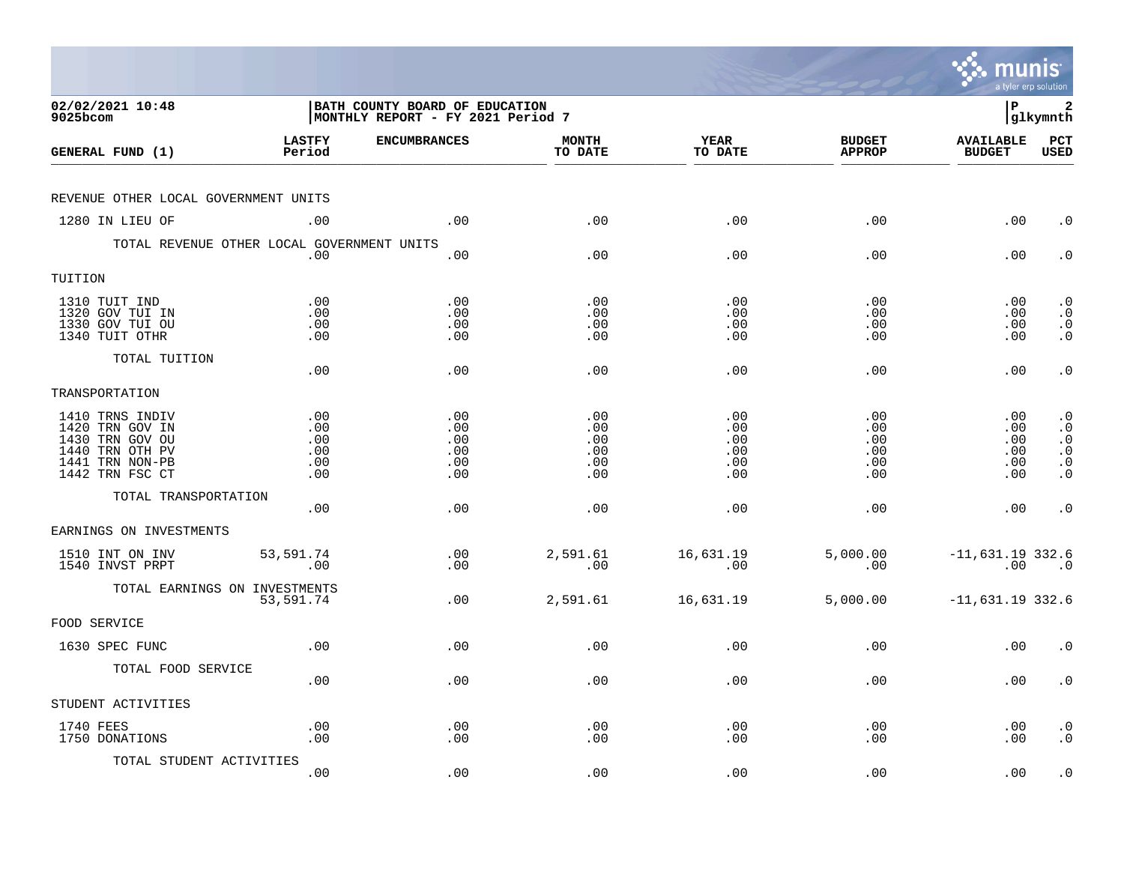|                                                                                                                |                                        |                                                                      |                                        |                                        |                                        | munis<br>a tyler erp solution          |                                                                            |
|----------------------------------------------------------------------------------------------------------------|----------------------------------------|----------------------------------------------------------------------|----------------------------------------|----------------------------------------|----------------------------------------|----------------------------------------|----------------------------------------------------------------------------|
| 02/02/2021 10:48<br>9025bcom                                                                                   |                                        | BATH COUNTY BOARD OF EDUCATION<br> MONTHLY REPORT - FY 2021 Period 7 |                                        |                                        |                                        | l P                                    | 2<br> glkymnth                                                             |
| GENERAL FUND (1)                                                                                               | <b>LASTFY</b><br>Period                | <b>ENCUMBRANCES</b>                                                  | <b>MONTH</b><br>TO DATE                | <b>YEAR</b><br>TO DATE                 | <b>BUDGET</b><br><b>APPROP</b>         | <b>AVAILABLE</b><br><b>BUDGET</b>      | PCT<br><b>USED</b>                                                         |
| REVENUE OTHER LOCAL GOVERNMENT UNITS                                                                           |                                        |                                                                      |                                        |                                        |                                        |                                        |                                                                            |
| 1280 IN LIEU OF                                                                                                | .00                                    | .00                                                                  | .00                                    | .00                                    | .00                                    | .00                                    | $\cdot$ 0                                                                  |
| TOTAL REVENUE OTHER LOCAL GOVERNMENT UNITS                                                                     | .00                                    | .00                                                                  | .00                                    | .00                                    | .00                                    | .00                                    | $\cdot$ 0                                                                  |
| TUITION                                                                                                        |                                        |                                                                      |                                        |                                        |                                        |                                        |                                                                            |
| 1310 TUIT IND<br>1320 GOV TUI IN<br>1330 GOV TUI OU<br>1340 TUIT OTHR                                          | .00<br>.00<br>.00<br>.00               | .00<br>.00<br>.00<br>.00                                             | .00<br>.00<br>.00<br>.00               | .00<br>.00<br>.00<br>.00               | .00<br>.00<br>.00<br>.00               | .00<br>.00<br>.00<br>.00               | $\cdot$ 0<br>$\cdot$ 0<br>$\cdot$ 0<br>$\cdot$ 0                           |
| TOTAL TUITION                                                                                                  | .00                                    | .00                                                                  | .00                                    | .00                                    | .00                                    | .00                                    | $\cdot$ 0                                                                  |
| TRANSPORTATION                                                                                                 |                                        |                                                                      |                                        |                                        |                                        |                                        |                                                                            |
| 1410 TRNS INDIV<br>1420 TRN GOV IN<br>1430 TRN GOV OU<br>1440 TRN OTH PV<br>1441 TRN NON-PB<br>1442 TRN FSC CT | .00<br>.00<br>.00<br>.00<br>.00<br>.00 | .00<br>.00<br>.00<br>.00<br>.00<br>.00                               | .00<br>.00<br>.00<br>.00<br>.00<br>.00 | .00<br>.00<br>.00<br>.00<br>.00<br>.00 | .00<br>.00<br>.00<br>.00<br>.00<br>.00 | .00<br>.00<br>.00<br>.00<br>.00<br>.00 | $\cdot$ 0<br>$\cdot$ 0<br>$\cdot$ 0<br>$\cdot$ 0<br>$\cdot$ 0<br>$\cdot$ 0 |
| TOTAL TRANSPORTATION                                                                                           | .00                                    | .00                                                                  | .00                                    | .00                                    | .00                                    | .00                                    | $\cdot$ 0                                                                  |
| EARNINGS ON INVESTMENTS                                                                                        |                                        |                                                                      |                                        |                                        |                                        |                                        |                                                                            |
| 1510 INT ON INV<br>1540 INVST PRPT                                                                             | 53,591.74<br>.00                       | .00<br>.00                                                           | 2,591.61<br>.00                        | 16,631.19<br>.00                       | 5,000.00<br>.00                        | $-11,631.19$ 332.6<br>.00              | $\overline{\phantom{0}}$ .0                                                |
| TOTAL EARNINGS ON INVESTMENTS                                                                                  | 53,591.74                              | .00                                                                  | 2,591.61                               | 16,631.19                              | 5,000.00                               | $-11,631.19$ 332.6                     |                                                                            |
| FOOD SERVICE                                                                                                   |                                        |                                                                      |                                        |                                        |                                        |                                        |                                                                            |
| 1630 SPEC FUNC                                                                                                 | .00                                    | .00                                                                  | .00                                    | .00                                    | .00                                    | .00                                    | $\cdot$ 0                                                                  |
| TOTAL FOOD SERVICE                                                                                             | .00                                    | .00                                                                  | .00                                    | .00                                    | .00                                    | .00                                    | $\cdot$ 0                                                                  |
| STUDENT ACTIVITIES                                                                                             |                                        |                                                                      |                                        |                                        |                                        |                                        |                                                                            |
| 1740 FEES<br>1750 DONATIONS                                                                                    | .00<br>.00                             | .00<br>.00                                                           | .00<br>.00                             | .00<br>.00                             | .00<br>.00                             | .00<br>.00                             | $\cdot$ 0<br>$\cdot$ 0                                                     |
| TOTAL STUDENT ACTIVITIES                                                                                       | .00                                    | .00                                                                  | .00                                    | .00                                    | .00                                    | .00                                    | $\cdot$ 0                                                                  |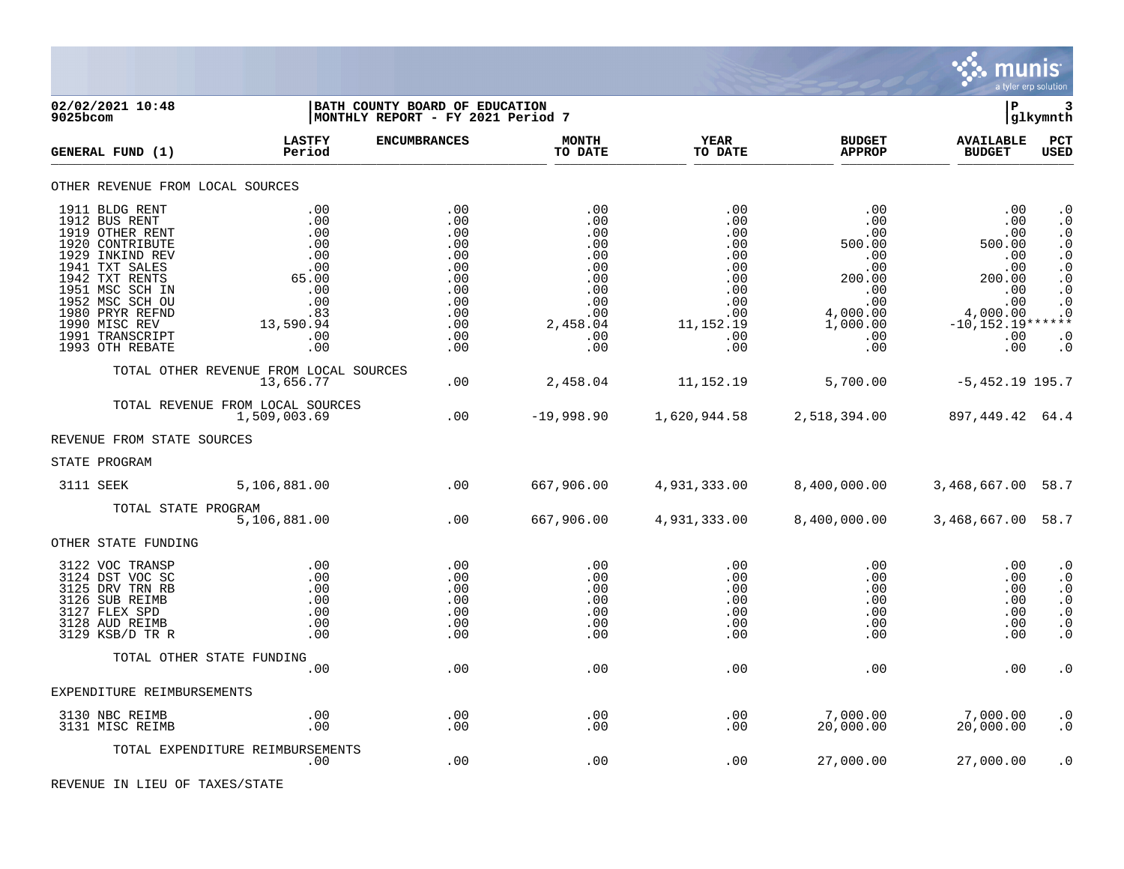

| 9025bcom | 02/02/2021 10:48                                                                                                                                                                                                                             |                                                                                                 | BATH COUNTY BOARD OF EDUCATION<br>MONTHLY REPORT - FY 2021 Period 7                     |                                                                                              |                                                                                               |                                                                                                                                     | P                                                                                                               | 3<br> glkymnth                                                                                                                         |
|----------|----------------------------------------------------------------------------------------------------------------------------------------------------------------------------------------------------------------------------------------------|-------------------------------------------------------------------------------------------------|-----------------------------------------------------------------------------------------|----------------------------------------------------------------------------------------------|-----------------------------------------------------------------------------------------------|-------------------------------------------------------------------------------------------------------------------------------------|-----------------------------------------------------------------------------------------------------------------|----------------------------------------------------------------------------------------------------------------------------------------|
|          | GENERAL FUND (1)                                                                                                                                                                                                                             | <b>LASTFY</b><br>Period                                                                         | <b>ENCUMBRANCES</b>                                                                     | <b>MONTH</b><br>TO DATE                                                                      | <b>YEAR</b><br>TO DATE                                                                        | <b>BUDGET</b><br><b>APPROP</b>                                                                                                      | <b>AVAILABLE</b><br><b>BUDGET</b>                                                                               | <b>PCT</b><br><b>USED</b>                                                                                                              |
|          | OTHER REVENUE FROM LOCAL SOURCES                                                                                                                                                                                                             |                                                                                                 |                                                                                         |                                                                                              |                                                                                               |                                                                                                                                     |                                                                                                                 |                                                                                                                                        |
|          | 1911 BLDG RENT<br>1912 BUS RENT<br>1919 OTHER RENT<br>1920 CONTRIBUTE<br>1929 INKIND REV<br>1941 TXT SALES<br>1942 TXT RENTS<br>1951 MSC SCH IN<br>1952 MSC SCH OU<br>1980 PRYR REFND<br>1990 MISC REV<br>1991 TRANSCRIPT<br>1993 OTH REBATE | .00<br>.00<br>.00<br>.00<br>.00<br>.00<br>65.00<br>.00<br>.00<br>.83<br>13,590.94<br>.00<br>.00 | .00<br>.00<br>.00<br>.00<br>.00<br>.00<br>.00<br>.00<br>.00<br>.00<br>.00<br>.00<br>.00 | .00<br>.00<br>.00<br>.00<br>.00<br>.00<br>.00<br>.00<br>.00<br>.00<br>2,458.04<br>.00<br>.00 | .00<br>.00<br>.00<br>.00<br>.00<br>.00<br>.00<br>.00<br>.00<br>.00<br>11,152.19<br>.00<br>.00 | .00<br>$.00 \,$<br>.00<br>500.00<br>$.00 \,$<br>.00<br>200.00<br>$.00 \,$<br>.00<br>4,000.00<br>1,000.00<br>$.00 \,$<br>$.00 \ \rm$ | .00<br>.00<br>.00<br>500.00<br>.00<br>.00<br>200.00<br>.00<br>.00<br>4,000.00<br>$-10, 152.19***$<br>.00<br>.00 | $\cdot$ 0<br>$\cdot$ 0<br>$\cdot$ 0<br>$\cdot$ 0<br>$\cdot$ 0<br>$\cdot$ 0<br>$\cdot$ 0<br>$\cdot$ 0<br>$\cdot$ 0<br>. 0<br>. 0<br>. 0 |
|          |                                                                                                                                                                                                                                              | TOTAL OTHER REVENUE FROM LOCAL SOURCES<br>13,656.77                                             | .00                                                                                     | 2,458.04                                                                                     | 11,152.19                                                                                     | 5,700.00                                                                                                                            | $-5,452.19$ 195.7                                                                                               |                                                                                                                                        |
|          |                                                                                                                                                                                                                                              | TOTAL REVENUE FROM LOCAL SOURCES<br>1,509,003.69                                                | $.00 \,$                                                                                | $-19,998.90$                                                                                 | 1,620,944.58                                                                                  | 2,518,394.00                                                                                                                        | 897,449.42 64.4                                                                                                 |                                                                                                                                        |
|          | REVENUE FROM STATE SOURCES                                                                                                                                                                                                                   |                                                                                                 |                                                                                         |                                                                                              |                                                                                               |                                                                                                                                     |                                                                                                                 |                                                                                                                                        |
|          | STATE PROGRAM                                                                                                                                                                                                                                |                                                                                                 |                                                                                         |                                                                                              |                                                                                               |                                                                                                                                     |                                                                                                                 |                                                                                                                                        |
|          | 3111 SEEK                                                                                                                                                                                                                                    | 5,106,881.00                                                                                    | .00                                                                                     | 667,906.00                                                                                   | 4,931,333.00                                                                                  | 8,400,000.00                                                                                                                        | 3,468,667.00 58.7                                                                                               |                                                                                                                                        |
|          | TOTAL STATE PROGRAM                                                                                                                                                                                                                          | 5,106,881.00                                                                                    | .00                                                                                     | 667,906.00                                                                                   | 4,931,333.00                                                                                  | 8,400,000.00                                                                                                                        | 3,468,667.00 58.7                                                                                               |                                                                                                                                        |
|          | OTHER STATE FUNDING                                                                                                                                                                                                                          |                                                                                                 |                                                                                         |                                                                                              |                                                                                               |                                                                                                                                     |                                                                                                                 |                                                                                                                                        |
|          | 3122 VOC TRANSP<br>3124 DST VOC SC<br>3125 DRV TRN RB<br>3126 SUB REIMB<br>3127 FLEX SPD<br>3128 AUD REIMB<br>3129 KSB/D TR R                                                                                                                | .00<br>.00<br>.00<br>.00<br>.00<br>.00<br>.00                                                   | .00<br>.00<br>.00<br>.00<br>.00<br>.00<br>.00                                           | .00<br>.00<br>.00<br>.00<br>.00<br>.00<br>.00                                                | .00<br>.00<br>.00<br>.00<br>.00<br>.00<br>.00                                                 | $.00 \ \rm$<br>$.00 \ \rm$<br>$.00 \ \rm$<br>$.00 \ \rm$<br>$.00 \,$<br>$.00 \ \rm$<br>$.00 \ \rm$                                  | .00<br>.00<br>.00<br>.00<br>.00<br>.00<br>.00                                                                   | $\cdot$ 0<br>$\cdot$ 0<br>$\cdot$ 0<br>$\cdot$ 0<br>$\cdot$ 0<br>. $\boldsymbol{0}$<br>$\cdot$ 0                                       |
|          |                                                                                                                                                                                                                                              | TOTAL OTHER STATE FUNDING                                                                       |                                                                                         |                                                                                              |                                                                                               |                                                                                                                                     |                                                                                                                 |                                                                                                                                        |
|          | EXPENDITURE REIMBURSEMENTS                                                                                                                                                                                                                   | .00                                                                                             | .00                                                                                     | .00                                                                                          | .00                                                                                           | .00                                                                                                                                 | .00                                                                                                             | $\cdot$ 0                                                                                                                              |
|          | 3130 NBC REIMB                                                                                                                                                                                                                               | .00                                                                                             | .00                                                                                     | .00                                                                                          | .00                                                                                           | 7,000.00                                                                                                                            | 7,000.00                                                                                                        | $\cdot$ 0                                                                                                                              |
|          | 3131 MISC REIMB                                                                                                                                                                                                                              | .00                                                                                             | .00                                                                                     | .00                                                                                          | .00                                                                                           | 20,000.00                                                                                                                           | 20,000.00                                                                                                       | $\cdot$ 0                                                                                                                              |
|          |                                                                                                                                                                                                                                              | TOTAL EXPENDITURE REIMBURSEMENTS<br>.00                                                         | .00                                                                                     | .00                                                                                          | .00                                                                                           | 27,000.00                                                                                                                           | 27,000.00                                                                                                       | . 0                                                                                                                                    |

REVENUE IN LIEU OF TAXES/STATE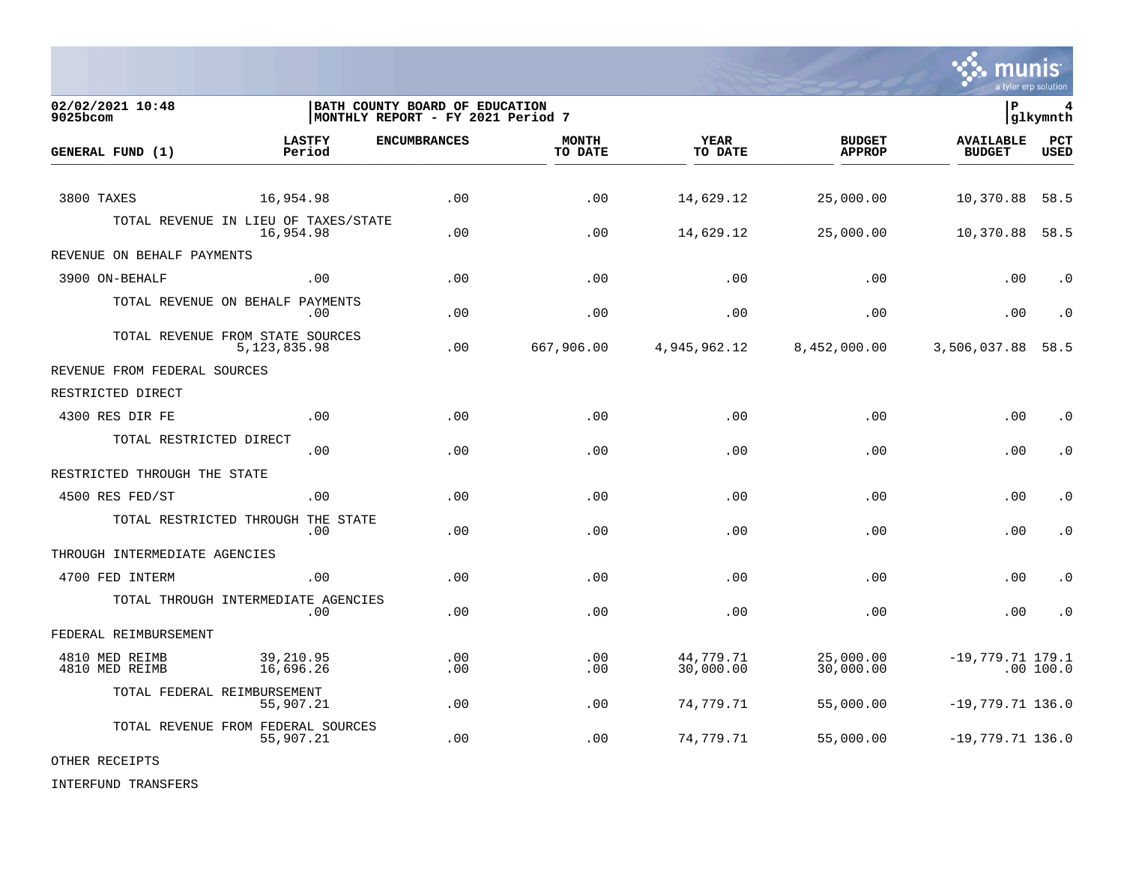

**02/02/2021 10:48 |BATH COUNTY BOARD OF EDUCATION |P 4** MONTHLY REPORT - FY 2021 Period 7 **LASTFY ENCUMBRANCES MONTH YEAR BUDGET AVAILABLE PCT GENERAL FUND (1) Period TO DATE TO DATE APPROP BUDGET USED** TO DATE THE RELIGION CONDUCT TO DATE THE RELIGION CONDUCT TO DATE THE RELIGION OF THE RELIGION OF THE RELIGION OF THE RELIGION OF THE RELIGION OF THE RELIGION OF THE RELIGION OF THE RELIGION OF THE RELIGION OF THE RELIGION 3800 TAXES 16,954.98 .00 .00 14,629.12 25,000.00 10,370.88 58.5 TOTAL REVENUE IN LIEU OF TAXES/STATE<br>16.954.98 16,954.98 .00 .00 14,629.12 25,000.00 10,370.88 58.5 REVENUE ON BEHALF PAYMENTS 3900 ON-BEHALF .00 .00 .00 .00 .00 .00 .0 TOTAL REVENUE ON BEHALF PAYMENTS .00 .00 .00 .00 .00 .00 .0 TOTAL REVENUE FROM STATE SOURCES 5,123,835.98 .00 667,906.00 4,945,962.12 8,452,000.00 3,506,037.88 58.5 REVENUE FROM FEDERAL SOURCES RESTRICTED DIRECT 4300 RES DIR FE .00 .00 .00 .00 .00 .00 .0 TOTAL RESTRICTED DIRECT .00 .00 .00 .00 .00 .00 .0 RESTRICTED THROUGH THE STATE 4500 RES FED/ST .00 .00 .00 .00 .00 .00 .0 TOTAL RESTRICTED THROUGH THE STATE .00 .00 .00 .00 .00 .00 .0 THROUGH INTERMEDIATE AGENCIES 4700 FED INTERM .00 .00 .00 .00 .00 .00 .0 TOTAL THROUGH INTERMEDIATE AGENCIES .00 .00 .00 .00 .00 .00 .0 FEDERAL REIMBURSEMENT 4810 MED REIMB 39,210.95 .00 .00 44,779.71 25,000.00 -19,779.71 179.1 4810 MED REIMB 16,696.26 .00 .00 30,000.00 30,000.00 .00 100.0 TOTAL FEDERAL REIMBURSEMENT 55,907.21 .00 .00 74,779.71 55,000.00 -19,779.71 136.0 TOTAL REVENUE FROM FEDERAL SOURCES 55,907.21 .00 .00 74,779.71 55,000.00 -19,779.71 136.0

OTHER RECEIPTS

INTERFUND TRANSFERS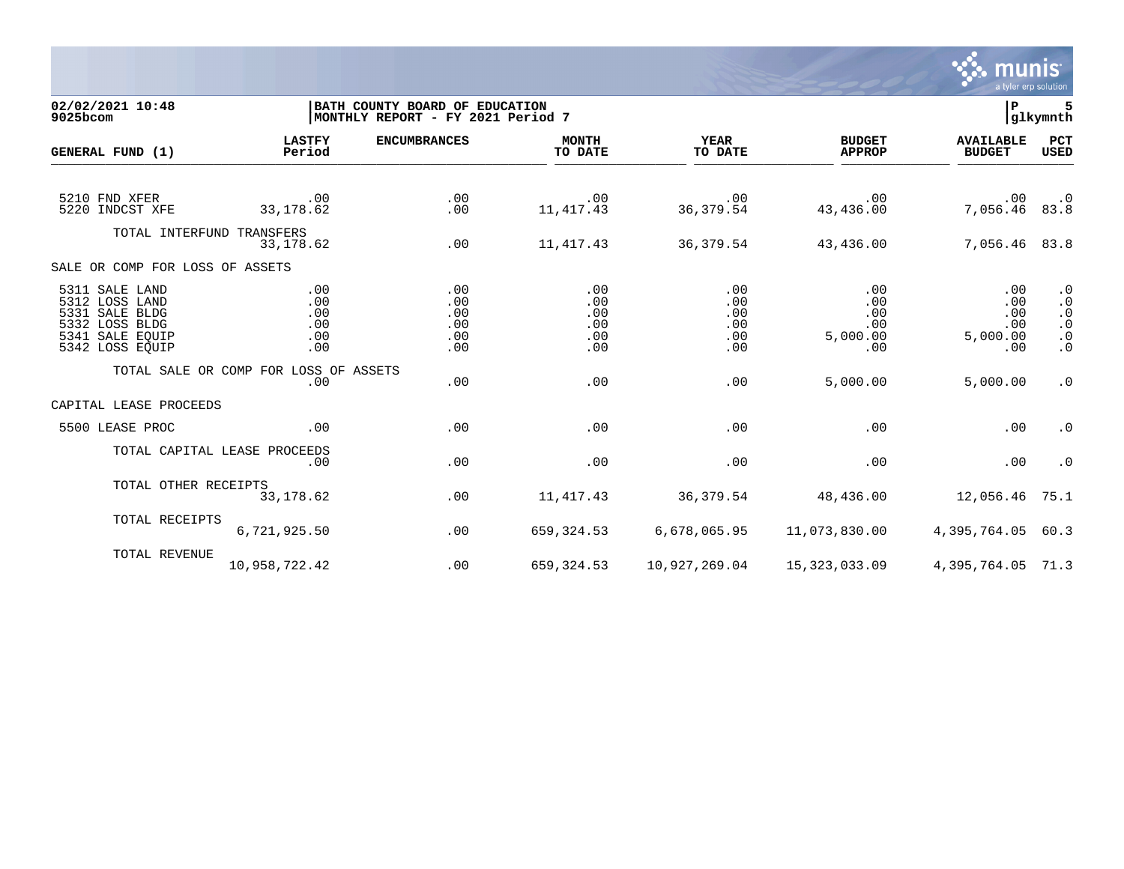

**02/02/2021 10:48 |BATH COUNTY BOARD OF EDUCATION |P 5**  $|MONTHLY REPORT - FY 2021 Period 7$ **LASTFY ENCUMBRANCES MONTH YEAR BUDGET AVAILABLE PCT GENERAL FUND (1)** TO DATE THE RELIGION CONDUCT TO DATE THE RELIGION CONDUCT TO DATE THE RELIGION OF THE RELIGION OF THE RELIGION OF THE RELIGION OF THE RELIGION OF THE RELIGION OF THE RELIGION OF THE RELIGION OF THE RELIGION OF THE RELIGION 5210 FND XFER .00 .00 .00 .00 .00 .00 .0 5220 INDCST XFE 33,178.62 .00 11,417.43 36,379.54 43,436.00 7,056.46 83.8 TOTAL INTERFUND TRANSFERS 33,178.62 .00 11,417.43 36,379.54 43,436.00 7,056.46 83.8 SALE OR COMP FOR LOSS OF ASSETS 5311 SALE LAND .00 .00 .00 .00 .00 .00 .0 5312 LOSS LAND .00 .00 .00 .00 .00 .00 .0 5331 SALE BLDG .00 .00 .00 .00 .00 .00 .0 5332 LOSS BLDG .00 .00 .00 .00 .00 .00 .0 5341 SALE EQUIP .00 .00 .00 .00 5,000.00 5,000.00 .0 5342 LOSS EQUIP .00 .00 .00 .00 .00 .00 .0 TOTAL SALE OR COMP FOR LOSS OF ASSETS<br>.00 .00 .00 .00 .00 5,000.00 5,000.00 .0 CAPITAL LEASE PROCEEDS 5500 LEASE PROC .00 .00 .00 .00 .00 .00 .0 TOTAL CAPITAL LEASE PROCEEDS .00 .00 .00 .00 .00 .00 .0 TOTAL OTHER RECEIPTS<br>33,178.62 33,178.62 .00 11,417.43 36,379.54 48,436.00 12,056.46 75.1 TOTAL RECEIPTS 6,721,925.50 .00 659,324.53 6,678,065.95 11,073,830.00 4,395,764.05 60.3 TOTAL REVENUE 10,958,722.42 .00 659,324.53 10,927,269.04 15,323,033.09 4,395,764.05 71.3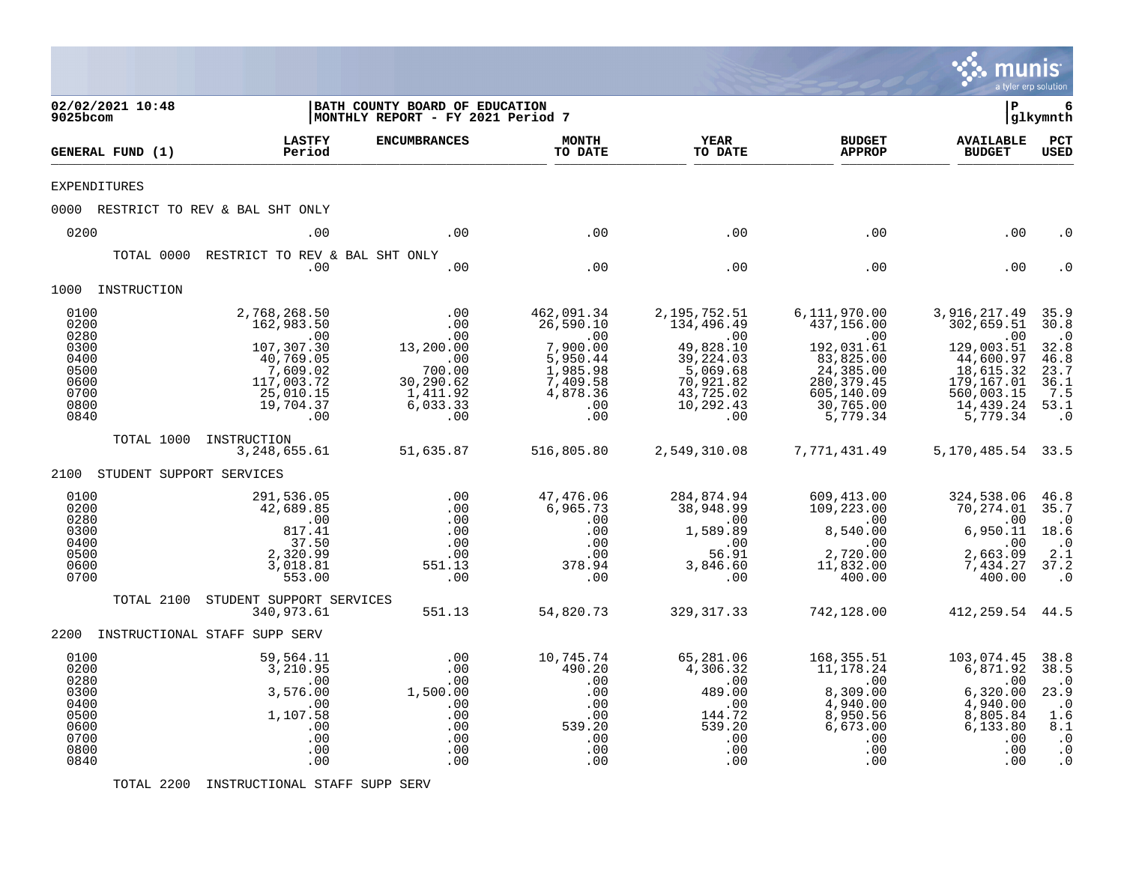|                                                                              |                               |                                                                                                                                     |                                                                                                             |                                                                                                          |                                                                                                                                    |                                                                                                                                 | munis<br>a tyler erp solution                                                                                                  |                                                                                                     |
|------------------------------------------------------------------------------|-------------------------------|-------------------------------------------------------------------------------------------------------------------------------------|-------------------------------------------------------------------------------------------------------------|----------------------------------------------------------------------------------------------------------|------------------------------------------------------------------------------------------------------------------------------------|---------------------------------------------------------------------------------------------------------------------------------|--------------------------------------------------------------------------------------------------------------------------------|-----------------------------------------------------------------------------------------------------|
| 9025bcom                                                                     | 02/02/2021 10:48              |                                                                                                                                     | BATH COUNTY BOARD OF EDUCATION<br>MONTHLY REPORT - FY 2021 Period 7                                         |                                                                                                          |                                                                                                                                    |                                                                                                                                 | l P                                                                                                                            | 6<br> glkymnth                                                                                      |
|                                                                              | GENERAL FUND (1)              | <b>LASTFY</b><br>Period                                                                                                             | <b>ENCUMBRANCES</b>                                                                                         | <b>MONTH</b><br>TO DATE                                                                                  | <b>YEAR</b><br>TO DATE                                                                                                             | <b>BUDGET</b><br><b>APPROP</b>                                                                                                  | <b>AVAILABLE</b><br><b>BUDGET</b>                                                                                              | PCT<br><b>USED</b>                                                                                  |
| <b>EXPENDITURES</b>                                                          |                               |                                                                                                                                     |                                                                                                             |                                                                                                          |                                                                                                                                    |                                                                                                                                 |                                                                                                                                |                                                                                                     |
|                                                                              |                               | 0000 RESTRICT TO REV & BAL SHT ONLY                                                                                                 |                                                                                                             |                                                                                                          |                                                                                                                                    |                                                                                                                                 |                                                                                                                                |                                                                                                     |
| 0200                                                                         |                               | .00                                                                                                                                 | .00                                                                                                         | .00                                                                                                      | .00                                                                                                                                | .00                                                                                                                             | .00                                                                                                                            | . 0                                                                                                 |
|                                                                              | TOTAL 0000                    | RESTRICT TO REV & BAL SHT ONLY<br>.00                                                                                               | .00                                                                                                         | .00                                                                                                      | .00                                                                                                                                | .00                                                                                                                             | .00                                                                                                                            |                                                                                                     |
|                                                                              | 1000 INSTRUCTION              |                                                                                                                                     |                                                                                                             |                                                                                                          |                                                                                                                                    |                                                                                                                                 |                                                                                                                                |                                                                                                     |
| 0100<br>0200<br>0280<br>0300<br>0400<br>0500<br>0600<br>0700<br>0800<br>0840 |                               | 2,768,268.50<br>162,983.50<br>$\overline{00}$<br>107,307.30<br>40,769.05<br>7,609.02<br>117,003.72<br>25,010.15<br>19,704.37<br>.00 | .00<br>.00<br>.00<br>13,200.00<br>$\frac{100}{200}$ .<br>700.00<br>30,290.62<br>1,411.92<br>6,033.33<br>.00 | 462,091.34<br>26,590.10<br>.00<br>7,900.00<br>5,950.44<br>1,985.98<br>7,409.58<br>4,878.36<br>.00<br>.00 | 2,195,752.51<br>134,496.49<br>$\overline{00}$<br>49,828.10<br>39, 224.03<br>5,069.68<br>70,921.82<br>43,725.02<br>10,292.43<br>.00 | 6,111,970.00<br>437,156.00<br>.00<br>192,031.61<br>83,825.00<br>24,385.00<br>280, 379.45<br>605,140.09<br>30,765.00<br>5,779.34 | 3,916,217.49<br>302,659.51<br>.00<br>129,003.51<br>44,600.97<br>18,615.32<br>179,167.01<br>560,003.15<br>14,439.24<br>5,779.34 | 35.9<br>30.8<br>$\cdot$ 0<br>32.8<br>46.8<br>23.7<br>36.1<br>7.5<br>53.1<br>$\cdot$ 0               |
|                                                                              |                               | TOTAL 1000 INSTRUCTION<br>3,248,655.61                                                                                              | 51,635.87                                                                                                   | 516,805.80                                                                                               | 2,549,310.08                                                                                                                       | 7,771,431.49                                                                                                                    | 5, 170, 485. 54 33. 5                                                                                                          |                                                                                                     |
|                                                                              | 2100 STUDENT SUPPORT SERVICES |                                                                                                                                     |                                                                                                             |                                                                                                          |                                                                                                                                    |                                                                                                                                 |                                                                                                                                |                                                                                                     |
| 0100<br>0200<br>0280<br>0300<br>0400<br>0500<br>0600<br>0700                 |                               | 291,536.05<br>42,689.85<br>.00<br>817.41<br>37.50<br>2,320.99<br>3,018.81<br>553.00                                                 | .00<br>.00<br>.00<br>.00<br>.00<br>.00<br>551.13<br>.00                                                     | 47,476.06<br>6,965.73<br>.00<br>.00<br>.00<br>.00<br>378.94<br>.00                                       | 284,874.94<br>38,948.99<br>.00<br>1,589.89<br>.00<br>56.91<br>3,846.60<br>.00                                                      | 609,413.00<br>109,223.00<br>$\sim$ 00<br>8,540.00<br>.00<br>2,720.00<br>11,832.00<br>400.00                                     | 324,538.06<br>70,274.01 35.7<br>.00<br>6,950.11<br>.00<br>2,663.09<br>7,434.27<br>400.00                                       | 46.8<br>$\cdot$ 0<br>18.6<br>$\cdot$ 0<br>2.1<br>37.2<br>$\cdot$ 0                                  |
|                                                                              | TOTAL 2100                    | STUDENT SUPPORT SERVICES<br>340,973.61                                                                                              | 551.13                                                                                                      | 54,820.73                                                                                                | 329, 317.33                                                                                                                        | 742,128.00                                                                                                                      | 412, 259.54 44.5                                                                                                               |                                                                                                     |
|                                                                              |                               | 2200 INSTRUCTIONAL STAFF SUPP SERV                                                                                                  |                                                                                                             |                                                                                                          |                                                                                                                                    |                                                                                                                                 |                                                                                                                                |                                                                                                     |
| 0100<br>0200<br>0280<br>0300<br>0400<br>0500<br>0600<br>0700<br>0800<br>0840 |                               | 59,564.11<br>3,210.95<br>.00<br>3,576.00<br>.00<br>1,107.58<br>.00<br>.00<br>.00<br>.00                                             | .00<br>.00<br>.00<br>1,500.00<br>.00<br>.00<br>.00<br>.00<br>.00<br>.00                                     | 10,745.74<br>490.20<br>.00<br>.00<br>.00<br>.00<br>539.20<br>.00<br>.00<br>.00                           | 65,281.06<br>4,306.32<br>.00<br>489.00<br>.00<br>144.72<br>539.20<br>.00<br>.00<br>.00                                             | 168,355.51<br>11,178.24<br>.00<br>8,309.00<br>4,940.00<br>8,950.56<br>6,673.00<br>.00<br>.00<br>.00                             | 103,074.45<br>6,871.92<br>$.0\overline{0}$<br>6,320.00<br>4,940.00<br>8,805.84<br>6,133.80<br>.00<br>.00<br>.00                | 38.8<br>38.5<br>$\cdot$ 0<br>23.9<br>$\cdot$ 0<br>1.6<br>8.1<br>$\cdot$ 0<br>$\cdot$ 0<br>$\cdot$ 0 |

TOTAL 2200 INSTRUCTIONAL STAFF SUPP SERV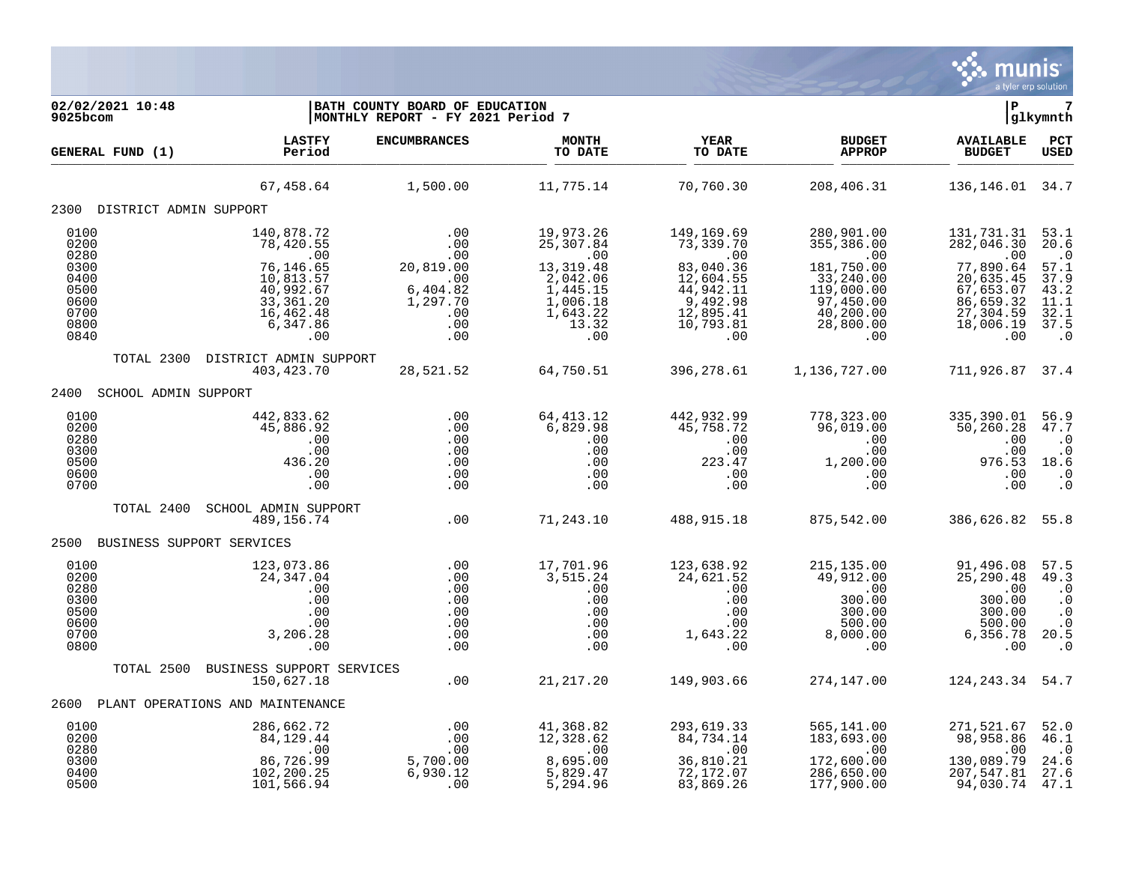

| 02/02/2021 10:48<br>9025bcom                                 |                                                                                                             | BATH COUNTY BOARD OF EDUCATION<br>MONTHLY REPORT - FY 2021 Period 7              |                                                              |                                                                                                                                                                  |                                                                                                                                                     | l P                                                                             | 7<br> glkymnth                                                                          |
|--------------------------------------------------------------|-------------------------------------------------------------------------------------------------------------|----------------------------------------------------------------------------------|--------------------------------------------------------------|------------------------------------------------------------------------------------------------------------------------------------------------------------------|-----------------------------------------------------------------------------------------------------------------------------------------------------|---------------------------------------------------------------------------------|-----------------------------------------------------------------------------------------|
| GENERAL FUND (1)                                             | <b>LASTFY</b><br>Period                                                                                     | <b>ENCUMBRANCES</b>                                                              | <b>MONTH</b><br>TO DATE                                      | <b>YEAR</b><br>TO DATE                                                                                                                                           | <b>BUDGET</b><br><b>APPROP</b>                                                                                                                      | <b>AVAILABLE</b><br><b>BUDGET</b>                                               | PCT<br><b>USED</b>                                                                      |
|                                                              |                                                                                                             | 67,458.64 1,500.00                                                               | 11,775.14                                                    | 70,760.30                                                                                                                                                        | 208,406.31                                                                                                                                          | 136, 146.01 34.7                                                                |                                                                                         |
| 2300 DISTRICT ADMIN SUPPORT                                  |                                                                                                             |                                                                                  |                                                              |                                                                                                                                                                  |                                                                                                                                                     |                                                                                 |                                                                                         |
| 0100<br>0200<br>0280<br>0300<br>0400                         | 140,878.72<br>78,420.55<br>.00<br>$\begin{array}{c} .00 \\ 76,146.65 \\ 10,813.57 \\ 40,992.67 \end{array}$ | .00<br>.00<br>.00<br>20,819.00                                                   | 19,973.26<br>25,307.84<br>.00<br>13, 319.48                  | 149,169.69<br>73,339.70<br>.00<br>83,040.36<br>12,604.55                                                                                                         | 280,901.00<br>355,386.00<br>.00<br>181,750.00<br>33,240.00                                                                                          | 131,731.31<br>282,046.30<br>.00<br>77,890.64<br>20,635.45                       | 53.1<br>20.6<br>$\cdot$ 0<br>57.1<br>37.9                                               |
| 0500<br>0600<br>0700<br>0800<br>0840                         | 33,361.20<br>16,462.48<br>6,347.86<br>.00                                                                   | .00<br>6,404.82<br>1,297.70<br>.00<br>.00<br>.00                                 | 2,042.06<br>1,445.15<br>1,006.18<br>1,643.22<br>13.32<br>.00 | 44,942.11<br>9,492.98<br>12,895.41<br>10,793.81<br>.00                                                                                                           | 119,000.00<br>97,450.00<br>40, 200.00<br>28,800.00<br>.00                                                                                           | 67,653.07<br>86,659.32<br>27,304.59<br>18,006.19<br>.00                         | 43.2<br>11.1<br>32.1<br>37.5<br>$\ddotsc 0$                                             |
|                                                              | TOTAL 2300 DISTRICT ADMIN SUPPORT<br>403,423.70                                                             | 28,521.52                                                                        | 64,750.51                                                    | 396,278.61                                                                                                                                                       | 1,136,727.00                                                                                                                                        | 711,926.87 37.4                                                                 |                                                                                         |
| 2400<br>SCHOOL ADMIN SUPPORT                                 |                                                                                                             |                                                                                  |                                                              |                                                                                                                                                                  |                                                                                                                                                     |                                                                                 |                                                                                         |
| 0100<br>0200<br>0280<br>0300<br>0500                         | 442,833.62<br>45,886.92<br>.00<br>.00<br>436.20                                                             | .00<br>.00<br>.00<br>.00<br>.00                                                  | 64,413.12<br>6,829.98<br>.00<br>.00<br>.00                   | 442,932.99<br>45,758.72<br>$\begin{array}{c} .00 \\ .00 \\ .00 \\ 223.47 \end{array}$                                                                            | 778,323.00<br>96,019.00<br>.00<br>$\begin{smallmatrix} . & 0 & 0 \ 1 & 0 & 0 & 0 \ 0 & 0 & 0 & 0 \ 0 & 0 & 0 & 0 \ 0 & 0 & 0 & 0 \end{smallmatrix}$ | 335,390.01<br>50,260.28<br>.00<br>.00<br>976.53                                 | 56.9<br>47.7<br>$\cdot$ 0<br>$\cdot$ 0<br>18.6                                          |
| 0600<br>0700                                                 | .00<br>.00                                                                                                  | .00<br>.00                                                                       | .00<br>.00                                                   | .00<br>.00                                                                                                                                                       |                                                                                                                                                     | .00<br>.00                                                                      | $\cdot$ 0<br>$\cdot$ 0                                                                  |
| TOTAL 2400                                                   | SCHOOL ADMIN SUPPORT<br>489,156.74                                                                          | .00                                                                              | 71,243.10                                                    | 488,915.18                                                                                                                                                       | 875,542.00                                                                                                                                          | 386,626.82 55.8                                                                 |                                                                                         |
| 2500 BUSINESS SUPPORT SERVICES                               |                                                                                                             |                                                                                  |                                                              |                                                                                                                                                                  |                                                                                                                                                     |                                                                                 |                                                                                         |
| 0100<br>0200<br>0280<br>0300<br>0500<br>0600<br>0700<br>0800 | 123,073.86<br>24,347.04<br>.00<br>.00<br>.00<br>.00<br>3,206.28<br>.00                                      | $\, \, . \, 00$<br>$\, . \, 00$<br>.00<br>.00<br>.00<br>.00<br>.00<br>.00<br>.00 | 17,701.96<br>3,515.24<br>.00                                 | 123,638.92<br>24,621.52<br>$\begin{array}{cc} 24,021.22 \ 0.00 & .00 \ .00 & .00 \ .00 & .00 \ .00 & .00 \ .00 & .00 \ .00 & 1,643.22 \ .00 & .00 \ \end{array}$ | 215,135.00<br>49,912.00<br>.00<br>300.00<br>300.00<br>500.00<br>8,000.00<br>.00                                                                     | 91,496.08<br>25, 290.48<br>.00<br>300.00<br>300.00<br>500.00<br>6,356.78<br>.00 | 57.5<br>49.3<br>$\cdot$ 0<br>$\cdot$ 0<br>$\cdot$ 0<br>$\cdot$ 0<br>20.5<br>$\ddotsc 0$ |
|                                                              | TOTAL 2500 BUSINESS SUPPORT SERVICES<br>150,627.18                                                          | $JICES$ .00                                                                      |                                                              | 21, 217. 20 149, 903. 66                                                                                                                                         | 274,147.00                                                                                                                                          | 124, 243. 34 54. 7                                                              |                                                                                         |
| 2600                                                         | PLANT OPERATIONS AND MAINTENANCE                                                                            |                                                                                  |                                                              |                                                                                                                                                                  |                                                                                                                                                     |                                                                                 |                                                                                         |
| 0100<br>0200                                                 | 286,662.72<br>84,129.44                                                                                     | .00<br>.00                                                                       | 41,368.82<br>12,328.62                                       | 293,619.33<br>84,734.14                                                                                                                                          | 565,141.00<br>183,693.00                                                                                                                            | 271,521.67<br>98,958.86                                                         | 52.0<br>46.1                                                                            |
| 0280<br>0300<br>0400<br>0500                                 | .00<br>86,726.99<br>102,200.25<br>101,566.94                                                                | .00<br>5,700.00<br>6,930.12<br>.00                                               | .00<br>8,695.00<br>5,829.47<br>5,294.96                      | .00<br>36,810.21<br>72,172.07<br>83,869.26                                                                                                                       | .00<br>172,600.00<br>286,650.00<br>177,900.00                                                                                                       | .00<br>130,089.79<br>207,547.81<br>94,030.74                                    | $\cdot$ 0<br>24.6<br>27.6<br>47.1                                                       |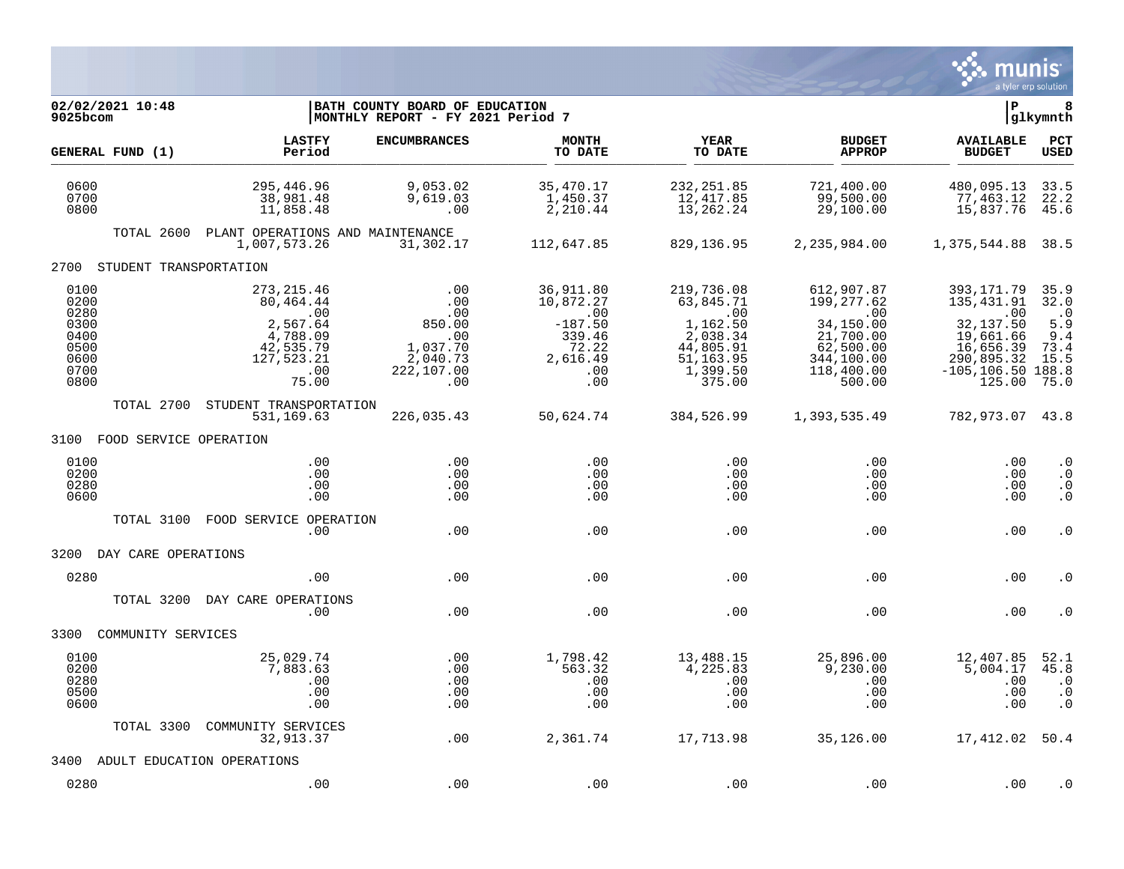

| 02/02/2021 10:48<br>9025bcom                                         |                                                                                                    | BATH COUNTY BOARD OF EDUCATION<br>MONTHLY REPORT - FY 2021 Period 7             |                                                                                         |                                                                                                         |                                                                                                                     | ΙP                                                                                                                      | 8<br>glkymnth                                                                     |
|----------------------------------------------------------------------|----------------------------------------------------------------------------------------------------|---------------------------------------------------------------------------------|-----------------------------------------------------------------------------------------|---------------------------------------------------------------------------------------------------------|---------------------------------------------------------------------------------------------------------------------|-------------------------------------------------------------------------------------------------------------------------|-----------------------------------------------------------------------------------|
| GENERAL FUND (1)                                                     | <b>LASTFY</b><br>Period                                                                            | <b>ENCUMBRANCES</b>                                                             | <b>MONTH</b><br>TO DATE                                                                 | YEAR<br>TO DATE                                                                                         | <b>BUDGET</b><br><b>APPROP</b>                                                                                      | <b>AVAILABLE</b><br><b>BUDGET</b>                                                                                       | PCT<br><b>USED</b>                                                                |
| 0600<br>0700<br>0800                                                 | 295,446.96<br>38,981.48<br>11,858.48                                                               | 9,053.02<br>9,619.03<br>.00                                                     | 35,470.17<br>1,450.37<br>2,210.44                                                       | 232, 251.85<br>12,417.85<br>13,262.24                                                                   | 721,400.00<br>99,500.00<br>29,100.00                                                                                | 480,095.13<br>77,463.12<br>15,837.76                                                                                    | 33.5<br>22.2<br>45.6                                                              |
| TOTAL 2600                                                           | PLANT OPERATIONS AND MAINTENANCE<br>1,007,573.26                                                   | 31,302.17                                                                       | 112,647.85                                                                              | 829, 136.95                                                                                             | 2,235,984.00                                                                                                        | 1,375,544.88 38.5                                                                                                       |                                                                                   |
| 2700 STUDENT TRANSPORTATION                                          |                                                                                                    |                                                                                 |                                                                                         |                                                                                                         |                                                                                                                     |                                                                                                                         |                                                                                   |
| 0100<br>0200<br>0280<br>0300<br>0400<br>0500<br>0600<br>0700<br>0800 | 273, 215.46<br>80,464.44<br>.00<br>2,567.64<br>4,788.09<br>42,535.79<br>127,523.21<br>.00<br>75.00 | .00<br>.00<br>.00<br>850.00<br>.00<br>1,037.70<br>2,040.73<br>222,107.00<br>.00 | 36,911.80<br>10,872.27<br>.00<br>$-187.50$<br>339.46<br>72.22<br>2,616.49<br>.00<br>.00 | 219,736.08<br>63,845.71<br>.00<br>1,162.50<br>2,038.34<br>44,805.91<br>51, 163.95<br>1,399.50<br>375.00 | 612,907.87<br>199, 277.62<br>$\sim 00$<br>34,150.00<br>21,700.00<br>62,500.00<br>344,100.00<br>118,400.00<br>500.00 | 393, 171.79<br>135,431.91<br>.00<br>32,137.50<br>19,661.66<br>16,656.39<br>290,895.32<br>$-105, 106.50$ 188.8<br>125.00 | 35.9<br>32.0<br>$\overline{\phantom{0}}$ .0<br>5.9<br>9.4<br>73.4<br>15.5<br>75.0 |
| TOTAL 2700                                                           | STUDENT TRANSPORTATION<br>531,169.63                                                               | 226,035.43                                                                      | 50,624.74                                                                               | 384,526.99                                                                                              | 1,393,535.49                                                                                                        | 782,973.07 43.8                                                                                                         |                                                                                   |
| 3100 FOOD SERVICE OPERATION                                          |                                                                                                    |                                                                                 |                                                                                         |                                                                                                         |                                                                                                                     |                                                                                                                         |                                                                                   |
| 0100<br>0200<br>0280<br>0600                                         | .00<br>.00<br>.00<br>.00                                                                           | .00<br>.00<br>.00<br>.00                                                        | .00<br>.00<br>.00<br>.00                                                                | .00<br>.00<br>.00<br>.00                                                                                | .00<br>.00<br>$.00 \,$<br>.00                                                                                       | .00<br>.00<br>.00<br>.00                                                                                                | $\cdot$ 0<br>$\cdot$ 0<br>$\cdot$ 0<br>$\cdot$ 0                                  |
| TOTAL 3100                                                           | FOOD SERVICE OPERATION<br>.00.                                                                     | .00                                                                             | .00                                                                                     | .00                                                                                                     | .00                                                                                                                 | .00                                                                                                                     | $\cdot$ 0                                                                         |
| 3200 DAY CARE OPERATIONS                                             |                                                                                                    |                                                                                 |                                                                                         |                                                                                                         |                                                                                                                     |                                                                                                                         |                                                                                   |
| 0280                                                                 | .00                                                                                                | .00                                                                             | .00                                                                                     | .00                                                                                                     | .00                                                                                                                 | .00                                                                                                                     | . 0                                                                               |
| TOTAL 3200                                                           | DAY CARE OPERATIONS<br>.00                                                                         | .00                                                                             | .00                                                                                     | .00                                                                                                     | .00                                                                                                                 | .00                                                                                                                     | . 0                                                                               |
| 3300<br>COMMUNITY SERVICES                                           |                                                                                                    |                                                                                 |                                                                                         |                                                                                                         |                                                                                                                     |                                                                                                                         |                                                                                   |
| 0100<br>0200<br>0280<br>0500<br>0600                                 | 25,029.74<br>7,883.63<br>.00<br>.00<br>.00                                                         | .00<br>.00<br>.00<br>.00<br>.00                                                 | 1,798.42<br>563.32<br>.00<br>.00<br>.00                                                 | 13,488.15<br>4,225.83<br>.00<br>.00<br>.00                                                              | 25,896.00<br>9,230.00<br>.00<br>.00<br>.00                                                                          | 12,407.85<br>5,004.17<br>.00<br>.00<br>.00                                                                              | 52.1<br>45.8<br>$\cdot$ 0<br>$\cdot$ 0<br>$\cdot$ 0                               |
| TOTAL 3300                                                           | COMMUNITY SERVICES<br>32,913.37                                                                    | .00                                                                             | 2,361.74                                                                                | 17,713.98                                                                                               | 35,126.00                                                                                                           | 17,412.02 50.4                                                                                                          |                                                                                   |
| 3400 ADULT EDUCATION OPERATIONS                                      |                                                                                                    |                                                                                 |                                                                                         |                                                                                                         |                                                                                                                     |                                                                                                                         |                                                                                   |
| 0280                                                                 | .00                                                                                                | .00                                                                             | .00                                                                                     | .00                                                                                                     | .00                                                                                                                 | .00                                                                                                                     | . 0                                                                               |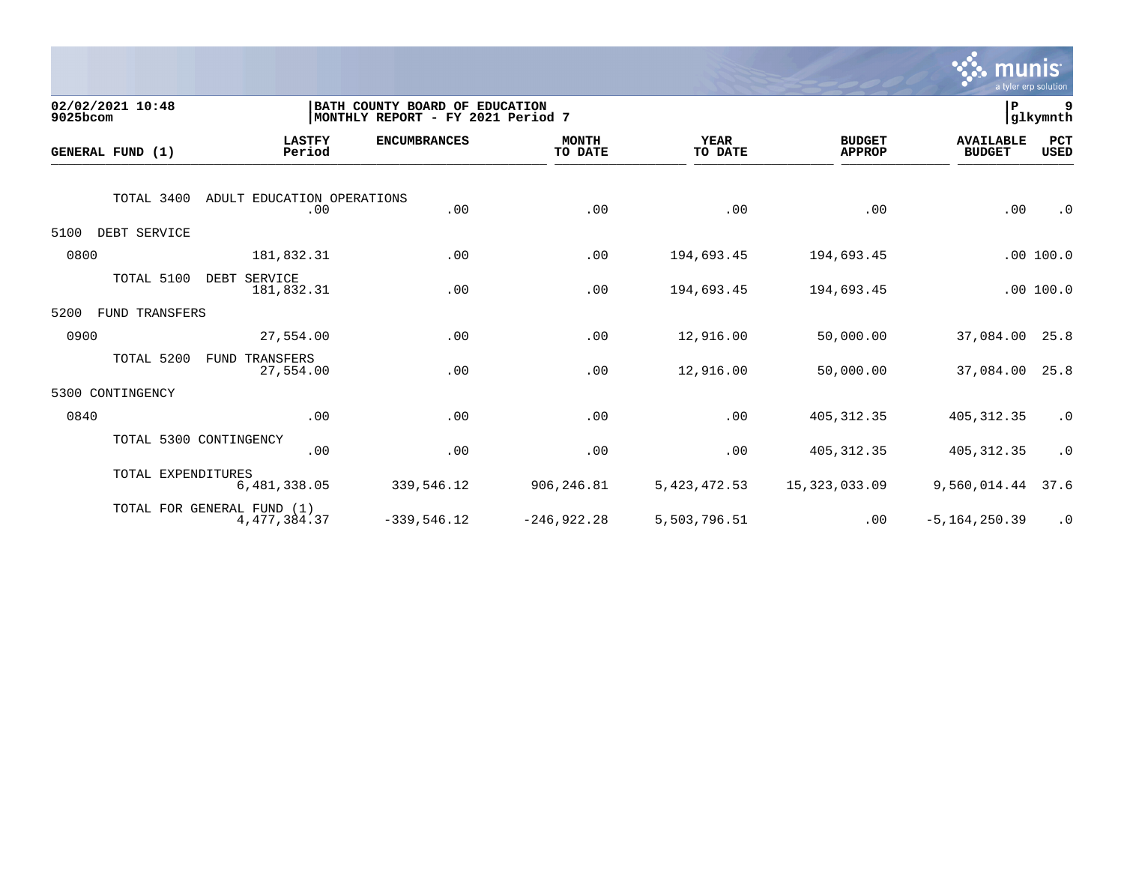

| 9025bcom | 02/02/2021 10:48   |                                              | BATH COUNTY BOARD OF EDUCATION<br>MONTHLY REPORT - FY 2021 Period 7 |                         |                        |                                | P                                 | 9<br>glkymnth      |
|----------|--------------------|----------------------------------------------|---------------------------------------------------------------------|-------------------------|------------------------|--------------------------------|-----------------------------------|--------------------|
|          | GENERAL FUND (1)   | <b>LASTFY</b><br>Period                      | <b>ENCUMBRANCES</b>                                                 | <b>MONTH</b><br>TO DATE | <b>YEAR</b><br>TO DATE | <b>BUDGET</b><br><b>APPROP</b> | <b>AVAILABLE</b><br><b>BUDGET</b> | PCT<br><b>USED</b> |
|          | TOTAL 3400         | ADULT EDUCATION OPERATIONS<br>.00            | .00                                                                 | .00                     | .00                    | .00                            | .00                               | $\cdot$ 0          |
| 5100     | DEBT SERVICE       |                                              |                                                                     |                         |                        |                                |                                   |                    |
| 0800     |                    | 181,832.31                                   | .00                                                                 | .00                     | 194,693.45             | 194,693.45                     |                                   | .00100.0           |
|          | TOTAL 5100         | DEBT SERVICE<br>181,832.31                   | .00                                                                 | .00                     | 194,693.45             | 194,693.45                     |                                   | .00 100.0          |
| 5200     | FUND TRANSFERS     |                                              |                                                                     |                         |                        |                                |                                   |                    |
| 0900     |                    | 27,554.00                                    | .00                                                                 | .00                     | 12,916.00              | 50,000.00                      | 37,084.00                         | 25.8               |
|          | TOTAL 5200         | <b>FUND TRANSFERS</b><br>27,554.00           | .00                                                                 | .00                     | 12,916.00              | 50,000.00                      | 37,084.00                         | 25.8               |
| 5300     | CONTINGENCY        |                                              |                                                                     |                         |                        |                                |                                   |                    |
| 0840     |                    | .00                                          | .00                                                                 | .00                     | .00                    | 405, 312.35                    | 405, 312.35                       | $\cdot$ 0          |
|          |                    | TOTAL 5300 CONTINGENCY<br>.00                | .00                                                                 | .00                     | .00                    | 405, 312.35                    | 405, 312.35                       | $\cdot$ 0          |
|          | TOTAL EXPENDITURES | 6,481,338.05                                 | 339,546.12                                                          | 906,246.81              | 5, 423, 472.53         | 15,323,033.09                  | 9,560,014.44                      | 37.6               |
|          |                    | TOTAL FOR GENERAL FUND (1)<br>4, 477, 384.37 | $-339,546.12$                                                       | $-246, 922.28$          | 5,503,796.51           | .00                            | $-5, 164, 250.39$                 | $\cdot$ 0          |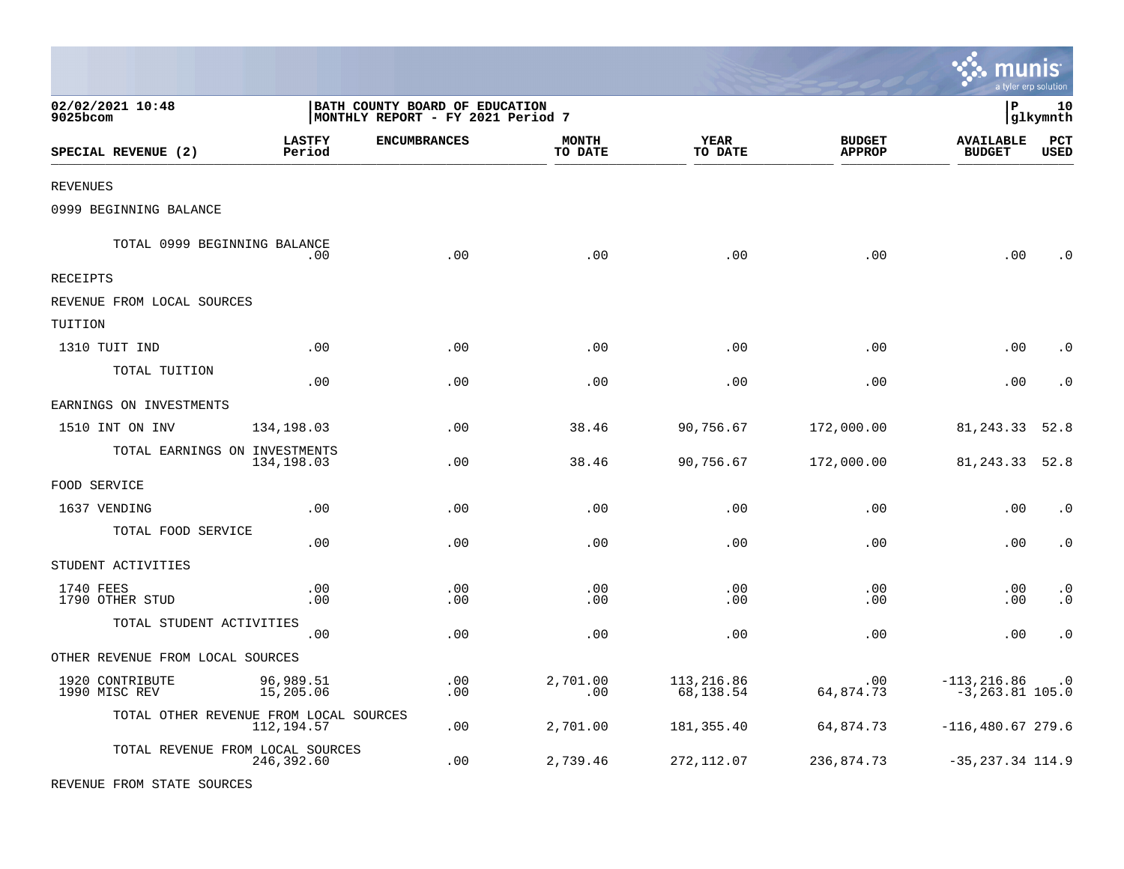|                                        |                         |                                                                     |                         |                         |                                | $\sim$ Indins<br>a tyler erp solution |                        |
|----------------------------------------|-------------------------|---------------------------------------------------------------------|-------------------------|-------------------------|--------------------------------|---------------------------------------|------------------------|
| 02/02/2021 10:48<br>9025bcom           |                         | BATH COUNTY BOARD OF EDUCATION<br>MONTHLY REPORT - FY 2021 Period 7 |                         |                         |                                | l P                                   | 10<br> glkymnth        |
| SPECIAL REVENUE (2)                    | <b>LASTFY</b><br>Period | <b>ENCUMBRANCES</b>                                                 | <b>MONTH</b><br>TO DATE | <b>YEAR</b><br>TO DATE  | <b>BUDGET</b><br><b>APPROP</b> | <b>AVAILABLE</b><br><b>BUDGET</b>     | PCT<br><b>USED</b>     |
| <b>REVENUES</b>                        |                         |                                                                     |                         |                         |                                |                                       |                        |
| 0999 BEGINNING BALANCE                 |                         |                                                                     |                         |                         |                                |                                       |                        |
| TOTAL 0999 BEGINNING BALANCE           | .00                     | .00                                                                 | .00                     | .00                     | .00                            | .00                                   | $\cdot$ 0              |
| RECEIPTS                               |                         |                                                                     |                         |                         |                                |                                       |                        |
| REVENUE FROM LOCAL SOURCES             |                         |                                                                     |                         |                         |                                |                                       |                        |
| TUITION                                |                         |                                                                     |                         |                         |                                |                                       |                        |
| 1310 TUIT IND                          | .00                     | .00                                                                 | .00                     | .00                     | .00                            | .00                                   | $\cdot$ 0              |
| TOTAL TUITION                          | .00                     | .00                                                                 | .00                     | .00                     | .00                            | .00                                   | $\cdot$ 0              |
| EARNINGS ON INVESTMENTS                |                         |                                                                     |                         |                         |                                |                                       |                        |
| 1510 INT ON INV                        | 134,198.03              | .00                                                                 | 38.46                   | 90,756.67               | 172,000.00                     | 81, 243.33                            | 52.8                   |
| TOTAL EARNINGS ON INVESTMENTS          | 134,198.03              | .00                                                                 | 38.46                   | 90,756.67               | 172,000.00                     | 81,243.33                             | 52.8                   |
| FOOD SERVICE                           |                         |                                                                     |                         |                         |                                |                                       |                        |
| 1637 VENDING                           | .00                     | .00                                                                 | .00                     | .00                     | .00                            | .00                                   | $\cdot$ 0              |
| TOTAL FOOD SERVICE                     | .00                     | .00                                                                 | .00                     | .00                     | .00                            | .00                                   | $\cdot$ 0              |
| STUDENT ACTIVITIES                     |                         |                                                                     |                         |                         |                                |                                       |                        |
| 1740 FEES<br>1790 OTHER STUD           | .00<br>.00              | .00<br>.00                                                          | .00<br>.00              | .00<br>.00              | .00<br>.00                     | .00<br>.00                            | $\cdot$ 0<br>$\cdot$ 0 |
| TOTAL STUDENT ACTIVITIES               | .00                     | .00                                                                 | .00                     | .00                     | .00                            | .00                                   | $\cdot$ 0              |
| OTHER REVENUE FROM LOCAL SOURCES       |                         |                                                                     |                         |                         |                                |                                       |                        |
| 1920 CONTRIBUTE<br>1990 MISC REV       | 96,989.51<br>15,205.06  | .00<br>.00                                                          | 2,701.00<br>.00         | 113,216.86<br>68,138.54 | .00<br>64,874.73               | $-113, 216.86$<br>$-3, 263.81$ 105.0  | $\cdot$ 0              |
| TOTAL OTHER REVENUE FROM LOCAL SOURCES | 112,194.57              | .00                                                                 | 2,701.00                | 181,355.40              | 64,874.73                      | $-116,480.67279.6$                    |                        |
| TOTAL REVENUE FROM LOCAL SOURCES       | 246,392.60              | .00                                                                 | 2,739.46                | 272,112.07              | 236,874.73                     | $-35, 237.34$ 114.9                   |                        |

 $\ddot{\cdot}$  munic

REVENUE FROM STATE SOURCES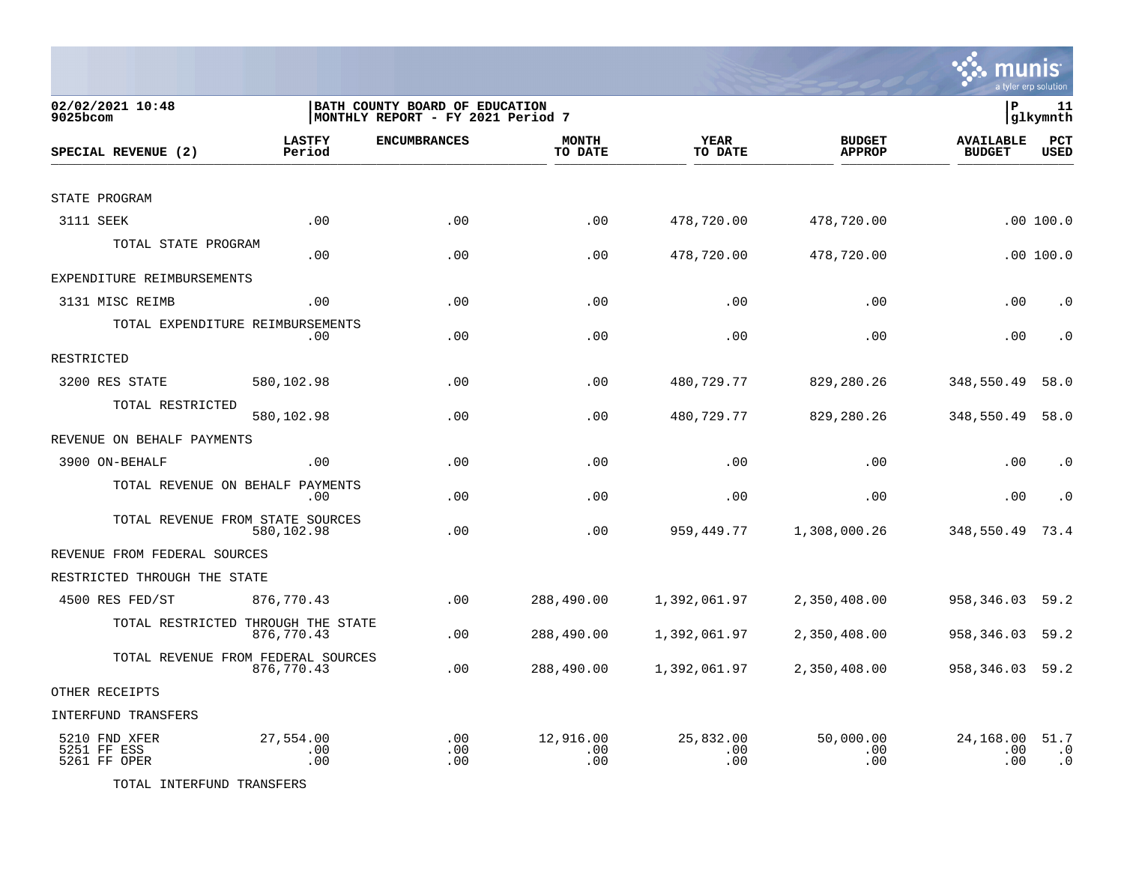

| 02/02/2021 10:48<br>9025bcom                 |                         | BATH COUNTY BOARD OF EDUCATION<br> MONTHLY REPORT - FY 2021 Period 7 |                         |                         |                                | P                                 | 11<br> glkymnth                |
|----------------------------------------------|-------------------------|----------------------------------------------------------------------|-------------------------|-------------------------|--------------------------------|-----------------------------------|--------------------------------|
| SPECIAL REVENUE (2)                          | <b>LASTFY</b><br>Period | <b>ENCUMBRANCES</b>                                                  | <b>MONTH</b><br>TO DATE | YEAR<br>TO DATE         | <b>BUDGET</b><br><b>APPROP</b> | <b>AVAILABLE</b><br><b>BUDGET</b> | PCT<br><b>USED</b>             |
|                                              |                         |                                                                      |                         |                         |                                |                                   |                                |
| STATE PROGRAM                                |                         |                                                                      |                         |                         |                                |                                   |                                |
| 3111 SEEK                                    | .00                     | .00                                                                  | .00                     | 478,720.00              | 478,720.00                     |                                   | .00100.0                       |
| TOTAL STATE PROGRAM                          | .00                     | .00                                                                  | .00                     | 478,720.00              | 478,720.00                     |                                   | .00100.0                       |
| EXPENDITURE REIMBURSEMENTS                   |                         |                                                                      |                         |                         |                                |                                   |                                |
| 3131 MISC REIMB                              | .00                     | .00                                                                  | .00                     | .00                     | .00                            | .00                               | $\cdot$ 0                      |
| TOTAL EXPENDITURE REIMBURSEMENTS             | .00                     | .00                                                                  | .00                     | .00                     | .00                            | .00                               | $\cdot$ 0                      |
| RESTRICTED                                   |                         |                                                                      |                         |                         |                                |                                   |                                |
| 3200 RES STATE                               | 580,102.98              | .00                                                                  | .00                     | 480,729.77              | 829,280.26                     | 348,550.49                        | 58.0                           |
| TOTAL RESTRICTED                             | 580,102.98              | .00                                                                  | .00                     | 480,729.77              | 829,280.26                     | 348,550.49                        | 58.0                           |
| REVENUE ON BEHALF PAYMENTS                   |                         |                                                                      |                         |                         |                                |                                   |                                |
| 3900 ON-BEHALF                               | .00                     | .00                                                                  | .00                     | .00                     | .00                            | .00                               | $\cdot$ 0                      |
| TOTAL REVENUE ON BEHALF PAYMENTS             | .00.                    | .00                                                                  | .00                     | .00                     | .00                            | .00                               | $\cdot$ 0                      |
| TOTAL REVENUE FROM STATE SOURCES             | 580,102.98              | .00                                                                  | .00                     | 959, 449. 77            | 1,308,000.26                   | 348,550.49                        | 73.4                           |
| REVENUE FROM FEDERAL SOURCES                 |                         |                                                                      |                         |                         |                                |                                   |                                |
| RESTRICTED THROUGH THE STATE                 |                         |                                                                      |                         |                         |                                |                                   |                                |
| 4500 RES FED/ST                              | 876,770.43              | .00                                                                  | 288,490.00              | 1,392,061.97            | 2,350,408.00                   | 958,346.03                        | 59.2                           |
| TOTAL RESTRICTED THROUGH THE STATE           | 876,770.43              | .00                                                                  | 288,490.00              | 1,392,061.97            | 2,350,408.00                   | 958,346.03                        | 59.2                           |
| TOTAL REVENUE FROM FEDERAL SOURCES           | 876,770.43              | .00                                                                  | 288,490.00              | 1,392,061.97            | 2,350,408.00                   | 958,346.03 59.2                   |                                |
| OTHER RECEIPTS                               |                         |                                                                      |                         |                         |                                |                                   |                                |
| <b>INTERFUND TRANSFERS</b>                   |                         |                                                                      |                         |                         |                                |                                   |                                |
| 5210 FND XFER<br>5251 FF ESS<br>5261 FF OPER | 27,554.00<br>.00<br>.00 | .00<br>.00<br>.00                                                    | 12,916.00<br>.00<br>.00 | 25,832.00<br>.00<br>.00 | 50,000.00<br>.00<br>.00        | 24,168.00<br>.00<br>.00           | 51.7<br>$\cdot$ 0<br>$\cdot$ 0 |

TOTAL INTERFUND TRANSFERS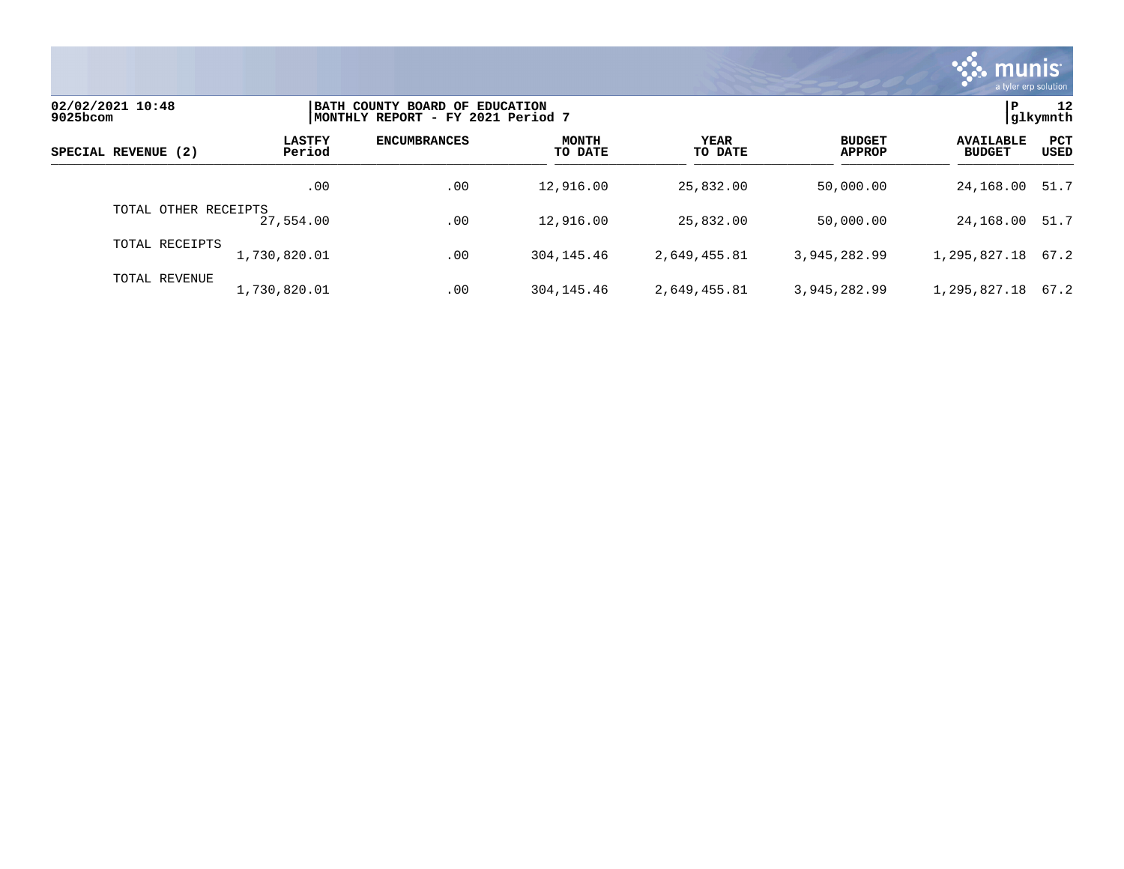

| 02/02/2021 10:48<br>9025bcom |                         | BATH COUNTY BOARD OF EDUCATION<br> MONTHLY REPORT - FY 2021 Period 7 |                         |                 |                                |                                   |                    |
|------------------------------|-------------------------|----------------------------------------------------------------------|-------------------------|-----------------|--------------------------------|-----------------------------------|--------------------|
| SPECIAL REVENUE (2)          | <b>LASTFY</b><br>Period | <b>ENCUMBRANCES</b>                                                  | <b>MONTH</b><br>TO DATE | YEAR<br>TO DATE | <b>BUDGET</b><br><b>APPROP</b> | <b>AVAILABLE</b><br><b>BUDGET</b> | <b>PCT</b><br>USED |
|                              | .00                     | .00                                                                  | 12,916.00               | 25,832.00       | 50,000.00                      | 24,168.00                         | 51.7               |
| TOTAL OTHER RECEIPTS         | 27,554.00               | .00                                                                  | 12,916.00               | 25,832.00       | 50,000.00                      | 24,168.00                         | 51.7               |
| TOTAL RECEIPTS               | 1,730,820.01            | .00                                                                  | 304, 145, 46            | 2,649,455.81    | 3,945,282.99                   | 1,295,827.18 67.2                 |                    |
| TOTAL REVENUE                | 1,730,820.01            | .00                                                                  | 304, 145, 46            | 2,649,455.81    | 3,945,282.99                   | 1,295,827.18                      | 67.2               |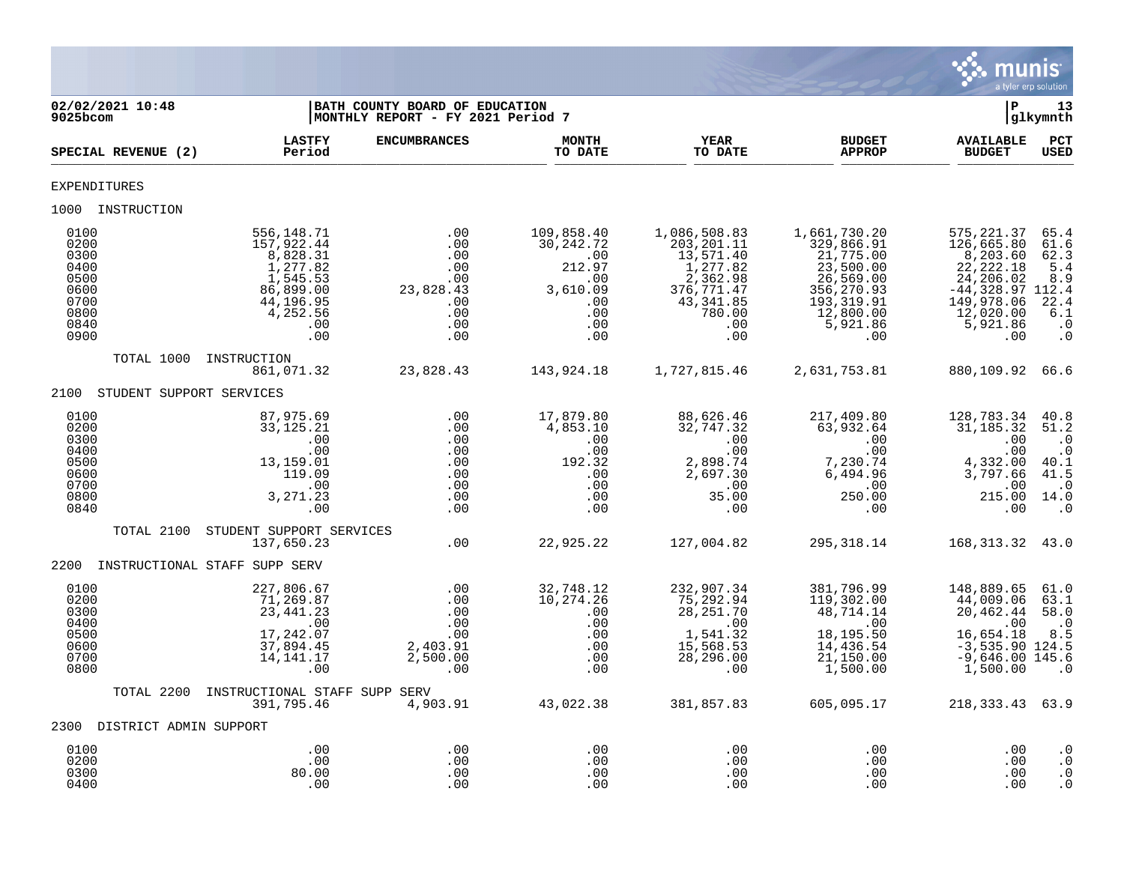

| 02/02/2021 10:48<br>$9025$ bcom                                              |                                                                                                                  | BATH COUNTY BOARD OF EDUCATION<br>MONTHLY REPORT - FY 2021 Period 7      |                                                                                         |                                                                                                                       |                                                                                                                                 | ∣P                                                                                                                                   | 13<br>glkymnth                                                                    |
|------------------------------------------------------------------------------|------------------------------------------------------------------------------------------------------------------|--------------------------------------------------------------------------|-----------------------------------------------------------------------------------------|-----------------------------------------------------------------------------------------------------------------------|---------------------------------------------------------------------------------------------------------------------------------|--------------------------------------------------------------------------------------------------------------------------------------|-----------------------------------------------------------------------------------|
| SPECIAL REVENUE (2)                                                          | <b>LASTFY</b><br>Period                                                                                          | <b>ENCUMBRANCES</b>                                                      | <b>MONTH</b><br>TO DATE                                                                 | YEAR<br>TO DATE                                                                                                       | <b>BUDGET</b><br><b>APPROP</b>                                                                                                  | <b>AVAILABLE</b><br><b>BUDGET</b>                                                                                                    | PCT<br><b>USED</b>                                                                |
| <b>EXPENDITURES</b>                                                          |                                                                                                                  |                                                                          |                                                                                         |                                                                                                                       |                                                                                                                                 |                                                                                                                                      |                                                                                   |
| 1000 INSTRUCTION                                                             |                                                                                                                  |                                                                          |                                                                                         |                                                                                                                       |                                                                                                                                 |                                                                                                                                      |                                                                                   |
| 0100<br>0200<br>0300<br>0400<br>0500<br>0600<br>0700<br>0800<br>0840<br>0900 | 556,148.71<br>157,922.44<br>8,828.31<br>1,277.82<br>1,545.53<br>86,899.00<br>44,196.95<br>4,252.56<br>.00<br>.00 | .00<br>.00<br>.00<br>.00<br>.00<br>23,828.43<br>.00<br>.00<br>.00<br>.00 | 109,858.40<br>30,242.72<br>.00<br>212.97<br>.00<br>3,610.09<br>.00<br>.00<br>.00<br>.00 | 1,086,508.83<br>203, 201.11<br>13,571.40<br>1,277.82<br>2,362.98<br>376, 771.47<br>43, 341.85<br>780.00<br>.00<br>.00 | 1,661,730.20<br>329,866.91<br>21,775.00<br>23,500.00<br>26,569.00<br>356, 270.93<br>193, 319.91<br>12,800.00<br>5,921.86<br>.00 | 575, 221.37<br>126,665.80<br>8,203.60<br>22, 222.18<br>24,206.02<br>$-44,328.97$ 112.4<br>149,978.06<br>12,020.00<br>5,921.86<br>.00 | 65.4<br>61.6<br>62.3<br>5.4<br>8.9<br>22.4<br>6.1<br>$\cdot$ 0<br>$\cdot$ 0       |
| TOTAL 1000                                                                   | INSTRUCTION<br>861,071.32                                                                                        | 23,828.43                                                                | 143,924.18                                                                              | 1,727,815.46                                                                                                          | 2,631,753.81                                                                                                                    | 880,109.92 66.6                                                                                                                      |                                                                                   |
| 2100<br>STUDENT SUPPORT SERVICES                                             |                                                                                                                  |                                                                          |                                                                                         |                                                                                                                       |                                                                                                                                 |                                                                                                                                      |                                                                                   |
| 0100<br>0200<br>0300<br>0400<br>0500<br>0600<br>0700<br>0800<br>0840         | 87,975.69<br>33, 125.21<br>.00<br>.00<br>13,159.01<br>119.09<br>.00<br>3,271.23<br>.00                           | .00<br>.00<br>.00<br>.00<br>.00<br>.00<br>.00<br>.00<br>.00              | 17,879.80<br>4,853.10<br>.00<br>.00<br>192.32<br>.00<br>.00<br>.00<br>.00               | 88,626.46<br>32,747.32<br>.00<br>.00<br>2,898.74<br>2,697.30<br>$\ldots$<br>35.00<br>.00                              | 217,409.80<br>63,932.64<br>.00<br>.00<br>7,230.74<br>6,494.96<br>.00<br>250.00<br>.00                                           | 128,783.34<br>31,185.32<br>.00<br>.00<br>4,332.00<br>3,797.66<br>.00<br>215.00 14.0<br>.00                                           | 40.8<br>51.2<br>$\cdot$ 0<br>$\cdot$ 0<br>40.1<br>41.5<br>$\cdot$ 0<br>$\cdot$ .0 |
| TOTAL 2100                                                                   | STUDENT SUPPORT SERVICES<br>137,650.23                                                                           | .00                                                                      | 22,925.22                                                                               | 127,004.82                                                                                                            | 295, 318.14                                                                                                                     | 168, 313. 32 43. 0                                                                                                                   |                                                                                   |
| 2200                                                                         | INSTRUCTIONAL STAFF SUPP SERV                                                                                    |                                                                          |                                                                                         |                                                                                                                       |                                                                                                                                 |                                                                                                                                      |                                                                                   |
| 0100<br>0200<br>0300<br>0400<br>0500<br>0600<br>0700<br>0800                 | 227,806.67<br>71,269.87<br>23, 441. 23<br>.00<br>17,242.07<br>37,894.45<br>14, 141. 17<br>.00                    | .00<br>.00<br>.00<br>.00<br>.00<br>2,403.91<br>2,500.00<br>.00           | 32,748.12<br>10, 274.26<br>.00<br>.00<br>.00<br>.00<br>.00<br>.00                       | 232,907.34<br>75,292.94<br>28, 251.70<br>.00<br>1,541.32<br>15,568.53<br>28,296.00<br>.00                             | 381,796.99<br>119,302.00<br>48,714.14<br>.00<br>18,195.50<br>14,436.54<br>$\overline{21}$ , 150.00<br>1,500.00                  | 148,889.65<br>44,009.06<br>20,462.44<br>.00<br>16,654.18<br>$-3,535.90$ 124.5<br>$-9,646.00$ 145.6<br>1,500.00                       | 61.0<br>63.1<br>58.0<br>$\cdot$ 0<br>8.5<br>$\cdot$ 0                             |
| TOTAL 2200                                                                   | INSTRUCTIONAL STAFF SUPP SERV<br>391,795.46                                                                      | 4,903.91                                                                 | 43,022.38                                                                               | 381,857.83                                                                                                            | 605,095.17                                                                                                                      | 218, 333. 43 63. 9                                                                                                                   |                                                                                   |
| 2300 DISTRICT ADMIN SUPPORT                                                  |                                                                                                                  |                                                                          |                                                                                         |                                                                                                                       |                                                                                                                                 |                                                                                                                                      |                                                                                   |
| 0100<br>0200<br>0300<br>0400                                                 | .00<br>.00<br>80.00<br>.00                                                                                       | .00<br>.00<br>.00<br>.00                                                 | .00<br>.00<br>.00<br>.00                                                                | .00<br>.00<br>.00<br>.00                                                                                              | .00<br>.00<br>$.00 \ \rm$<br>.00                                                                                                | .00<br>.00<br>.00<br>.00                                                                                                             | $\cdot$ 0<br>$\cdot$ 0<br>$\cdot$ 0<br>$\cdot$ 0                                  |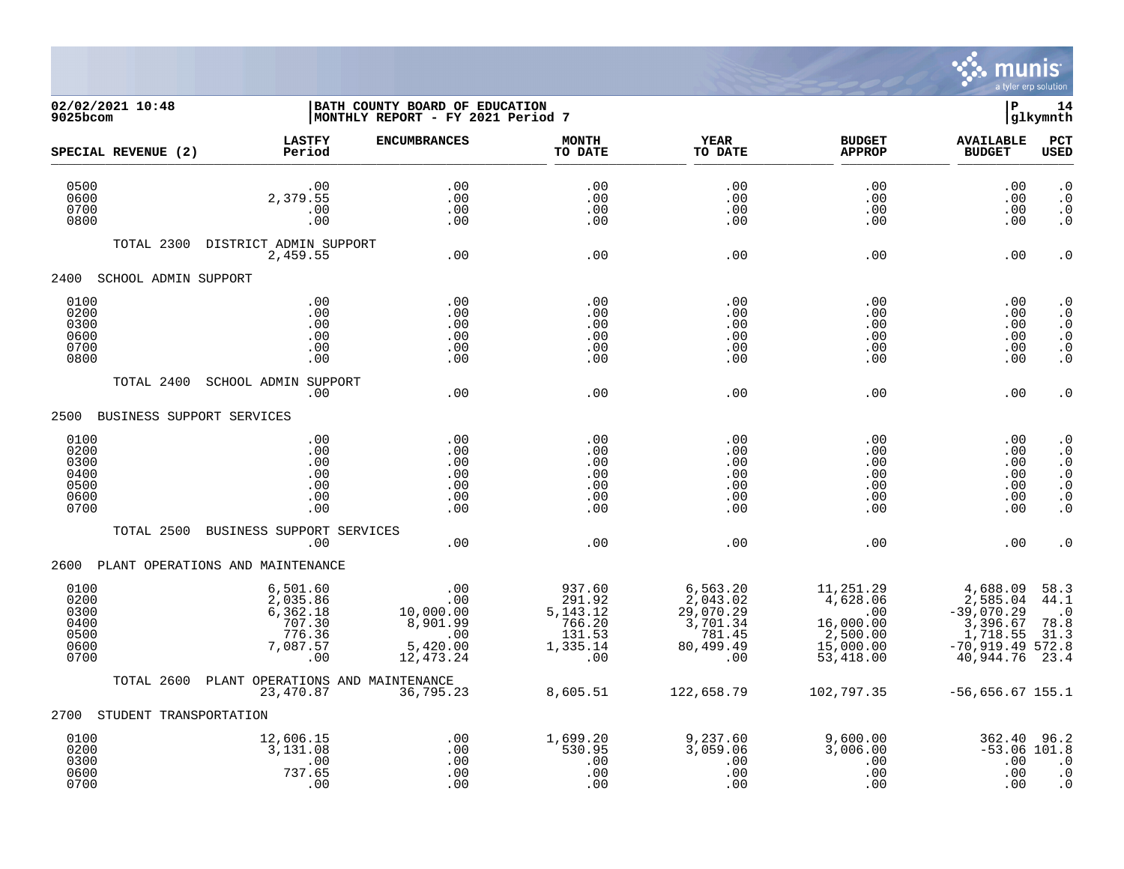

## **02/02/2021 10:48 |BATH COUNTY BOARD OF EDUCATION |P 14 9025bcom |MONTHLY REPORT - FY 2021 Period 7 |glkymnth**

| SPECIAL REVENUE (2)                                  | <b>LASTFY</b><br>Period                                                   | <b>ENCUMBRANCES</b>                                                 | <b>MONTH</b><br>TO DATE                                               | <b>YEAR</b><br>TO DATE                                                      | <b>BUDGET</b><br><b>APPROP</b>                                                        | <b>AVAILABLE</b><br><b>BUDGET</b>                                                                   | <b>PCT</b><br><b>USED</b>                                                                      |
|------------------------------------------------------|---------------------------------------------------------------------------|---------------------------------------------------------------------|-----------------------------------------------------------------------|-----------------------------------------------------------------------------|---------------------------------------------------------------------------------------|-----------------------------------------------------------------------------------------------------|------------------------------------------------------------------------------------------------|
| 0500<br>0600<br>0700<br>0800                         | .00<br>2,379.55<br>.00<br>.00                                             | .00<br>.00<br>.00<br>.00                                            | .00<br>.00<br>.00<br>.00                                              | .00<br>.00<br>.00<br>.00                                                    | .00<br>.00<br>.00<br>.00                                                              | .00<br>.00<br>.00<br>.00                                                                            | $\cdot$ 0<br>$\cdot$ 0<br>. 0<br>$\cdot$ 0                                                     |
| TOTAL 2300                                           | DISTRICT ADMIN SUPPORT<br>2,459.55                                        | .00                                                                 | .00                                                                   | .00                                                                         | .00                                                                                   | .00                                                                                                 | $\cdot$ 0                                                                                      |
| 2400<br>SCHOOL ADMIN SUPPORT                         |                                                                           |                                                                     |                                                                       |                                                                             |                                                                                       |                                                                                                     |                                                                                                |
| 0100<br>0200<br>0300<br>0600<br>0700<br>0800         | .00<br>.00<br>.00<br>.00<br>.00<br>.00                                    | .00<br>.00<br>.00<br>.00<br>.00<br>.00                              | .00<br>.00<br>.00<br>.00<br>.00<br>.00                                | .00<br>.00<br>.00<br>.00<br>.00<br>.00                                      | .00<br>.00<br>.00<br>.00<br>.00<br>.00                                                | .00<br>.00<br>.00<br>.00<br>.00<br>.00                                                              | $\cdot$ 0<br>$\cdot$ 0<br>$\cdot$ 0<br>$\cdot$ 0<br>. $\boldsymbol{0}$<br>$\cdot$ 0            |
| TOTAL 2400                                           | <b>SCHOOL ADMIN SUPPORT</b><br>.00                                        | .00                                                                 | .00                                                                   | .00                                                                         | .00                                                                                   | .00                                                                                                 | $\cdot$ 0                                                                                      |
| 2500 BUSINESS SUPPORT SERVICES                       |                                                                           |                                                                     |                                                                       |                                                                             |                                                                                       |                                                                                                     |                                                                                                |
| 0100<br>0200<br>0300<br>0400<br>0500<br>0600<br>0700 | .00<br>.00<br>.00<br>.00<br>.00<br>.00<br>.00                             | .00<br>.00<br>.00<br>.00<br>.00<br>.00<br>.00                       | .00<br>.00<br>.00<br>.00<br>.00<br>.00<br>.00                         | .00<br>.00<br>.00<br>.00<br>.00<br>.00<br>.00                               | .00<br>.00<br>.00<br>.00<br>.00<br>.00<br>.00                                         | .00<br>.00<br>.00<br>.00<br>.00<br>.00<br>.00                                                       | $\cdot$ 0<br>$\cdot$ 0<br>$\cdot$ 0<br>. 0<br>$\cdot$ 0<br>$\boldsymbol{\cdot}$ 0<br>$\cdot$ 0 |
| TOTAL 2500                                           | BUSINESS SUPPORT SERVICES<br>.00                                          | .00                                                                 | .00                                                                   | .00                                                                         | .00                                                                                   | .00                                                                                                 | . 0                                                                                            |
| 2600 PLANT OPERATIONS AND MAINTENANCE                |                                                                           |                                                                     |                                                                       |                                                                             |                                                                                       |                                                                                                     |                                                                                                |
| 0100<br>0200<br>0300<br>0400<br>0500<br>0600<br>0700 | 6,501.60<br>2,035.86<br>$6,362.18$<br>707.30<br>776.36<br>7,087.57<br>.00 | .00<br>.00<br>10,000.00<br>8,901.99<br>.00<br>5,420.00<br>12,473.24 | 937.60<br>291.92<br>5, 143. 12<br>766.20<br>131.53<br>1,335.14<br>.00 | 6,563.20<br>2,043.02<br>29,070.29<br>3,701.34<br>781.45<br>80,499.49<br>.00 | 11,251.29<br>4,628.06<br>$\sim$ 00<br>16,000.00<br>2,500.00<br>15,000.00<br>53,418.00 | 4,688.09<br>2,585.04<br>$-39,070.29$<br>3,396.67<br>1,718.55<br>$-70,919.49572.8$<br>40,944.76 23.4 | 58.3<br>44.1<br>$\cdot$ 0<br>78.8<br>31.3                                                      |
| TOTAL 2600                                           | PLANT OPERATIONS AND MAINTENANCE<br>23,470.87                             | 36,795.23                                                           | 8,605.51                                                              | 122,658.79                                                                  | 102,797.35                                                                            | $-56,656.67$ 155.1                                                                                  |                                                                                                |
| STUDENT TRANSPORTATION<br>2700                       |                                                                           |                                                                     |                                                                       |                                                                             |                                                                                       |                                                                                                     |                                                                                                |
| 0100<br>0200<br>0300<br>0600<br>0700                 | 12,606.15<br>3,131.08<br>.00<br>737.65<br>.00                             | .00<br>.00<br>.00<br>.00<br>.00                                     | 1,699.20<br>530.95<br>.00<br>.00<br>.00                               | 9,237.60<br>3,059.06<br>.00<br>.00<br>.00                                   | 9,600.00<br>3,006.00<br>.00<br>.00<br>.00                                             | 362.40 96.2<br>$-53.06$ 101.8<br>.00<br>.00<br>.00                                                  | $\cdot$ 0<br>$\cdot$ 0<br>$\cdot$ 0                                                            |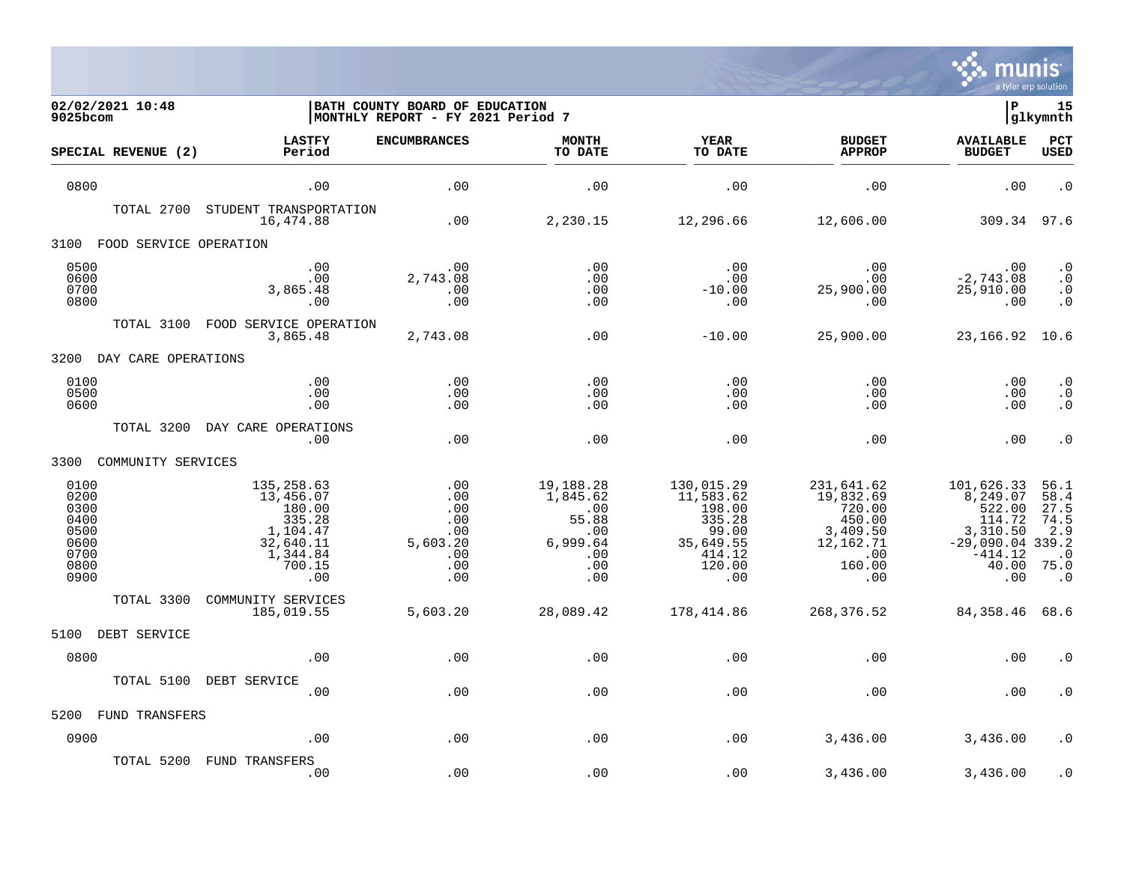

| 02/02/2021 10:48<br>9025bcom                                         |                                                                                                   | BATH COUNTY BOARD OF EDUCATION<br>MONTHLY REPORT - FY 2021 Period 7 |                                                                               |                                                                                              |                                                                                                | l P                                                                                                       | 15<br>glkymnth                                                        |
|----------------------------------------------------------------------|---------------------------------------------------------------------------------------------------|---------------------------------------------------------------------|-------------------------------------------------------------------------------|----------------------------------------------------------------------------------------------|------------------------------------------------------------------------------------------------|-----------------------------------------------------------------------------------------------------------|-----------------------------------------------------------------------|
| SPECIAL REVENUE (2)                                                  | <b>LASTFY</b><br>Period                                                                           | <b>ENCUMBRANCES</b>                                                 | <b>MONTH</b><br>TO DATE                                                       | <b>YEAR</b><br>TO DATE                                                                       | <b>BUDGET</b><br><b>APPROP</b>                                                                 | <b>AVAILABLE</b><br><b>BUDGET</b>                                                                         | PCT<br><b>USED</b>                                                    |
| 0800                                                                 | .00                                                                                               | .00                                                                 | .00                                                                           | .00                                                                                          | .00                                                                                            | .00                                                                                                       | $\cdot$ 0                                                             |
| TOTAL 2700                                                           | STUDENT TRANSPORTATION<br>16,474.88                                                               | .00                                                                 | 2,230.15                                                                      | 12,296.66                                                                                    | 12,606.00                                                                                      | 309.34                                                                                                    | 97.6                                                                  |
| 3100<br>FOOD SERVICE OPERATION                                       |                                                                                                   |                                                                     |                                                                               |                                                                                              |                                                                                                |                                                                                                           |                                                                       |
| 0500<br>0600<br>0700<br>0800                                         | .00<br>.00<br>3,865.48<br>.00                                                                     | .00<br>2,743.08<br>.00<br>.00                                       | .00<br>.00<br>.00<br>.00                                                      | $.00 \,$<br>$.00 \,$<br>$-10.00$<br>.00                                                      | .00<br>.00<br>25,900.00<br>.00                                                                 | .00<br>$-2,743.08$<br>25,910.00<br>.00                                                                    | $\cdot$ 0<br>$\cdot$ 0<br>$\cdot$ 0<br>$\cdot$ 0                      |
| TOTAL 3100                                                           | FOOD SERVICE OPERATION<br>3,865.48                                                                | 2,743.08                                                            | .00                                                                           | $-10.00$                                                                                     | 25,900.00                                                                                      | 23,166.92                                                                                                 | 10.6                                                                  |
| 3200<br>DAY CARE OPERATIONS                                          |                                                                                                   |                                                                     |                                                                               |                                                                                              |                                                                                                |                                                                                                           |                                                                       |
| 0100<br>0500<br>0600                                                 | .00<br>.00<br>.00                                                                                 | .00<br>.00<br>.00                                                   | .00<br>.00<br>.00                                                             | .00<br>.00<br>.00                                                                            | .00<br>.00<br>.00                                                                              | .00<br>.00<br>.00                                                                                         | $\cdot$ 0<br>$\cdot$ 0<br>$\cdot$ 0                                   |
| TOTAL 3200                                                           | DAY CARE OPERATIONS<br>.00                                                                        | .00                                                                 | .00                                                                           | .00                                                                                          | .00                                                                                            | .00                                                                                                       | $\cdot$ 0                                                             |
| 3300<br>COMMUNITY SERVICES                                           |                                                                                                   |                                                                     |                                                                               |                                                                                              |                                                                                                |                                                                                                           |                                                                       |
| 0100<br>0200<br>0300<br>0400<br>0500<br>0600<br>0700<br>0800<br>0900 | 135,258.63<br>13,456.07<br>180.00<br>335.28<br>1,104.47<br>32,640.11<br>1,344.84<br>700.15<br>.00 | .00<br>.00<br>.00<br>.00<br>.00<br>5,603.20<br>.00<br>.00<br>.00    | 19,188.28<br>1,845.62<br>.00<br>55.88<br>.00<br>6,999.64<br>.00<br>.00<br>.00 | 130,015.29<br>11,583.62<br>198.00<br>335.28<br>99.00<br>35,649.55<br>414.12<br>120.00<br>.00 | 231,641.62<br>19,832.69<br>720.00<br>450.00<br>3,409.50<br>12, 162. 71<br>.00<br>160.00<br>.00 | 101,626.33<br>8,249.07<br>522.00<br>114.72<br>3,310.50<br>$-29,090.04$ 339.2<br>$-414.12$<br>40.00<br>.00 | 56.1<br>58.4<br>27.5<br>74.5<br>2.9<br>$\cdot$ 0<br>75.0<br>$\cdot$ 0 |
| TOTAL 3300                                                           | COMMUNITY SERVICES<br>185,019.55                                                                  | 5,603.20                                                            | 28,089.42                                                                     | 178,414.86                                                                                   | 268,376.52                                                                                     | 84,358.46                                                                                                 | 68.6                                                                  |
| 5100<br>DEBT SERVICE                                                 |                                                                                                   |                                                                     |                                                                               |                                                                                              |                                                                                                |                                                                                                           |                                                                       |
| 0800                                                                 | .00                                                                                               | .00                                                                 | .00                                                                           | .00                                                                                          | .00                                                                                            | .00                                                                                                       | . 0                                                                   |
| TOTAL 5100                                                           | DEBT SERVICE<br>.00                                                                               | .00                                                                 | .00                                                                           | .00                                                                                          | .00                                                                                            | .00                                                                                                       | . 0                                                                   |
| 5200<br>FUND TRANSFERS                                               |                                                                                                   |                                                                     |                                                                               |                                                                                              |                                                                                                |                                                                                                           |                                                                       |
| 0900                                                                 | .00                                                                                               | .00                                                                 | .00                                                                           | .00                                                                                          | 3,436.00                                                                                       | 3,436.00                                                                                                  | $\cdot$ 0                                                             |
| TOTAL 5200                                                           | FUND TRANSFERS<br>.00                                                                             | .00                                                                 | .00                                                                           | .00                                                                                          | 3,436.00                                                                                       | 3,436.00                                                                                                  | $\boldsymbol{\cdot}$ 0                                                |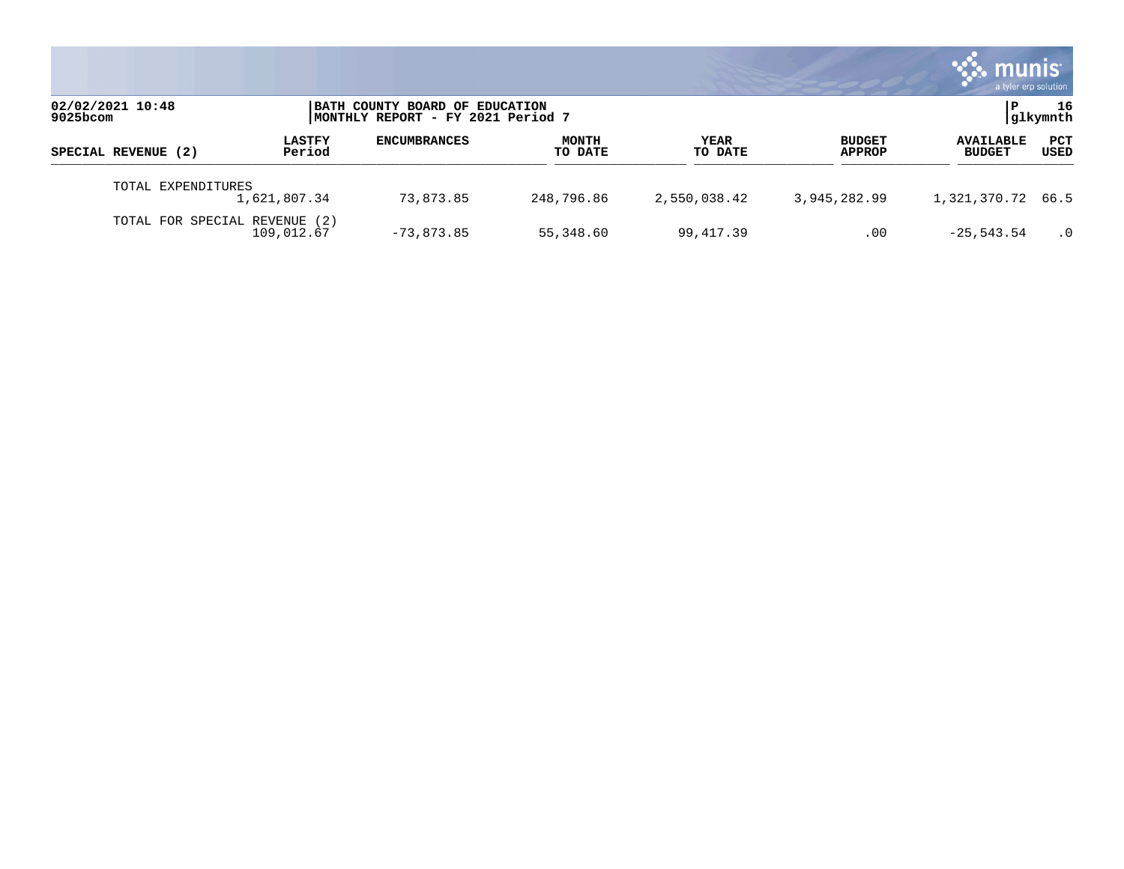|                               |                         |                                                                     |                         |                        |                                | munis<br>a tyler erp solution     |                 |
|-------------------------------|-------------------------|---------------------------------------------------------------------|-------------------------|------------------------|--------------------------------|-----------------------------------|-----------------|
| 02/02/2021 10:48<br>9025bcom  |                         | BATH COUNTY BOARD OF EDUCATION<br>MONTHLY REPORT - FY 2021 Period 7 |                         |                        |                                | l P-                              | 16<br> glkymnth |
| SPECIAL REVENUE (2)           | <b>LASTFY</b><br>Period | <b>ENCUMBRANCES</b>                                                 | <b>MONTH</b><br>TO DATE | <b>YEAR</b><br>TO DATE | <b>BUDGET</b><br><b>APPROP</b> | <b>AVAILABLE</b><br><b>BUDGET</b> | PCT<br>USED     |
| TOTAL EXPENDITURES            | 1,621,807.34            | 73,873.85                                                           | 248,796.86              | 2,550,038.42           | 3,945,282.99                   | 1,321,370.72 66.5                 |                 |
| TOTAL FOR SPECIAL REVENUE (2) | 109,012.67              | $-73,873.85$                                                        | 55,348.60               | 99,417.39              | .00                            | $-25, 543.54$                     | $\cdot$ 0       |

the contract of the contract of

a sa mga magaalang na mga magaalang ng mga magaalang ng mga magaalang ng magaalang ng magaalang ng magaalang n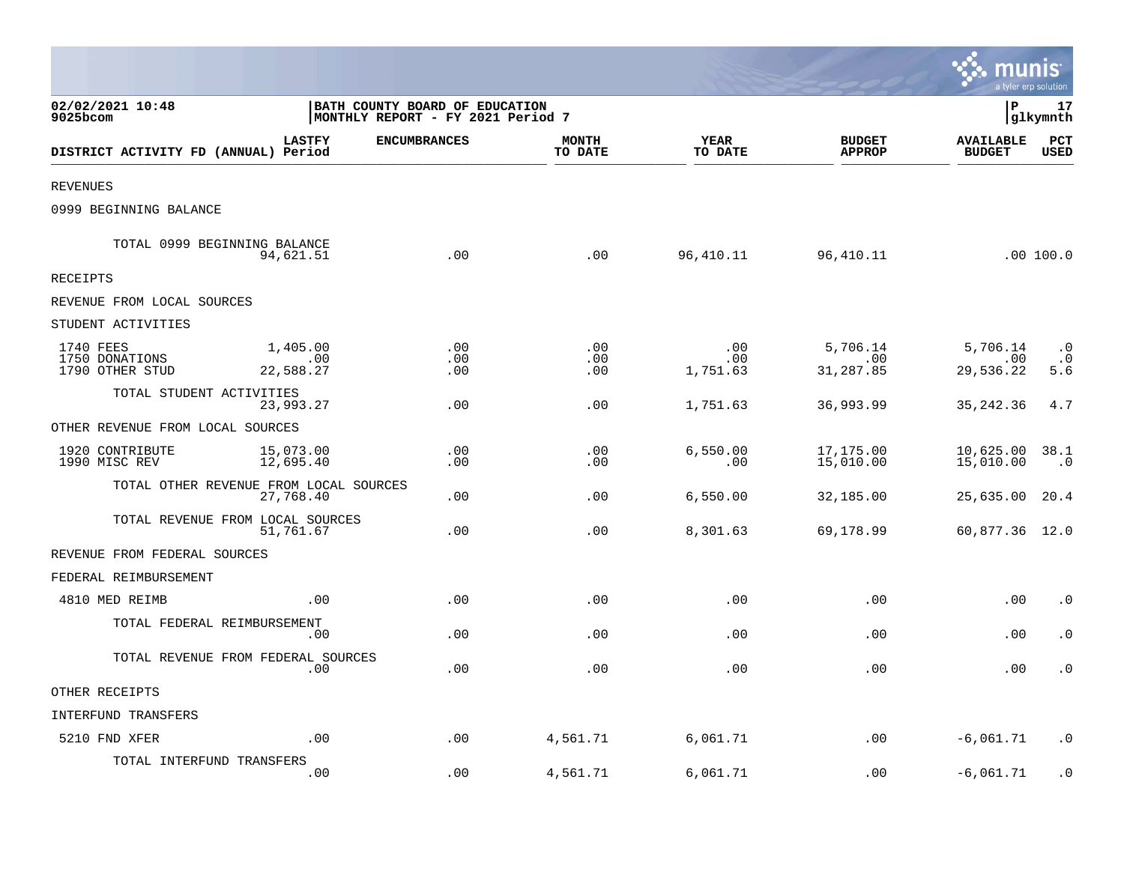|                                                |                                                     |                                                                     |                         |                        |                                | munis<br>a tyler erp solution     |                               |
|------------------------------------------------|-----------------------------------------------------|---------------------------------------------------------------------|-------------------------|------------------------|--------------------------------|-----------------------------------|-------------------------------|
| 02/02/2021 10:48<br>9025bcom                   |                                                     | BATH COUNTY BOARD OF EDUCATION<br>MONTHLY REPORT - FY 2021 Period 7 |                         |                        |                                | lР                                | 17<br> glkymnth               |
| DISTRICT ACTIVITY FD (ANNUAL) Period           | <b>LASTFY</b>                                       | <b>ENCUMBRANCES</b>                                                 | <b>MONTH</b><br>TO DATE | YEAR<br>TO DATE        | <b>BUDGET</b><br><b>APPROP</b> | <b>AVAILABLE</b><br><b>BUDGET</b> | PCT<br><b>USED</b>            |
| <b>REVENUES</b>                                |                                                     |                                                                     |                         |                        |                                |                                   |                               |
| 0999 BEGINNING BALANCE                         |                                                     |                                                                     |                         |                        |                                |                                   |                               |
| TOTAL 0999 BEGINNING BALANCE                   | 94,621.51                                           | .00                                                                 | .00                     | 96,410.11              | 96,410.11                      |                                   | .00 100.0                     |
| <b>RECEIPTS</b>                                |                                                     |                                                                     |                         |                        |                                |                                   |                               |
| REVENUE FROM LOCAL SOURCES                     |                                                     |                                                                     |                         |                        |                                |                                   |                               |
| STUDENT ACTIVITIES                             |                                                     |                                                                     |                         |                        |                                |                                   |                               |
| 1740 FEES<br>1750 DONATIONS<br>1790 OTHER STUD | 1,405.00<br>.00<br>22,588.27                        | .00<br>.00<br>.00                                                   | .00<br>.00<br>.00       | .00<br>.00<br>1,751.63 | 5,706.14<br>.00<br>31,287.85   | 5,706.14<br>.00<br>29,536.22      | $\cdot$ 0<br>$\cdot$ 0<br>5.6 |
| TOTAL STUDENT ACTIVITIES                       | 23,993.27                                           | .00                                                                 | .00                     | 1,751.63               | 36,993.99                      | 35, 242.36                        | 4.7                           |
| OTHER REVENUE FROM LOCAL SOURCES               |                                                     |                                                                     |                         |                        |                                |                                   |                               |
| 1920 CONTRIBUTE<br>1990 MISC REV               | 15,073.00<br>12,695.40                              | .00<br>.00                                                          | .00<br>.00              | 6,550.00<br>.00        | 17,175.00<br>15,010.00         | 10,625.00<br>15,010.00            | 38.1<br>$\cdot$ 0             |
|                                                | TOTAL OTHER REVENUE FROM LOCAL SOURCES<br>27,768.40 | .00                                                                 | .00                     | 6,550.00               | 32,185.00                      | 25,635.00                         | 20.4                          |
|                                                | TOTAL REVENUE FROM LOCAL SOURCES<br>51,761.67       | .00                                                                 | .00                     | 8,301.63               | 69,178.99                      | 60,877.36 12.0                    |                               |
| REVENUE FROM FEDERAL SOURCES                   |                                                     |                                                                     |                         |                        |                                |                                   |                               |
| FEDERAL REIMBURSEMENT                          |                                                     |                                                                     |                         |                        |                                |                                   |                               |
| 4810 MED REIMB                                 | .00                                                 | .00                                                                 | .00                     | .00                    | .00                            | .00                               | $\cdot$ 0                     |
| TOTAL FEDERAL REIMBURSEMENT                    | .00                                                 | .00                                                                 | .00                     | .00                    | .00                            | .00                               | $\cdot$ 0                     |
|                                                | TOTAL REVENUE FROM FEDERAL SOURCES<br>.00           | .00                                                                 | .00                     | .00                    | .00                            | .00                               | $\cdot$ 0                     |
| OTHER RECEIPTS                                 |                                                     |                                                                     |                         |                        |                                |                                   |                               |
| INTERFUND TRANSFERS                            |                                                     |                                                                     |                         |                        |                                |                                   |                               |
| 5210 FND XFER                                  | .00                                                 | .00                                                                 | 4,561.71                | 6,061.71               | .00                            | $-6,061.71$                       | . 0                           |
| TOTAL INTERFUND TRANSFERS                      | .00                                                 | .00                                                                 | 4,561.71                | 6,061.71               | .00                            | $-6,061.71$                       | $\cdot$ 0                     |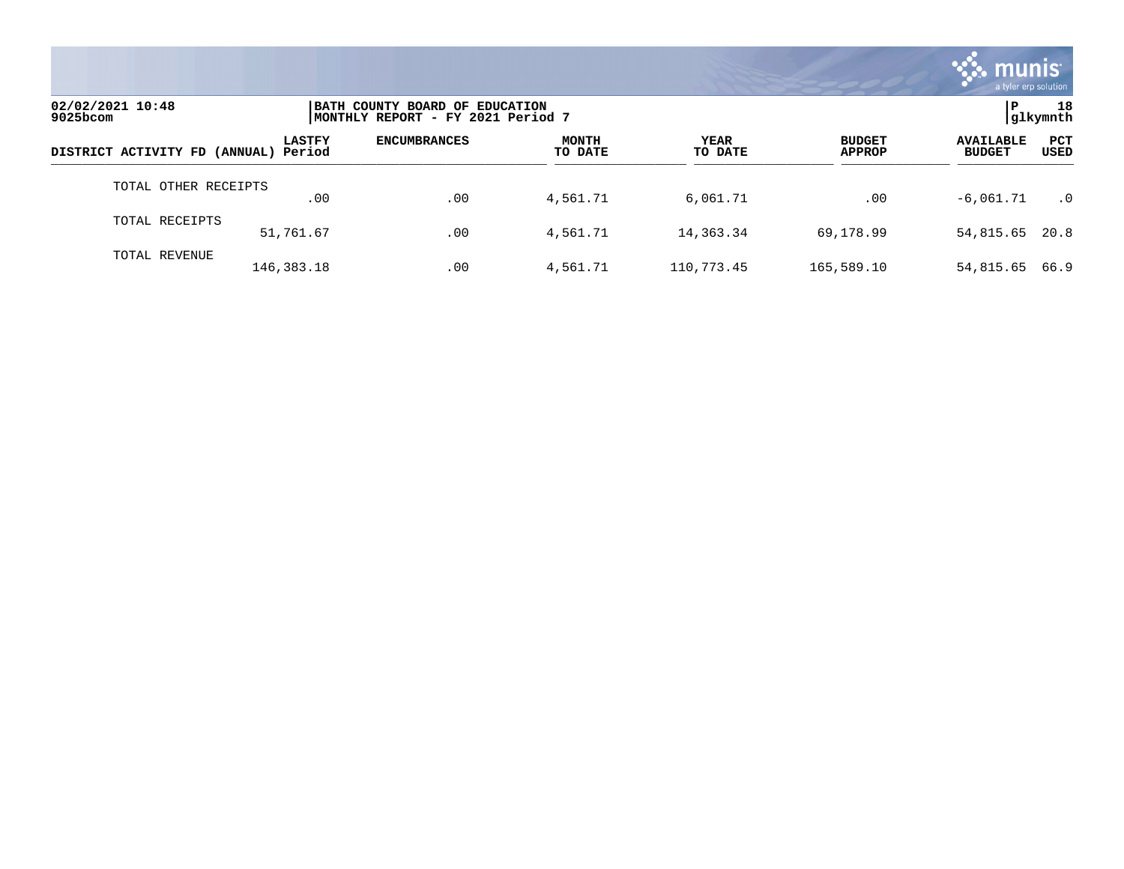

| 02/02/2021 10:48<br>$9025$ bcom      |               | BATH COUNTY BOARD OF EDUCATION<br> MONTHLY REPORT - FY 2021 Period 7 |                         |                 |                                |                                   |                           |  |
|--------------------------------------|---------------|----------------------------------------------------------------------|-------------------------|-----------------|--------------------------------|-----------------------------------|---------------------------|--|
| DISTRICT ACTIVITY FD (ANNUAL) Period | <b>LASTFY</b> | <b>ENCUMBRANCES</b>                                                  | <b>MONTH</b><br>TO DATE | YEAR<br>TO DATE | <b>BUDGET</b><br><b>APPROP</b> | <b>AVAILABLE</b><br><b>BUDGET</b> | <b>PCT</b><br><b>USED</b> |  |
| TOTAL OTHER RECEIPTS                 | .00           | .00                                                                  | 4,561.71                | 6,061.71        | .00                            | $-6.061.71$                       | $\cdot$ 0                 |  |
| TOTAL RECEIPTS                       | 51,761.67     | .00                                                                  | 4,561.71                | 14,363.34       | 69,178.99                      | 54,815.65                         | 20.8                      |  |
| TOTAL REVENUE                        | 146,383.18    | .00                                                                  | 4,561.71                | 110,773.45      | 165,589.10                     | 54,815.65                         | 66.9                      |  |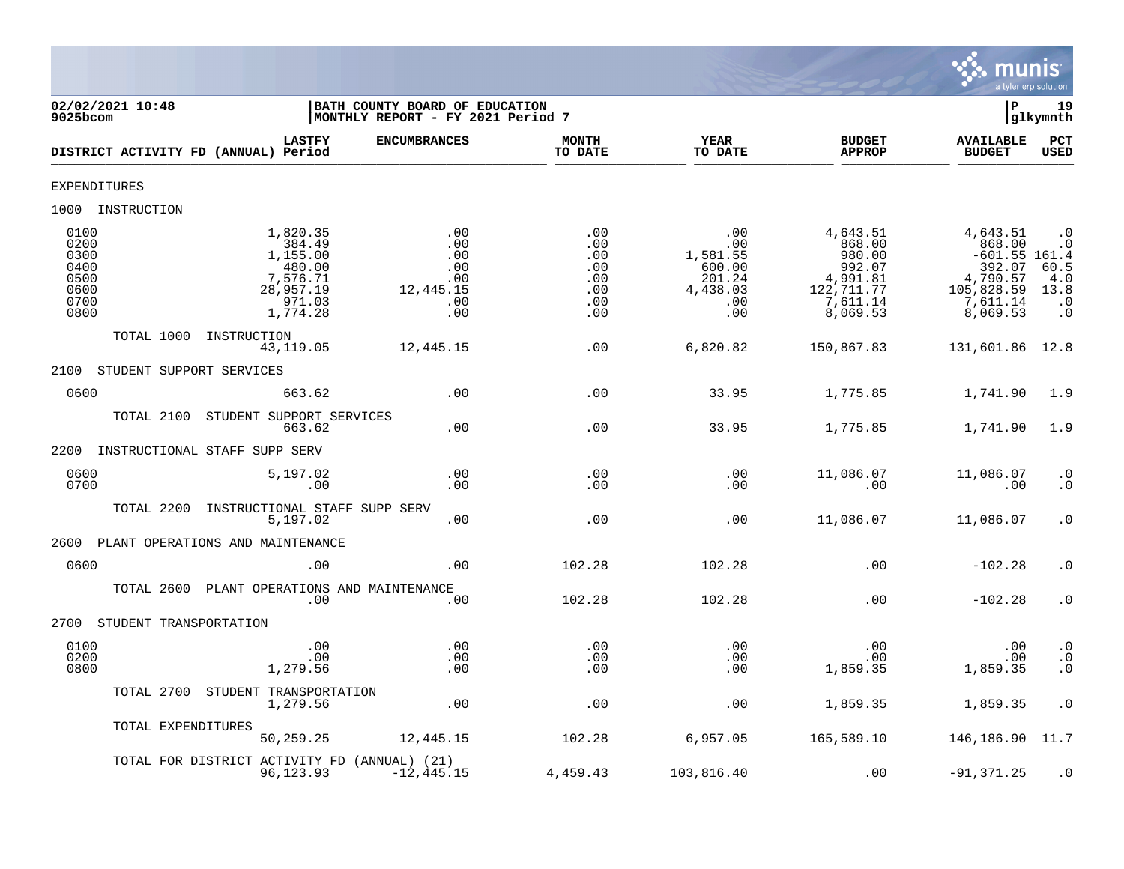

| 02/02/2021 10:48<br>$9025$ bcom                              |                                                                                         | BATH COUNTY BOARD OF EDUCATION<br>MONTHLY REPORT - FY 2021 Period 7 |                                                      |                                                                      |                                                                                           | ΙP                                                                                                | 19<br>glkymnth                                                                       |
|--------------------------------------------------------------|-----------------------------------------------------------------------------------------|---------------------------------------------------------------------|------------------------------------------------------|----------------------------------------------------------------------|-------------------------------------------------------------------------------------------|---------------------------------------------------------------------------------------------------|--------------------------------------------------------------------------------------|
| DISTRICT ACTIVITY FD (ANNUAL) Period                         | <b>LASTFY</b>                                                                           | <b>ENCUMBRANCES</b>                                                 | <b>MONTH</b><br>TO DATE                              | <b>YEAR</b><br>TO DATE                                               | <b>BUDGET</b><br><b>APPROP</b>                                                            | <b>AVAILABLE</b><br><b>BUDGET</b>                                                                 | <b>PCT</b><br><b>USED</b>                                                            |
| <b>EXPENDITURES</b>                                          |                                                                                         |                                                                     |                                                      |                                                                      |                                                                                           |                                                                                                   |                                                                                      |
| 1000 INSTRUCTION                                             |                                                                                         |                                                                     |                                                      |                                                                      |                                                                                           |                                                                                                   |                                                                                      |
| 0100<br>0200<br>0300<br>0400<br>0500<br>0600<br>0700<br>0800 | 1,820.35<br>384.49<br>1,155.00<br>480.00<br>7,576.71<br>28,957.19<br>971.03<br>1,774.28 | .00<br>.00<br>.00<br>.00<br>.00<br>12,445.15<br>.00<br>.00          | .00<br>.00<br>.00<br>.00<br>.00<br>.00<br>.00<br>.00 | .00<br>.00<br>1,581.55<br>600.00<br>201.24<br>4,438.03<br>.00<br>.00 | 4,643.51<br>868.00<br>980.00<br>992.07<br>4,991.81<br>122, 711.77<br>7,611.14<br>8,069.53 | 4,643.51<br>868.00<br>$-601.55$ 161.4<br>392.07<br>4,790.57<br>105,828.59<br>7,611.14<br>8,069.53 | $\cdot$ 0<br>$\cdot$ 0<br>60.5<br>4.0<br>13.8<br>$\cdot$ 0<br>$\boldsymbol{\cdot}$ 0 |
| TOTAL 1000                                                   | INSTRUCTION<br>43,119.05                                                                | 12,445.15                                                           | .00                                                  | 6,820.82                                                             | 150,867.83                                                                                | 131,601.86 12.8                                                                                   |                                                                                      |
| STUDENT SUPPORT SERVICES<br>2100                             |                                                                                         |                                                                     |                                                      |                                                                      |                                                                                           |                                                                                                   |                                                                                      |
| 0600                                                         | 663.62                                                                                  | .00                                                                 | .00                                                  | 33.95                                                                | 1,775.85                                                                                  | 1,741.90                                                                                          | 1.9                                                                                  |
| TOTAL 2100                                                   | STUDENT SUPPORT SERVICES<br>663.62                                                      | .00                                                                 | .00                                                  | 33.95                                                                | 1,775.85                                                                                  | 1,741.90                                                                                          | 1.9                                                                                  |
| 2200                                                         | INSTRUCTIONAL STAFF SUPP SERV                                                           |                                                                     |                                                      |                                                                      |                                                                                           |                                                                                                   |                                                                                      |
| 0600<br>0700                                                 | 5,197.02<br>.00                                                                         | .00<br>.00                                                          | .00<br>.00                                           | .00<br>.00                                                           | 11,086.07<br>.00                                                                          | 11,086.07<br>.00                                                                                  | $\cdot$ 0<br>$\cdot$ 0                                                               |
| TOTAL 2200                                                   | INSTRUCTIONAL STAFF SUPP SERV<br>5,197.02                                               | .00                                                                 | .00                                                  | .00                                                                  | 11,086.07                                                                                 | 11,086.07                                                                                         | $\cdot$ 0                                                                            |
| 2600                                                         | PLANT OPERATIONS AND MAINTENANCE                                                        |                                                                     |                                                      |                                                                      |                                                                                           |                                                                                                   |                                                                                      |
| 0600                                                         | .00                                                                                     | .00.                                                                | 102.28                                               | 102.28                                                               | .00                                                                                       | $-102.28$                                                                                         | $\cdot$ 0                                                                            |
|                                                              | TOTAL 2600 PLANT OPERATIONS AND MAINTENANCE<br>.00                                      | .00                                                                 | 102.28                                               | 102.28                                                               | .00                                                                                       | $-102.28$                                                                                         | $\cdot$ 0                                                                            |
| STUDENT TRANSPORTATION<br>2700                               |                                                                                         |                                                                     |                                                      |                                                                      |                                                                                           |                                                                                                   |                                                                                      |
| 0100<br>0200<br>0800                                         | .00<br>.00<br>1,279.56                                                                  | .00<br>.00<br>.00                                                   | .00<br>.00<br>.00                                    | .00<br>.00<br>.00                                                    | .00<br>.00<br>1,859.35                                                                    | .00<br>.00<br>1,859.35                                                                            | $\cdot$ 0<br>$\cdot$ 0<br>$\cdot$ 0                                                  |
|                                                              | TOTAL 2700 STUDENT TRANSPORTATION<br>1,279.56                                           | .00                                                                 | .00                                                  | .00                                                                  | 1,859.35                                                                                  | 1,859.35                                                                                          | $\cdot$ 0                                                                            |
| TOTAL EXPENDITURES                                           | 50,259.25                                                                               | 12,445.15                                                           | 102.28                                               | 6,957.05                                                             | 165,589.10                                                                                | 146, 186. 90 11. 7                                                                                |                                                                                      |
|                                                              | TOTAL FOR DISTRICT ACTIVITY FD (ANNUAL) (21)<br>96,123.93                               | $-12, 445.15$                                                       | 4,459.43                                             | 103,816.40                                                           | .00                                                                                       | $-91, 371.25$                                                                                     | $\cdot$ 0                                                                            |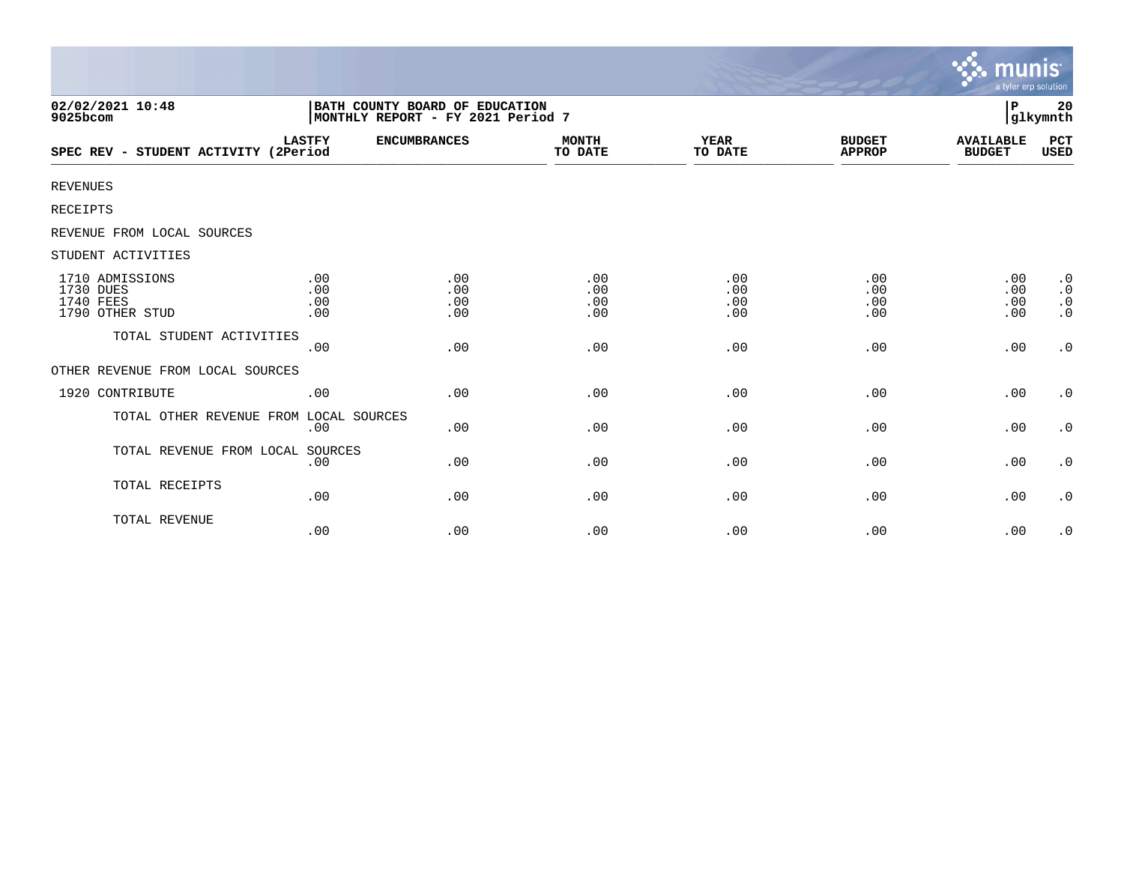|                                                              |                                                                     |                          |                          |                          |                                | munis<br>a tyler erp solution     |                                                               |
|--------------------------------------------------------------|---------------------------------------------------------------------|--------------------------|--------------------------|--------------------------|--------------------------------|-----------------------------------|---------------------------------------------------------------|
| 02/02/2021 10:48<br>9025bcom                                 | BATH COUNTY BOARD OF EDUCATION<br>MONTHLY REPORT - FY 2021 Period 7 |                          |                          |                          |                                | P                                 | 20<br> glkymnth                                               |
| SPEC REV - STUDENT ACTIVITY (2Period                         | <b>LASTFY</b>                                                       | <b>ENCUMBRANCES</b>      | <b>MONTH</b><br>TO DATE  | <b>YEAR</b><br>TO DATE   | <b>BUDGET</b><br><b>APPROP</b> | <b>AVAILABLE</b><br><b>BUDGET</b> | <b>PCT</b><br>USED                                            |
| <b>REVENUES</b>                                              |                                                                     |                          |                          |                          |                                |                                   |                                                               |
| <b>RECEIPTS</b>                                              |                                                                     |                          |                          |                          |                                |                                   |                                                               |
| REVENUE FROM LOCAL SOURCES                                   |                                                                     |                          |                          |                          |                                |                                   |                                                               |
| STUDENT ACTIVITIES                                           |                                                                     |                          |                          |                          |                                |                                   |                                                               |
| 1710 ADMISSIONS<br>1730 DUES<br>1740 FEES<br>1790 OTHER STUD | .00<br>.00<br>.00<br>.00                                            | .00<br>.00<br>.00<br>.00 | .00<br>.00<br>.00<br>.00 | .00<br>.00<br>.00<br>.00 | .00<br>.00<br>.00<br>.00       | .00<br>.00<br>.00<br>.00          | $\cdot$ 0<br>$\boldsymbol{\cdot}$ 0<br>$\cdot$ 0<br>$\cdot$ 0 |
| TOTAL STUDENT ACTIVITIES                                     | .00                                                                 | .00                      | .00                      | .00                      | .00                            | .00                               | $\cdot$ 0                                                     |
| OTHER REVENUE FROM LOCAL SOURCES                             |                                                                     |                          |                          |                          |                                |                                   |                                                               |
| 1920 CONTRIBUTE                                              | .00                                                                 | .00                      | .00                      | .00                      | .00                            | .00                               | $\cdot$ 0                                                     |
| TOTAL OTHER REVENUE FROM LOCAL SOURCES                       | .00                                                                 | .00                      | .00                      | .00                      | .00                            | .00                               | $\cdot$ 0                                                     |
| TOTAL REVENUE FROM LOCAL SOURCES                             | .00                                                                 | .00                      | .00                      | .00                      | .00                            | .00                               | $\cdot$ 0                                                     |
| TOTAL RECEIPTS                                               | .00                                                                 | .00                      | .00                      | .00                      | .00                            | .00                               | $\cdot$ 0                                                     |
| TOTAL REVENUE                                                | .00                                                                 | .00                      | .00                      | .00                      | .00                            | .00                               | $\cdot$ 0                                                     |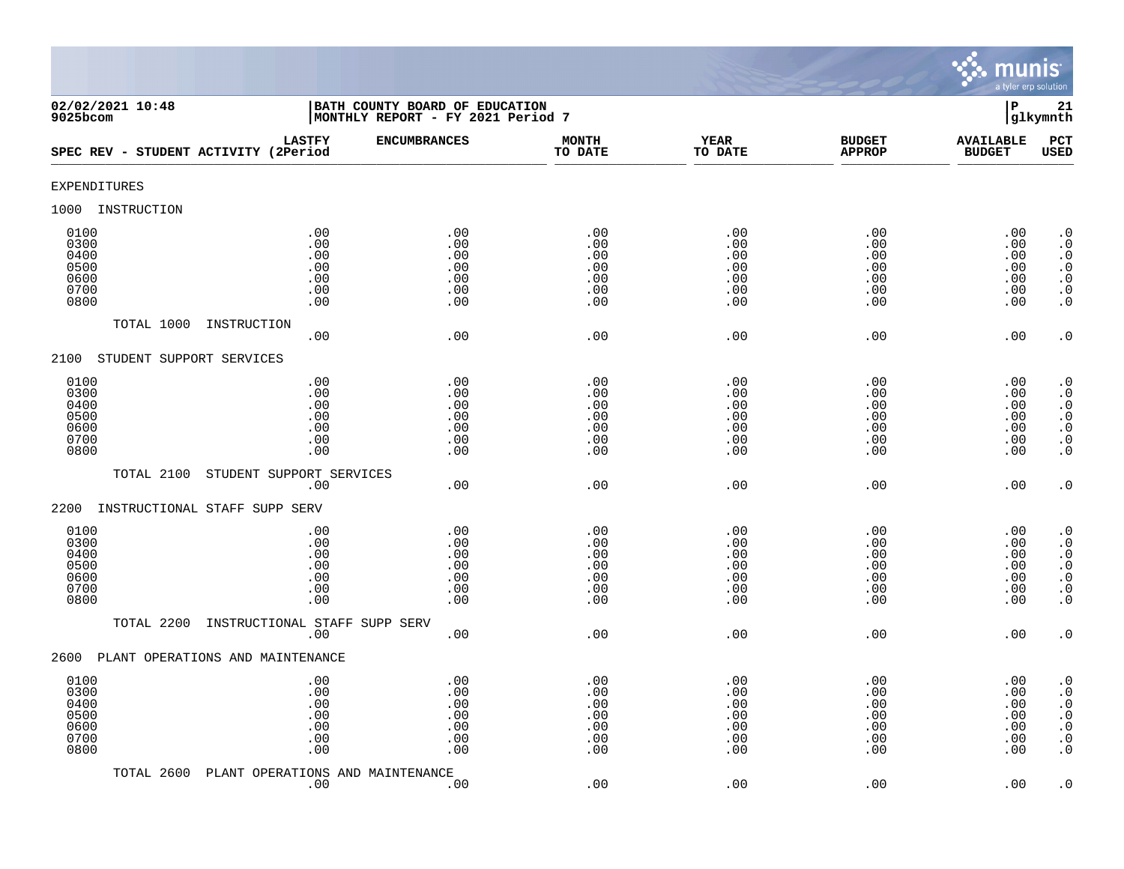

| 02/02/2021 10:48<br>$9025$ bcom                      |                                                 | BATH COUNTY BOARD OF EDUCATION<br>$\mathbf P$<br>MONTHLY REPORT - FY 2021 Period 7<br>glkymnth |                                               |                                               |                                               |                                               |                                                                                                                                                   |  |
|------------------------------------------------------|-------------------------------------------------|------------------------------------------------------------------------------------------------|-----------------------------------------------|-----------------------------------------------|-----------------------------------------------|-----------------------------------------------|---------------------------------------------------------------------------------------------------------------------------------------------------|--|
| SPEC REV - STUDENT ACTIVITY (2Period                 | <b>LASTFY</b>                                   | <b>ENCUMBRANCES</b>                                                                            | <b>MONTH</b><br>TO DATE                       | <b>YEAR</b><br>TO DATE                        | <b>BUDGET</b><br><b>APPROP</b>                | <b>AVAILABLE</b><br><b>BUDGET</b>             | PCT<br><b>USED</b>                                                                                                                                |  |
| <b>EXPENDITURES</b>                                  |                                                 |                                                                                                |                                               |                                               |                                               |                                               |                                                                                                                                                   |  |
| 1000<br>INSTRUCTION                                  |                                                 |                                                                                                |                                               |                                               |                                               |                                               |                                                                                                                                                   |  |
| 0100<br>0300<br>0400<br>0500<br>0600<br>0700<br>0800 | .00<br>.00<br>.00<br>$.00$<br>.00<br>.00<br>.00 | .00<br>.00<br>.00<br>.00<br>.00<br>.00<br>.00                                                  | .00<br>.00<br>.00<br>.00<br>.00<br>.00<br>.00 | .00<br>.00<br>.00<br>.00<br>.00<br>.00<br>.00 | .00<br>.00<br>.00<br>.00<br>.00<br>.00<br>.00 | .00<br>.00<br>.00<br>.00<br>.00<br>.00<br>.00 | $\cdot$ 0<br>$\boldsymbol{\cdot}$ 0<br>$\cdot$ 0<br>$\begin{smallmatrix} . & 0 \\ . & 0 \end{smallmatrix}$<br>$\boldsymbol{\cdot}$ 0<br>$\cdot$ 0 |  |
| TOTAL 1000                                           | INSTRUCTION<br>.00                              | .00                                                                                            | .00                                           | .00                                           | .00                                           | .00                                           | $\cdot$ 0                                                                                                                                         |  |
| STUDENT SUPPORT SERVICES<br>2100                     |                                                 |                                                                                                |                                               |                                               |                                               |                                               |                                                                                                                                                   |  |
| 0100<br>0300<br>0400<br>0500<br>0600<br>0700<br>0800 | .00<br>.00<br>.00<br>.00<br>.00<br>.00<br>.00   | .00<br>.00<br>.00<br>.00<br>.00<br>.00<br>.00                                                  | .00<br>.00<br>.00<br>.00<br>.00<br>.00<br>.00 | .00<br>.00<br>.00<br>.00<br>.00<br>.00<br>.00 | .00<br>.00<br>.00<br>.00<br>.00<br>.00<br>.00 | .00<br>.00<br>.00<br>.00<br>.00<br>.00<br>.00 | $\cdot$ 0<br>$\cdot$ 0<br>$\cdot$ 0<br>$\begin{array}{c} 0 \\ 0 \\ 0 \\ 0 \end{array}$<br>$\cdot$ 0                                               |  |
| TOTAL 2100                                           | STUDENT SUPPORT SERVICES                        |                                                                                                |                                               |                                               |                                               |                                               |                                                                                                                                                   |  |
| 2200<br>INSTRUCTIONAL STAFF SUPP SERV                | .00                                             | .00                                                                                            | .00                                           | .00                                           | .00                                           | .00                                           | $\cdot$ 0                                                                                                                                         |  |
| 0100<br>0300<br>0400<br>0500<br>0600<br>0700<br>0800 | .00<br>.00<br>.00<br>.00<br>.00<br>.00<br>.00   | .00<br>.00<br>.00<br>.00<br>.00<br>.00<br>.00                                                  | .00<br>.00<br>.00<br>.00<br>.00<br>.00<br>.00 | .00<br>.00<br>.00<br>.00<br>.00<br>.00<br>.00 | .00<br>.00<br>.00<br>.00<br>.00<br>.00<br>.00 | .00<br>.00<br>.00<br>.00<br>.00<br>.00<br>.00 | $\cdot$ 0<br>$\cdot$ 0<br>$\begin{smallmatrix} 0.1 \\ 0.1 \end{smallmatrix}$<br>$\ddot{0}$<br>$\boldsymbol{\cdot}$ 0<br>$\overline{0}$            |  |
| TOTAL 2200                                           | INSTRUCTIONAL STAFF SUPP SERV<br>.00            | .00                                                                                            | .00                                           | .00                                           | .00                                           | .00                                           | $\cdot$ 0                                                                                                                                         |  |
| PLANT OPERATIONS AND MAINTENANCE<br>2600             |                                                 |                                                                                                |                                               |                                               |                                               |                                               |                                                                                                                                                   |  |
| 0100<br>0300<br>0400<br>0500<br>0600<br>0700<br>0800 | .00<br>.00<br>.00<br>.00<br>$.00$<br>.00<br>.00 | .00<br>.00<br>.00<br>.00<br>.00<br>.00<br>.00                                                  | .00<br>.00<br>.00<br>.00<br>.00<br>.00<br>.00 | .00<br>.00<br>.00<br>.00<br>.00<br>.00<br>.00 | .00<br>.00<br>.00<br>.00<br>.00<br>.00<br>.00 | .00<br>.00<br>.00<br>.00<br>.00<br>.00<br>.00 | $\cdot$ 0<br>$\cdot$ 0<br>$\boldsymbol{\cdot}$ 0<br>$\ddot{0}$<br>$\boldsymbol{\cdot}$ 0<br>$\boldsymbol{\cdot}$ 0<br>$\cdot$ 0                   |  |
| TOTAL 2600                                           | PLANT OPERATIONS AND MAINTENANCE<br>.00         | .00                                                                                            | .00                                           | .00                                           | .00                                           | .00                                           | $\cdot$ 0                                                                                                                                         |  |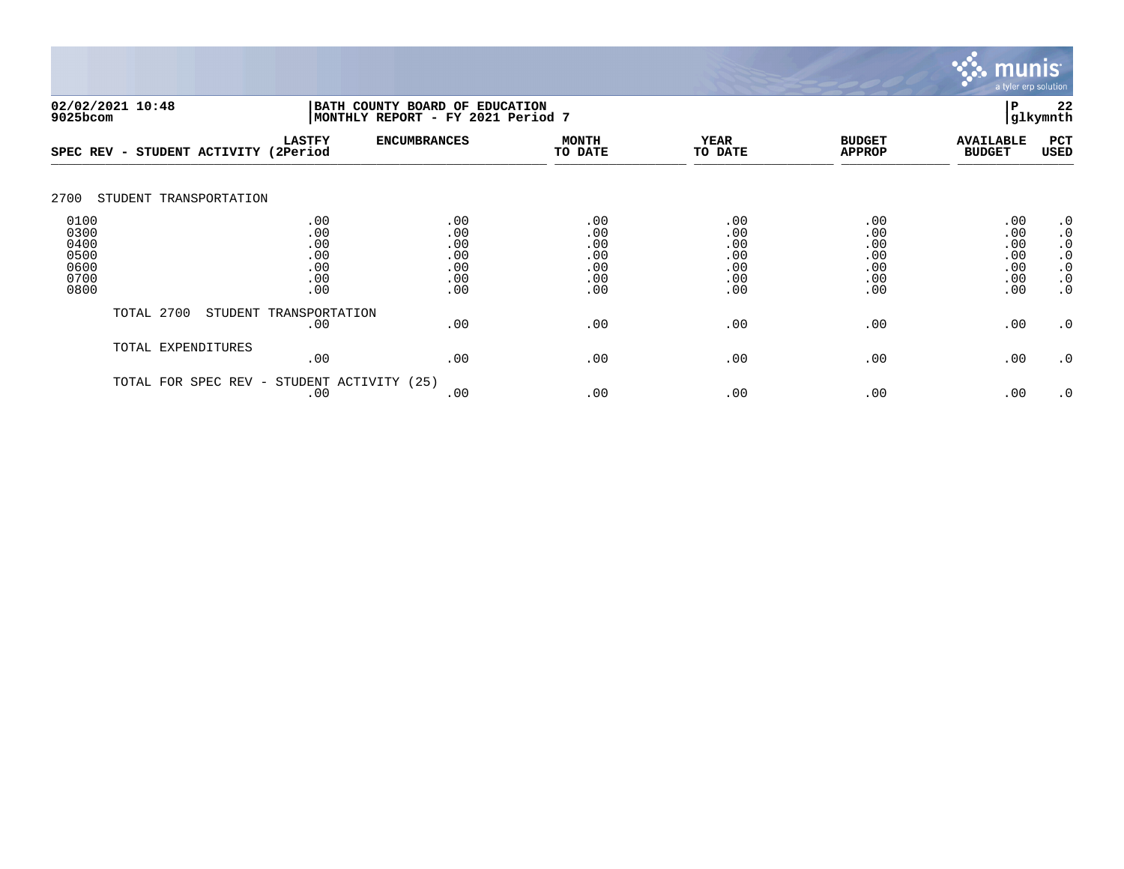

|                                                      | 02/02/2021 10:48<br>BATH COUNTY BOARD OF EDUCATION<br>MONTHLY REPORT - FY 2021 Period 7<br>9025bcom |                                               |                                               |                                               |                                               |                                               |                                               |                                                                                         |
|------------------------------------------------------|-----------------------------------------------------------------------------------------------------|-----------------------------------------------|-----------------------------------------------|-----------------------------------------------|-----------------------------------------------|-----------------------------------------------|-----------------------------------------------|-----------------------------------------------------------------------------------------|
| SPEC REV                                             | STUDENT ACTIVITY<br>$\overline{\phantom{0}}$                                                        | <b>LASTFY</b><br>(2Period                     | <b>ENCUMBRANCES</b>                           | <b>MONTH</b><br>TO DATE                       | <b>YEAR</b><br>TO DATE                        | <b>BUDGET</b><br><b>APPROP</b>                | <b>AVAILABLE</b><br><b>BUDGET</b>             | PCT<br>USED                                                                             |
| 2700                                                 | STUDENT TRANSPORTATION                                                                              |                                               |                                               |                                               |                                               |                                               |                                               |                                                                                         |
| 0100<br>0300<br>0400<br>0500<br>0600<br>0700<br>0800 |                                                                                                     | .00<br>.00<br>.00<br>.00<br>.00<br>.00<br>.00 | .00<br>.00<br>.00<br>.00<br>.00<br>.00<br>.00 | .00<br>.00<br>.00<br>.00<br>.00<br>.00<br>.00 | .00<br>.00<br>.00<br>.00<br>.00<br>.00<br>.00 | .00<br>.00<br>.00<br>.00<br>.00<br>.00<br>.00 | .00<br>.00<br>.00<br>.00<br>.00<br>.00<br>.00 | $\cdot$ 0<br>$\cdot$ 0<br>$\cdot$ 0<br>$\cdot$ 0<br>$\cdot$ 0<br>$\cdot$ 0<br>$\cdot$ 0 |
|                                                      | TOTAL 2700                                                                                          | STUDENT TRANSPORTATION<br>.00                 | .00                                           | .00                                           | .00                                           | .00                                           | .00                                           | $\cdot$ 0                                                                               |
|                                                      | TOTAL EXPENDITURES                                                                                  | .00                                           | .00                                           | .00                                           | .00                                           | .00                                           | .00                                           | $\cdot$ 0                                                                               |
|                                                      | SPEC REV -<br>TOTAL FOR                                                                             | STUDENT ACTIVITY (25)<br>.00                  | .00                                           | .00                                           | .00                                           | .00                                           | .00                                           | $\cdot$ 0                                                                               |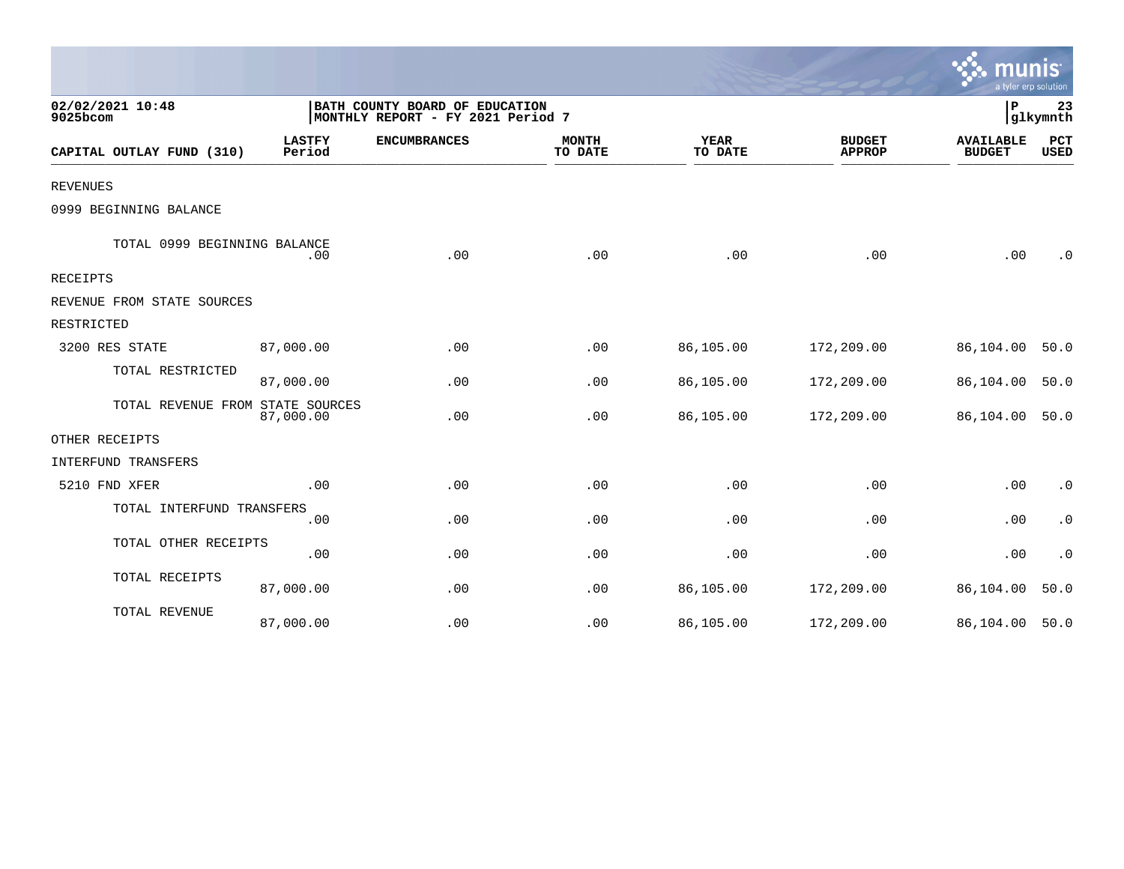|                                  |                         |                                                                     |                         |                        |                                | a tyler erp solution              |                |
|----------------------------------|-------------------------|---------------------------------------------------------------------|-------------------------|------------------------|--------------------------------|-----------------------------------|----------------|
| 02/02/2021 10:48<br>9025bcom     |                         | BATH COUNTY BOARD OF EDUCATION<br>MONTHLY REPORT - FY 2021 Period 7 |                         |                        |                                | ΙP                                | 23<br>glkymnth |
| CAPITAL OUTLAY FUND (310)        | <b>LASTFY</b><br>Period | <b>ENCUMBRANCES</b>                                                 | <b>MONTH</b><br>TO DATE | <b>YEAR</b><br>TO DATE | <b>BUDGET</b><br><b>APPROP</b> | <b>AVAILABLE</b><br><b>BUDGET</b> | PCT<br>USED    |
| <b>REVENUES</b>                  |                         |                                                                     |                         |                        |                                |                                   |                |
| 0999 BEGINNING BALANCE           |                         |                                                                     |                         |                        |                                |                                   |                |
| TOTAL 0999 BEGINNING BALANCE     | .00                     | .00                                                                 | .00                     | .00                    | .00                            | .00                               | $\cdot$ 0      |
| <b>RECEIPTS</b>                  |                         |                                                                     |                         |                        |                                |                                   |                |
| REVENUE FROM STATE SOURCES       |                         |                                                                     |                         |                        |                                |                                   |                |
| RESTRICTED                       |                         |                                                                     |                         |                        |                                |                                   |                |
| 3200 RES STATE                   | 87,000.00               | .00                                                                 | .00                     | 86,105.00              | 172,209.00                     | 86,104.00                         | 50.0           |
| TOTAL RESTRICTED                 | 87,000.00               | .00                                                                 | .00                     | 86,105.00              | 172,209.00                     | 86,104.00                         | 50.0           |
| TOTAL REVENUE FROM STATE SOURCES | 87,000.00               | .00                                                                 | .00                     | 86,105.00              | 172,209.00                     | 86,104.00                         | 50.0           |
| OTHER RECEIPTS                   |                         |                                                                     |                         |                        |                                |                                   |                |
| INTERFUND TRANSFERS              |                         |                                                                     |                         |                        |                                |                                   |                |
| 5210 FND XFER                    | .00                     | .00                                                                 | .00                     | .00                    | .00                            | .00                               | $\cdot$ 0      |
| TOTAL INTERFUND TRANSFERS        | .00                     | .00                                                                 | .00                     | .00                    | .00                            | .00                               | $\cdot$ 0      |
| TOTAL OTHER RECEIPTS             | .00                     | .00                                                                 | .00                     | .00                    | .00                            | .00                               | $\cdot$ 0      |
| TOTAL RECEIPTS                   | 87,000.00               | .00                                                                 | .00                     | 86,105.00              | 172,209.00                     | 86,104.00                         | 50.0           |
| TOTAL REVENUE                    | 87,000.00               | .00                                                                 | .00                     | 86,105.00              | 172,209.00                     | 86,104.00                         | 50.0           |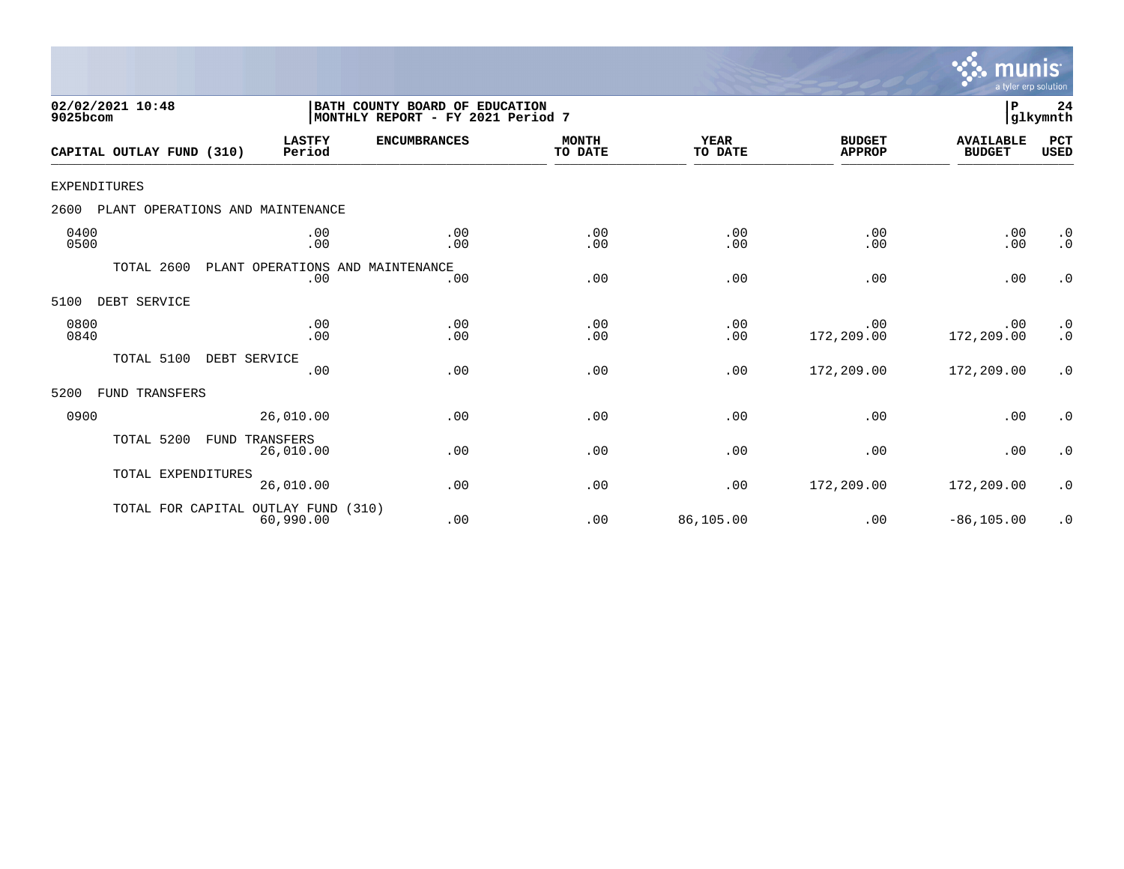

| 02/02/2021 10:48<br>9025bcom |                                  |                                         | BATH COUNTY BOARD OF EDUCATION<br>MONTHLY REPORT - FY 2021 Period 7 |                         |                        |                                | P                                 | 24<br>glkymnth         |
|------------------------------|----------------------------------|-----------------------------------------|---------------------------------------------------------------------|-------------------------|------------------------|--------------------------------|-----------------------------------|------------------------|
|                              | CAPITAL OUTLAY FUND (310)        | <b>LASTFY</b><br>Period                 | <b>ENCUMBRANCES</b>                                                 | <b>MONTH</b><br>TO DATE | <b>YEAR</b><br>TO DATE | <b>BUDGET</b><br><b>APPROP</b> | <b>AVAILABLE</b><br><b>BUDGET</b> | PCT<br><b>USED</b>     |
| <b>EXPENDITURES</b>          |                                  |                                         |                                                                     |                         |                        |                                |                                   |                        |
| 2600                         | PLANT OPERATIONS AND MAINTENANCE |                                         |                                                                     |                         |                        |                                |                                   |                        |
| 0400<br>0500                 |                                  | .00<br>.00                              | .00<br>.00                                                          | .00<br>.00              | .00<br>.00             | .00<br>.00                     | .00<br>.00                        | $\cdot$ 0<br>$\cdot$ 0 |
|                              | TOTAL 2600                       | PLANT OPERATIONS AND MAINTENANCE<br>.00 | .00                                                                 | .00                     | .00                    | .00                            | .00                               | $\cdot$ 0              |
| 5100                         | DEBT SERVICE                     |                                         |                                                                     |                         |                        |                                |                                   |                        |
| 0800<br>0840                 |                                  | .00<br>.00                              | .00<br>.00                                                          | .00<br>.00              | .00<br>.00             | .00<br>172,209.00              | .00<br>172,209.00                 | $\cdot$ 0<br>$\cdot$ 0 |
|                              | TOTAL 5100<br>DEBT SERVICE       | .00                                     | .00                                                                 | .00                     | .00                    | 172,209.00                     | 172,209.00                        | $\cdot$ 0              |
| 5200                         | FUND TRANSFERS                   |                                         |                                                                     |                         |                        |                                |                                   |                        |
| 0900                         |                                  | 26,010.00                               | .00                                                                 | .00                     | .00                    | .00                            | .00                               | $\cdot$ 0              |
|                              | TOTAL 5200<br>FUND               | TRANSFERS<br>26,010.00                  | .00                                                                 | .00                     | .00                    | .00                            | .00                               | $\cdot$ 0              |
|                              | TOTAL EXPENDITURES               | 26,010.00                               | .00                                                                 | .00                     | .00                    | 172,209.00                     | 172,209.00                        | $\cdot$ 0              |
|                              | TOTAL FOR CAPITAL OUTLAY FUND    | 60,990.00                               | (310)<br>.00                                                        | .00                     | 86,105.00              | .00                            | $-86, 105.00$                     | $\cdot$ 0              |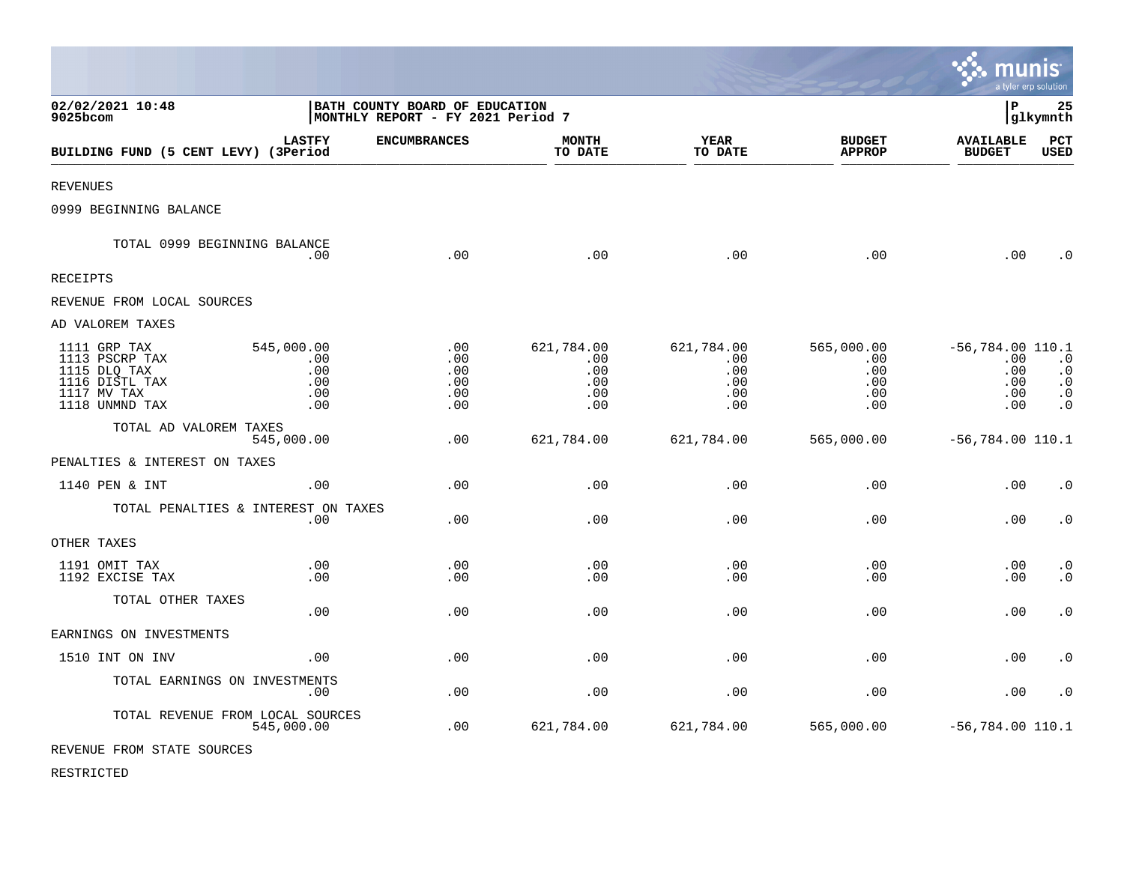|                                                                                                   |                                               |                                                                     |                                               |                                               |                                               | munis                                                  | a tyler erp solution                                                        |
|---------------------------------------------------------------------------------------------------|-----------------------------------------------|---------------------------------------------------------------------|-----------------------------------------------|-----------------------------------------------|-----------------------------------------------|--------------------------------------------------------|-----------------------------------------------------------------------------|
| 02/02/2021 10:48<br>9025bcom                                                                      |                                               | BATH COUNTY BOARD OF EDUCATION<br>MONTHLY REPORT - FY 2021 Period 7 |                                               |                                               |                                               | $\mathbf{P}$                                           | 25<br>glkymnth                                                              |
| BUILDING FUND (5 CENT LEVY) (3Period                                                              | <b>LASTFY</b>                                 | <b>ENCUMBRANCES</b>                                                 | <b>MONTH</b><br>TO DATE                       | <b>YEAR</b><br>TO DATE                        | <b>BUDGET</b><br><b>APPROP</b>                | <b>AVAILABLE</b><br><b>BUDGET</b>                      | PCT<br><b>USED</b>                                                          |
| <b>REVENUES</b>                                                                                   |                                               |                                                                     |                                               |                                               |                                               |                                                        |                                                                             |
| 0999 BEGINNING BALANCE                                                                            |                                               |                                                                     |                                               |                                               |                                               |                                                        |                                                                             |
| TOTAL 0999 BEGINNING BALANCE                                                                      | .00                                           | .00                                                                 | .00                                           | .00                                           | .00                                           | .00                                                    | $\cdot$ 0                                                                   |
| <b>RECEIPTS</b>                                                                                   |                                               |                                                                     |                                               |                                               |                                               |                                                        |                                                                             |
| REVENUE FROM LOCAL SOURCES                                                                        |                                               |                                                                     |                                               |                                               |                                               |                                                        |                                                                             |
| AD VALOREM TAXES                                                                                  |                                               |                                                                     |                                               |                                               |                                               |                                                        |                                                                             |
| 1111 GRP TAX<br>1113 PSCRP TAX<br>1115 DLQ TAX<br>1116 DISTL TAX<br>1117 MV TAX<br>1118 UNMND TAX | 545,000.00<br>.00<br>.00<br>.00<br>.00<br>.00 | .00<br>.00<br>.00<br>.00<br>.00<br>.00                              | 621,784.00<br>.00<br>.00<br>.00<br>.00<br>.00 | 621,784.00<br>.00<br>.00<br>.00<br>.00<br>.00 | 565,000.00<br>.00<br>.00<br>.00<br>.00<br>.00 | $-56, 784.00$ 110.1<br>.00<br>.00<br>.00<br>.00<br>.00 | $\cdot$ 0<br>$\boldsymbol{\cdot}$ 0<br>$\cdot$ 0<br>$\ddot{0}$<br>$\cdot$ 0 |
| TOTAL AD VALOREM TAXES                                                                            | 545,000.00                                    | .00                                                                 | 621,784.00                                    | 621,784.00                                    | 565,000.00                                    | $-56,784.00$ 110.1                                     |                                                                             |
| PENALTIES & INTEREST ON TAXES                                                                     |                                               |                                                                     |                                               |                                               |                                               |                                                        |                                                                             |
| 1140 PEN & INT                                                                                    | .00                                           | .00                                                                 | .00                                           | .00                                           | .00                                           | .00                                                    | $\cdot$ 0                                                                   |
| TOTAL PENALTIES & INTEREST ON TAXES                                                               | .00                                           | .00                                                                 | .00                                           | .00                                           | .00                                           | .00                                                    | $\cdot$ 0                                                                   |
| OTHER TAXES                                                                                       |                                               |                                                                     |                                               |                                               |                                               |                                                        |                                                                             |
| 1191 OMIT TAX<br>1192 EXCISE TAX                                                                  | .00<br>.00                                    | .00<br>.00                                                          | .00<br>.00                                    | .00<br>.00                                    | .00<br>.00                                    | $.00 \,$<br>$.00 \,$                                   | $\cdot$ 0<br>$\cdot$ 0                                                      |
| TOTAL OTHER TAXES                                                                                 | .00                                           | .00                                                                 | .00                                           | .00                                           | .00                                           | .00                                                    | $\cdot$ 0                                                                   |
| EARNINGS ON INVESTMENTS                                                                           |                                               |                                                                     |                                               |                                               |                                               |                                                        |                                                                             |
| 1510 INT ON INV                                                                                   | .00                                           | .00                                                                 | .00                                           | .00                                           | .00                                           | .00                                                    | $\cdot$ 0                                                                   |
| TOTAL EARNINGS ON INVESTMENTS                                                                     | .00                                           | .00                                                                 | .00                                           | .00                                           | .00                                           | .00                                                    | $\cdot$ 0                                                                   |
| TOTAL REVENUE FROM LOCAL SOURCES                                                                  | 545,000.00                                    | .00                                                                 | 621,784.00                                    | 621,784.00                                    | 565,000.00                                    | $-56,784.00$ 110.1                                     |                                                                             |

 $\bullet$ 

REVENUE FROM STATE SOURCES

RESTRICTED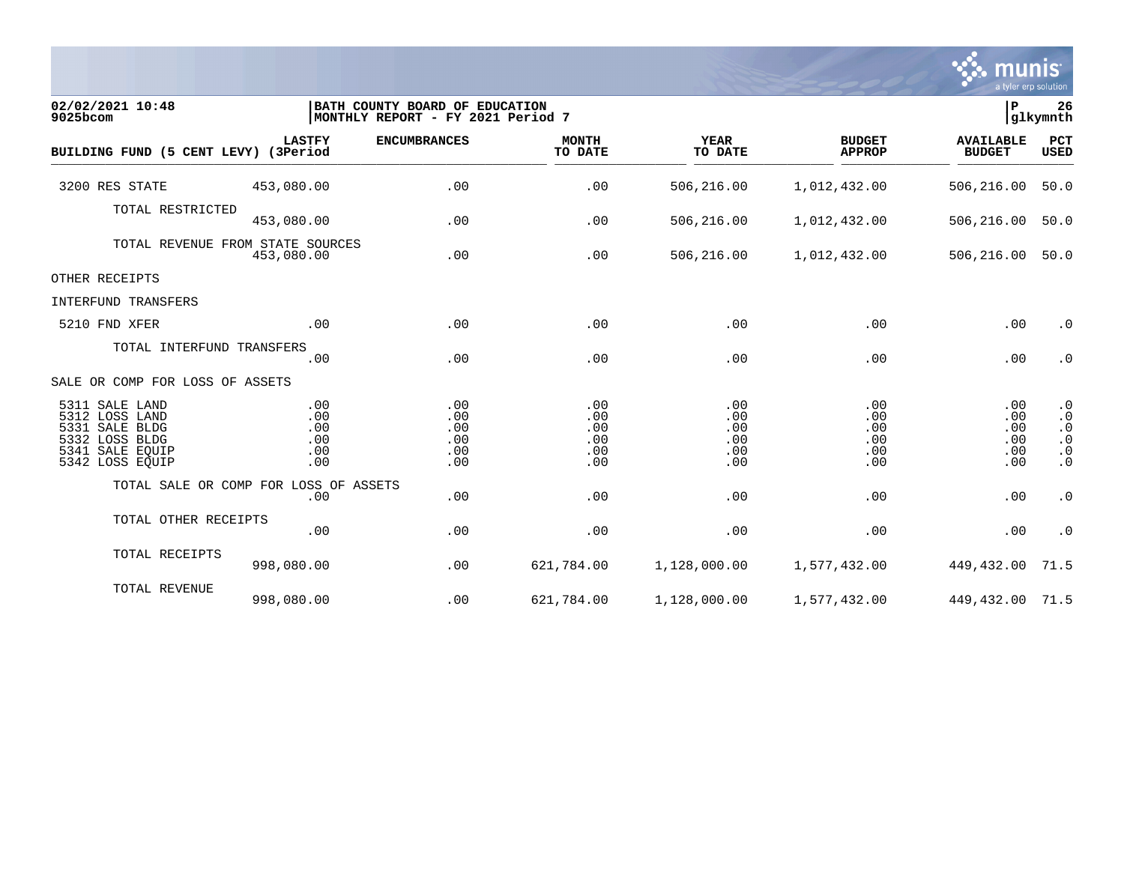

| 02/02/2021 10:48<br>9025bcom                                                                                  |                                        | ∣₽<br>BATH COUNTY BOARD OF EDUCATION<br>glkymnth<br>MONTHLY REPORT - FY 2021 Period 7 |                                        |                                        |                                        |                                        |                                                                            |  |  |
|---------------------------------------------------------------------------------------------------------------|----------------------------------------|---------------------------------------------------------------------------------------|----------------------------------------|----------------------------------------|----------------------------------------|----------------------------------------|----------------------------------------------------------------------------|--|--|
| BUILDING FUND (5 CENT LEVY) (3Period                                                                          | <b>LASTFY</b>                          | <b>ENCUMBRANCES</b>                                                                   | <b>MONTH</b><br>TO DATE                | <b>YEAR</b><br>TO DATE                 | <b>BUDGET</b><br><b>APPROP</b>         | <b>AVAILABLE</b><br><b>BUDGET</b>      | <b>PCT</b><br><b>USED</b>                                                  |  |  |
| 3200 RES STATE                                                                                                | 453,080.00                             | .00                                                                                   | .00                                    | 506,216.00                             | 1,012,432.00                           | 506,216.00                             | 50.0                                                                       |  |  |
| TOTAL RESTRICTED                                                                                              | 453,080.00                             | .00                                                                                   | .00                                    | 506,216.00                             | 1,012,432.00                           | 506,216.00                             | 50.0                                                                       |  |  |
| TOTAL REVENUE FROM STATE SOURCES                                                                              | 453,080.00                             | .00                                                                                   | .00                                    | 506,216.00                             | 1,012,432.00                           | 506,216.00                             | 50.0                                                                       |  |  |
| OTHER RECEIPTS                                                                                                |                                        |                                                                                       |                                        |                                        |                                        |                                        |                                                                            |  |  |
| INTERFUND TRANSFERS                                                                                           |                                        |                                                                                       |                                        |                                        |                                        |                                        |                                                                            |  |  |
| 5210 FND XFER                                                                                                 | .00                                    | .00                                                                                   | .00                                    | .00                                    | .00                                    | .00                                    | $\cdot$ 0                                                                  |  |  |
| TOTAL INTERFUND TRANSFERS                                                                                     | .00                                    | .00                                                                                   | .00                                    | .00                                    | .00                                    | .00                                    | $\cdot$ 0                                                                  |  |  |
| SALE OR COMP FOR LOSS OF ASSETS                                                                               |                                        |                                                                                       |                                        |                                        |                                        |                                        |                                                                            |  |  |
| 5311 SALE LAND<br>5312 LOSS LAND<br>5331 SALE BLDG<br>5332 LOSS BLDG<br>5341<br>SALE EOUIP<br>5342 LOSS EQUIP | .00<br>.00<br>.00<br>.00<br>.00<br>.00 | .00<br>.00<br>.00<br>.00<br>.00<br>.00                                                | .00<br>.00<br>.00<br>.00<br>.00<br>.00 | .00<br>.00<br>.00<br>.00<br>.00<br>.00 | .00<br>.00<br>.00<br>.00<br>.00<br>.00 | .00<br>.00<br>.00<br>.00<br>.00<br>.00 | $\cdot$ 0<br>$\cdot$ 0<br>$\cdot$ 0<br>$\cdot$ 0<br>$\cdot$ 0<br>$\cdot$ 0 |  |  |
| TOTAL SALE OR COMP FOR LOSS OF ASSETS                                                                         | .00                                    | .00                                                                                   | .00                                    | .00                                    | .00                                    | .00                                    | $\cdot$ 0                                                                  |  |  |
| TOTAL OTHER RECEIPTS                                                                                          | .00                                    | .00                                                                                   | .00                                    | .00                                    | .00                                    | .00                                    | $\cdot$ 0                                                                  |  |  |
| TOTAL RECEIPTS                                                                                                | 998,080.00                             | .00                                                                                   | 621,784.00                             | 1,128,000.00                           | 1,577,432.00                           | 449,432.00                             | 71.5                                                                       |  |  |
| TOTAL REVENUE                                                                                                 | 998,080.00                             | .00                                                                                   | 621,784.00                             | 1,128,000.00                           | 1,577,432.00                           | 449, 432.00 71.5                       |                                                                            |  |  |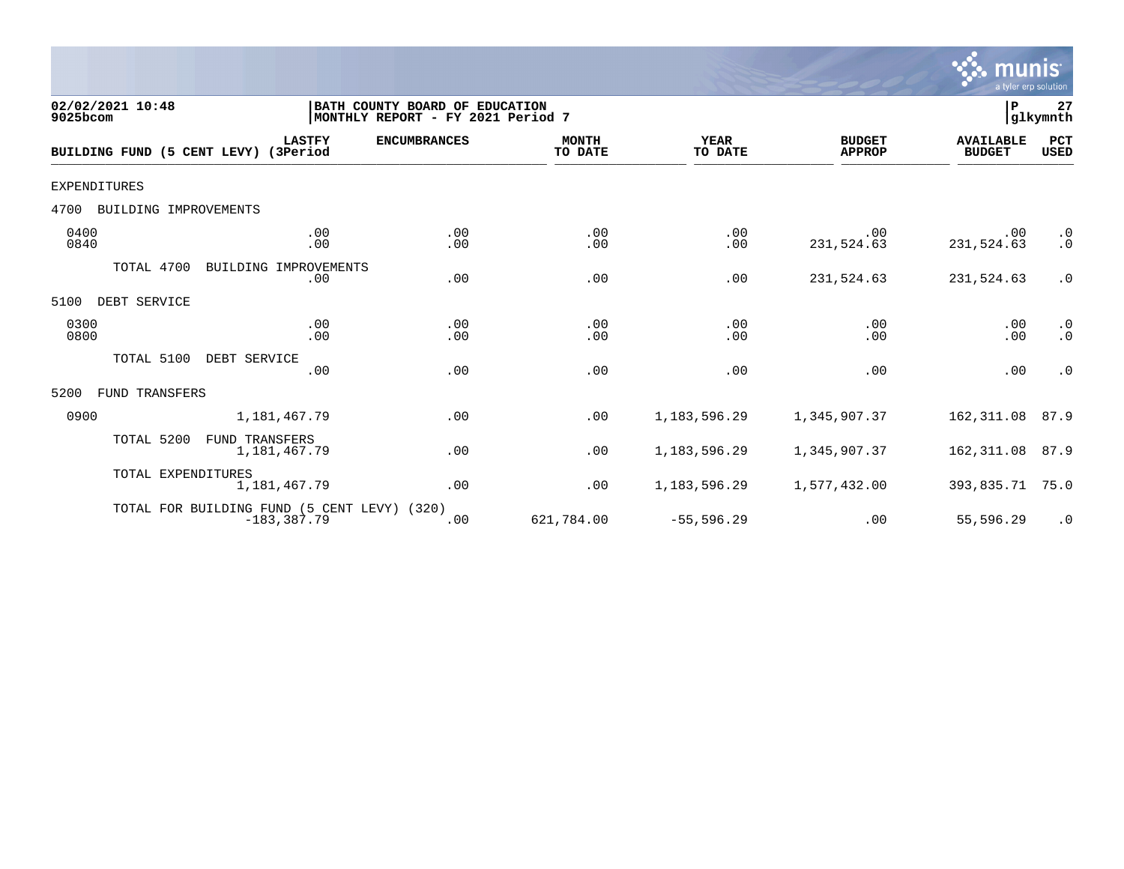

| 02/02/2021 10:48<br>9025bcom         |                                                               | BATH COUNTY BOARD OF EDUCATION<br>MONTHLY REPORT - FY 2021 Period 7 |                         |                        |                                | $\mathbf P$                       | 27<br>glkymnth         |
|--------------------------------------|---------------------------------------------------------------|---------------------------------------------------------------------|-------------------------|------------------------|--------------------------------|-----------------------------------|------------------------|
| BUILDING FUND (5 CENT LEVY) (3Period | <b>LASTFY</b>                                                 | <b>ENCUMBRANCES</b>                                                 | <b>MONTH</b><br>TO DATE | <b>YEAR</b><br>TO DATE | <b>BUDGET</b><br><b>APPROP</b> | <b>AVAILABLE</b><br><b>BUDGET</b> | PCT<br><b>USED</b>     |
| <b>EXPENDITURES</b>                  |                                                               |                                                                     |                         |                        |                                |                                   |                        |
| 4700<br>BUILDING IMPROVEMENTS        |                                                               |                                                                     |                         |                        |                                |                                   |                        |
| 0400<br>0840                         | .00<br>.00                                                    | .00<br>.00                                                          | .00<br>.00              | .00<br>.00             | .00<br>231,524.63              | .00<br>231,524.63                 | $\cdot$ 0<br>$\cdot$ 0 |
| TOTAL 4700                           | IMPROVEMENTS<br>BUILDING<br>.00                               | .00                                                                 | .00                     | .00                    | 231,524.63                     | 231,524.63                        | $\cdot$ 0              |
| 5100<br>DEBT SERVICE                 |                                                               |                                                                     |                         |                        |                                |                                   |                        |
| 0300<br>0800                         | .00<br>.00                                                    | .00<br>.00                                                          | .00<br>.00              | .00<br>.00             | .00<br>.00                     | .00<br>.00                        | $\cdot$ 0<br>$\cdot$ 0 |
| TOTAL 5100                           | DEBT SERVICE<br>.00                                           | .00                                                                 | .00                     | .00                    | .00                            | .00                               | $\cdot$ 0              |
| FUND TRANSFERS<br>5200               |                                                               |                                                                     |                         |                        |                                |                                   |                        |
| 0900                                 | 1,181,467.79                                                  | .00                                                                 | .00                     | 1, 183, 596.29         | 1,345,907.37                   | 162,311.08                        | 87.9                   |
| TOTAL 5200                           | <b>FUND TRANSFERS</b><br>1,181,467.79                         | .00                                                                 | .00                     | 1, 183, 596. 29        | 1,345,907.37                   | 162,311.08                        | 87.9                   |
| TOTAL EXPENDITURES                   | 1,181,467.79                                                  | .00                                                                 | .00                     | 1, 183, 596. 29        | 1,577,432.00                   | 393,835.71                        | 75.0                   |
|                                      | TOTAL FOR BUILDING FUND (5 CENT LEVY) (320)<br>$-183, 387.79$ | .00                                                                 | 621,784.00              | $-55, 596.29$          | .00                            | 55,596.29                         | $\cdot$ 0              |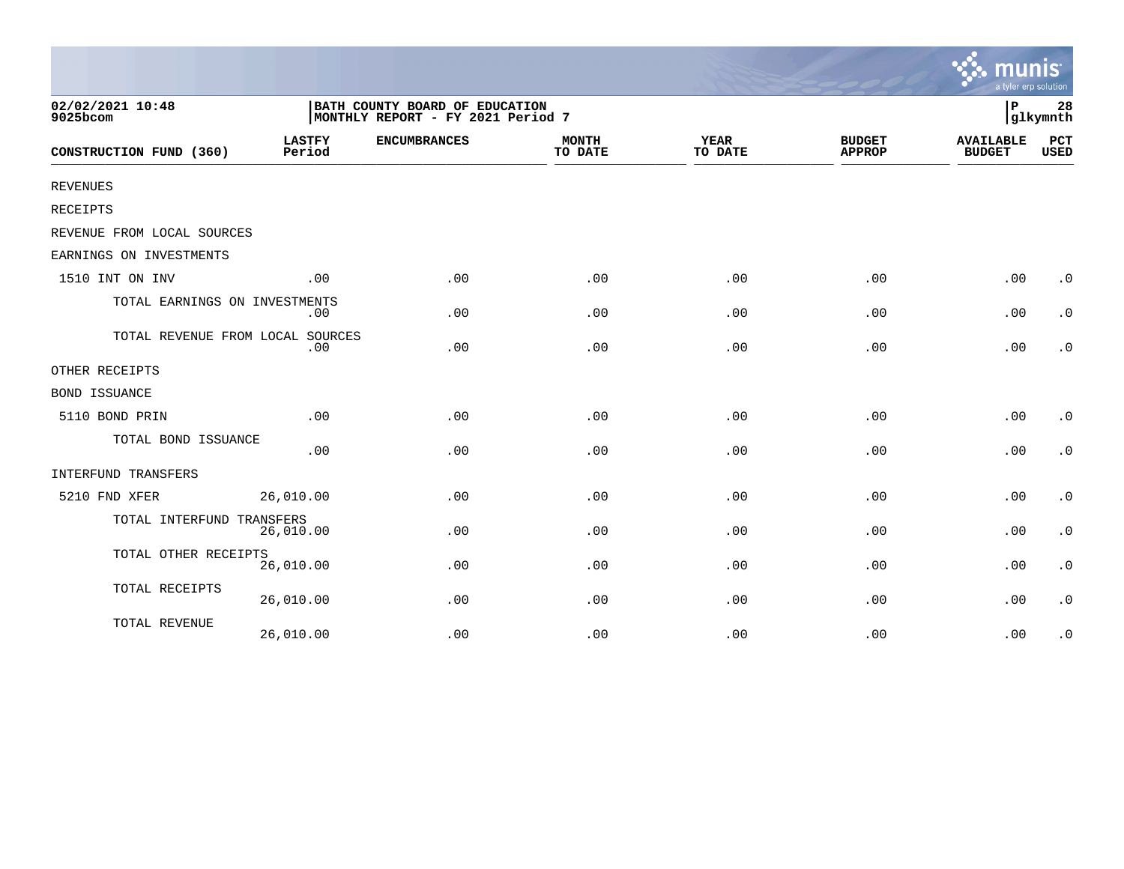|                                  |                         |                                                                     |                         |                        |                                | a tyler erp solution              |                    |
|----------------------------------|-------------------------|---------------------------------------------------------------------|-------------------------|------------------------|--------------------------------|-----------------------------------|--------------------|
| 02/02/2021 10:48<br>9025bcom     |                         | BATH COUNTY BOARD OF EDUCATION<br>MONTHLY REPORT - FY 2021 Period 7 |                         |                        |                                | lР                                | 28<br>glkymnth     |
| CONSTRUCTION FUND (360)          | <b>LASTFY</b><br>Period | <b>ENCUMBRANCES</b>                                                 | <b>MONTH</b><br>TO DATE | <b>YEAR</b><br>TO DATE | <b>BUDGET</b><br><b>APPROP</b> | <b>AVAILABLE</b><br><b>BUDGET</b> | PCT<br><b>USED</b> |
| <b>REVENUES</b>                  |                         |                                                                     |                         |                        |                                |                                   |                    |
| <b>RECEIPTS</b>                  |                         |                                                                     |                         |                        |                                |                                   |                    |
| REVENUE FROM LOCAL SOURCES       |                         |                                                                     |                         |                        |                                |                                   |                    |
| EARNINGS ON INVESTMENTS          |                         |                                                                     |                         |                        |                                |                                   |                    |
| 1510 INT ON INV                  | .00                     | .00                                                                 | .00                     | .00                    | .00                            | .00                               | $\cdot$ 0          |
| TOTAL EARNINGS ON INVESTMENTS    | $.00 \,$                | .00                                                                 | .00                     | .00                    | .00                            | .00                               | $\cdot$ 0          |
| TOTAL REVENUE FROM LOCAL SOURCES | .00                     | .00                                                                 | .00                     | .00                    | .00                            | .00                               | $\cdot$ 0          |
| OTHER RECEIPTS                   |                         |                                                                     |                         |                        |                                |                                   |                    |
| BOND ISSUANCE                    |                         |                                                                     |                         |                        |                                |                                   |                    |
| 5110 BOND PRIN                   | .00                     | .00                                                                 | .00                     | .00                    | .00                            | .00                               | $\cdot$ 0          |
| TOTAL BOND ISSUANCE              | .00                     | .00                                                                 | .00                     | .00                    | .00                            | .00                               | $\cdot$ 0          |
| <b>INTERFUND TRANSFERS</b>       |                         |                                                                     |                         |                        |                                |                                   |                    |
| 5210 FND XFER                    | 26,010.00               | .00                                                                 | .00                     | .00                    | .00                            | .00                               | $\cdot$ 0          |
| TOTAL INTERFUND TRANSFERS        | 26,010.00               | .00                                                                 | .00                     | .00                    | .00                            | .00                               | $\cdot$ 0          |
| TOTAL OTHER RECEIPTS             | 26,010.00               | .00                                                                 | .00                     | .00                    | .00                            | .00                               | $\cdot$ 0          |
| TOTAL RECEIPTS                   | 26,010.00               | .00                                                                 | .00                     | .00                    | .00                            | .00                               | $\cdot$ 0          |
| TOTAL REVENUE                    | 26,010.00               | .00                                                                 | .00                     | .00                    | .00                            | .00                               | $\cdot$ 0          |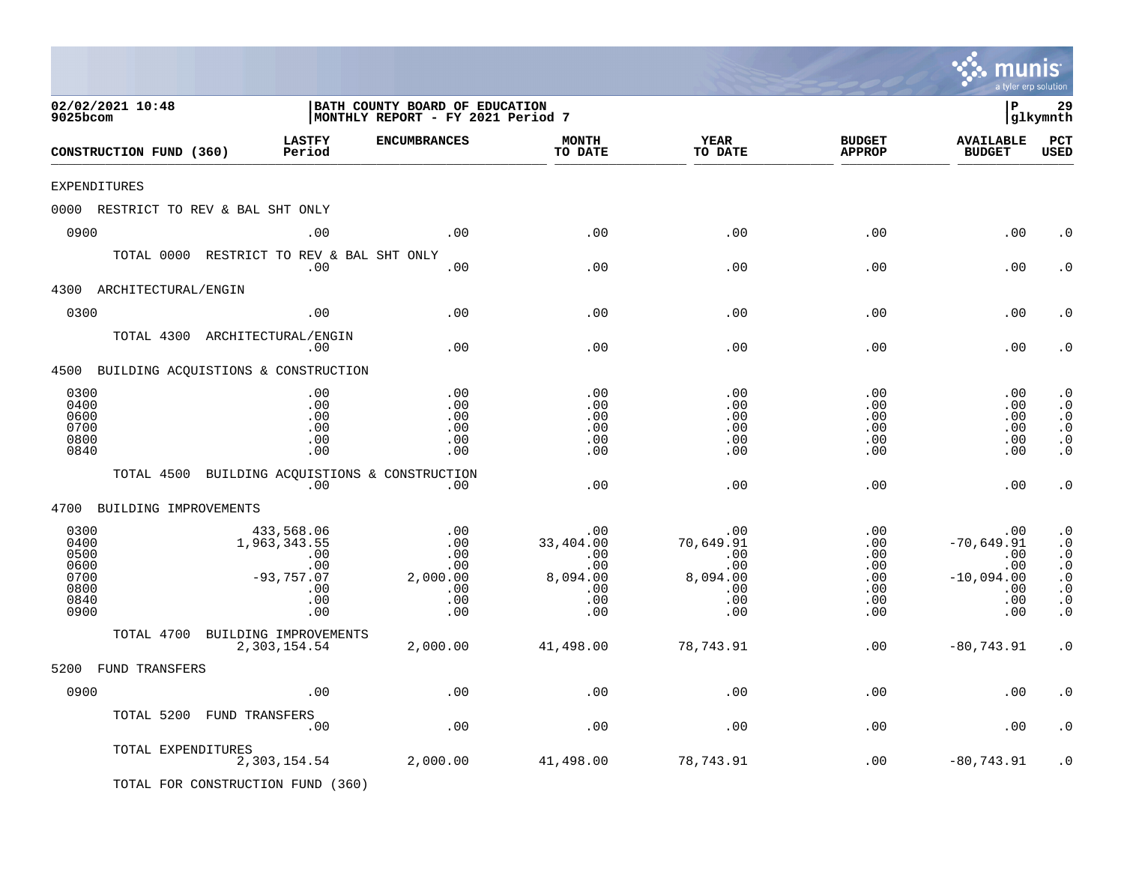|                                                              |                                                                               |                                                                     |                                                                 |                                                                 |                                                           | mu<br>a tyler erp solution                                             | <b>nis</b>                                                                                                                 |
|--------------------------------------------------------------|-------------------------------------------------------------------------------|---------------------------------------------------------------------|-----------------------------------------------------------------|-----------------------------------------------------------------|-----------------------------------------------------------|------------------------------------------------------------------------|----------------------------------------------------------------------------------------------------------------------------|
| 02/02/2021 10:48<br>9025bcom                                 |                                                                               | BATH COUNTY BOARD OF EDUCATION<br>MONTHLY REPORT - FY 2021 Period 7 |                                                                 |                                                                 |                                                           | l P                                                                    | 29<br>glkymnth                                                                                                             |
| CONSTRUCTION FUND (360)                                      | <b>LASTFY</b><br>Period                                                       | <b>ENCUMBRANCES</b>                                                 | <b>MONTH</b><br>TO DATE                                         | <b>YEAR</b><br>TO DATE                                          | <b>BUDGET</b><br><b>APPROP</b>                            | <b>AVAILABLE</b><br><b>BUDGET</b>                                      | PCT<br><b>USED</b>                                                                                                         |
| <b>EXPENDITURES</b>                                          |                                                                               |                                                                     |                                                                 |                                                                 |                                                           |                                                                        |                                                                                                                            |
| 0000 RESTRICT TO REV & BAL SHT ONLY                          |                                                                               |                                                                     |                                                                 |                                                                 |                                                           |                                                                        |                                                                                                                            |
| 0900                                                         | .00                                                                           | .00                                                                 | .00                                                             | .00                                                             | .00                                                       | .00                                                                    | . 0                                                                                                                        |
| TOTAL 0000                                                   | RESTRICT TO REV & BAL SHT ONLY<br>.00                                         | .00                                                                 | .00                                                             | .00                                                             | .00                                                       | .00                                                                    | . 0                                                                                                                        |
| 4300<br>ARCHITECTURAL/ENGIN                                  |                                                                               |                                                                     |                                                                 |                                                                 |                                                           |                                                                        |                                                                                                                            |
| 0300                                                         | .00                                                                           | .00                                                                 | .00                                                             | .00                                                             | .00                                                       | .00                                                                    | . 0                                                                                                                        |
| TOTAL 4300 ARCHITECTURAL/ENGIN                               | .00                                                                           | .00                                                                 | .00                                                             | .00                                                             | .00                                                       | .00                                                                    | . 0                                                                                                                        |
| 4500 BUILDING ACQUISTIONS & CONSTRUCTION                     |                                                                               |                                                                     |                                                                 |                                                                 |                                                           |                                                                        |                                                                                                                            |
| 0300<br>0400<br>0600<br>0700<br>0800<br>0840                 | .00<br>.00<br>.00<br>.00<br>.00<br>.00                                        | .00<br>.00<br>.00<br>.00<br>.00<br>.00                              | .00<br>.00<br>.00<br>.00<br>.00<br>.00                          | .00<br>.00<br>.00<br>.00<br>.00<br>.00                          | .00<br>.00<br>.00<br>.00<br>.00<br>.00                    | .00<br>.00<br>.00<br>.00<br>.00<br>.00                                 | $\cdot$ 0<br>$\cdot$ 0<br>$\cdot$ 0<br>$\cdot$ 0<br>$\cdot$ 0<br>$\cdot$ 0                                                 |
| TOTAL 4500                                                   | .00                                                                           | BUILDING ACQUISTIONS & CONSTRUCTION<br>.00                          | .00                                                             | .00                                                             | .00                                                       | .00                                                                    | $\cdot$ 0                                                                                                                  |
| 4700 BUILDING IMPROVEMENTS                                   |                                                                               |                                                                     |                                                                 |                                                                 |                                                           |                                                                        |                                                                                                                            |
| 0300<br>0400<br>0500<br>0600<br>0700<br>0800<br>0840<br>0900 | 433,568.06<br>1,963,343.55<br>.00<br>.00<br>$-93,757.07$<br>.00<br>.00<br>.00 | .00<br>.00<br>.00<br>.00<br>2,000.00<br>.00<br>.00<br>.00           | .00<br>33,404.00<br>.00<br>.00<br>8,094.00<br>.00<br>.00<br>.00 | .00<br>70,649.91<br>.00<br>.00<br>8,094.00<br>.00<br>.00<br>.00 | .00<br>.00<br>.00<br>.00<br>$.00 \,$<br>.00<br>.00<br>.00 | .00<br>$-70,649.91$<br>.00<br>.00<br>$-10,094.00$<br>.00<br>.00<br>.00 | $\cdot$ 0<br>$\cdot$ 0<br>$\cdot$ 0<br>$\cdot$ 0<br>. $\boldsymbol{0}$<br>$\cdot$ 0<br>$\boldsymbol{\cdot}$ 0<br>$\cdot$ 0 |
| TOTAL 4700                                                   | BUILDING IMPROVEMENTS                                                         |                                                                     |                                                                 |                                                                 |                                                           |                                                                        |                                                                                                                            |
|                                                              | 2,303,154.54                                                                  | 2,000.00                                                            | 41,498.00                                                       | 78,743.91                                                       | .00                                                       | $-80,743.91$                                                           | $\cdot$ 0                                                                                                                  |
| 5200 FUND TRANSFERS                                          |                                                                               |                                                                     |                                                                 |                                                                 |                                                           |                                                                        |                                                                                                                            |
| 0900                                                         | .00                                                                           | $\boldsymbol{\mathsf{.00}}$                                         | .00                                                             | .00                                                             | .00                                                       | .00                                                                    | $\boldsymbol{\cdot}$ 0                                                                                                     |
| TOTAL 5200 FUND TRANSFERS                                    | .00                                                                           | .00                                                                 | .00                                                             | .00                                                             | .00                                                       | .00                                                                    | $\cdot$ 0                                                                                                                  |
| TOTAL EXPENDITURES<br>TOTAL FOR CONSTRUCTION FUND (360)      | 2,303,154.54                                                                  | 2,000.00                                                            | 41,498.00                                                       | 78,743.91                                                       | .00                                                       | $-80, 743.91$                                                          | . 0                                                                                                                        |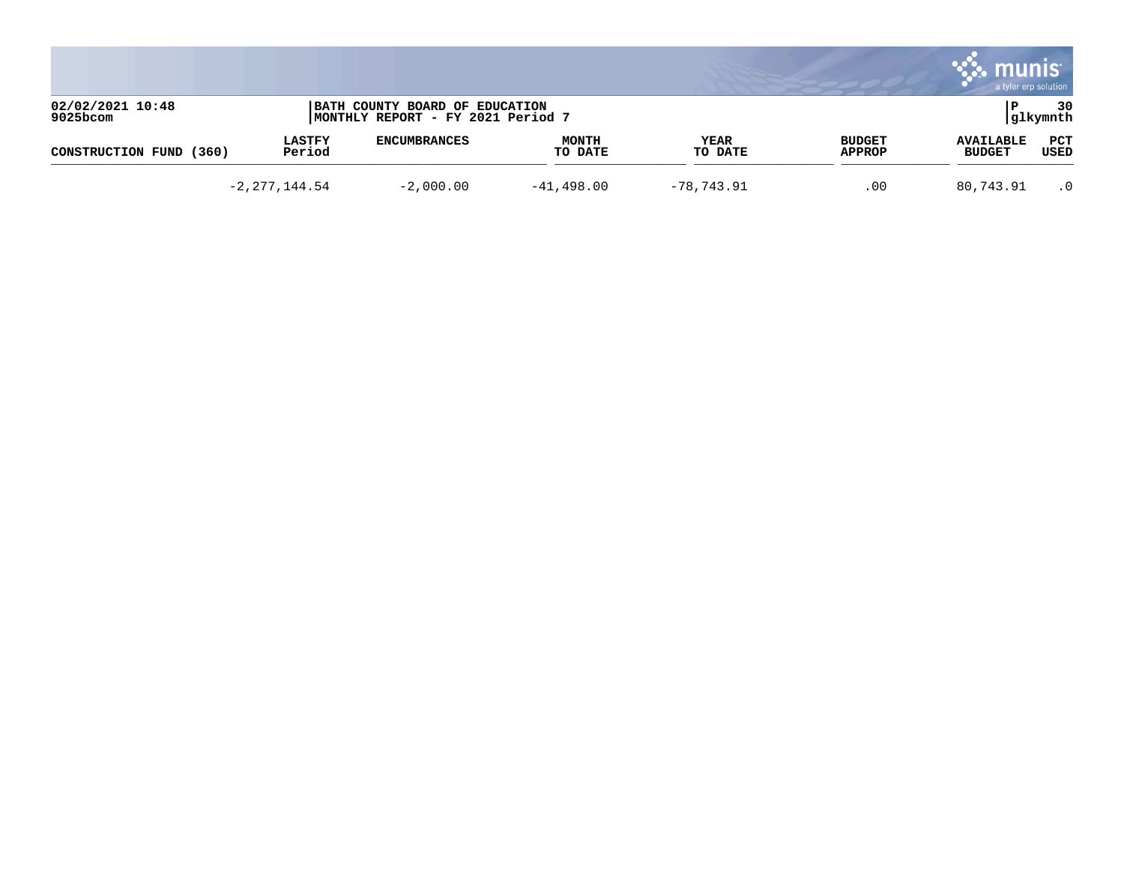|                              |                         |                                                                     |                         |                 |                         | munis<br>a tyler erp solution     |                 |
|------------------------------|-------------------------|---------------------------------------------------------------------|-------------------------|-----------------|-------------------------|-----------------------------------|-----------------|
| 02/02/2021 10:48<br>9025bcom |                         | BATH COUNTY BOARD OF EDUCATION<br>MONTHLY REPORT - FY 2021 Period 7 |                         |                 |                         |                                   | 30<br> glkymnth |
| CONSTRUCTION FUND<br>(360)   | <b>LASTFY</b><br>Period | <b>ENCUMBRANCES</b>                                                 | <b>MONTH</b><br>TO DATE | YEAR<br>TO DATE | <b>BUDGET</b><br>APPROP | <b>AVAILABLE</b><br><b>BUDGET</b> | PCT<br>USED     |
|                              | $-2, 277, 144.54$       | $-2,000.00$                                                         | $-41,498.00$            | $-78,743.91$    | .00                     | 80,743.91                         | $\cdot$ 0       |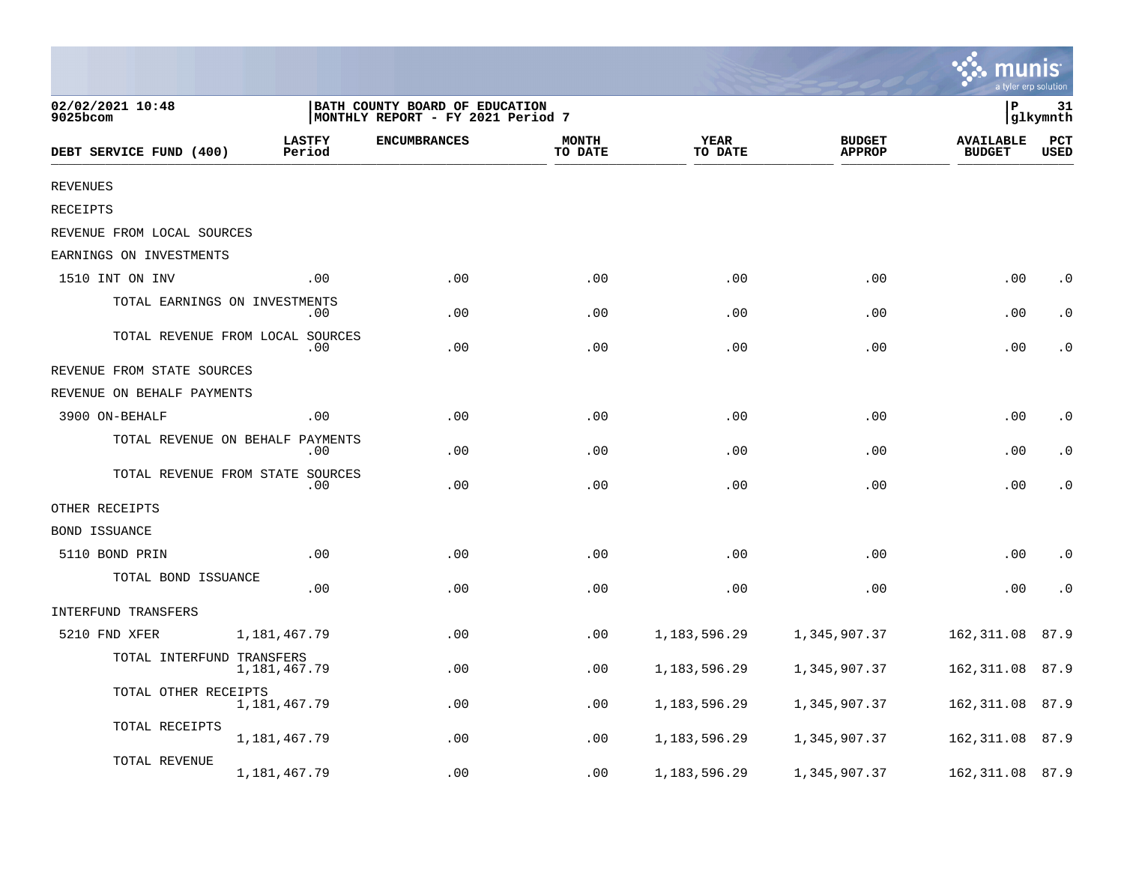|                                  |                         |                                                                     |                         |                        |                                | <b>MANIS</b><br>a tyler erp solution |                    |
|----------------------------------|-------------------------|---------------------------------------------------------------------|-------------------------|------------------------|--------------------------------|--------------------------------------|--------------------|
| 02/02/2021 10:48<br>$9025$ bcom  |                         | BATH COUNTY BOARD OF EDUCATION<br>MONTHLY REPORT - FY 2021 Period 7 |                         |                        |                                | lР                                   | 31<br>glkymnth     |
| DEBT SERVICE FUND (400)          | <b>LASTFY</b><br>Period | <b>ENCUMBRANCES</b>                                                 | <b>MONTH</b><br>TO DATE | <b>YEAR</b><br>TO DATE | <b>BUDGET</b><br><b>APPROP</b> | <b>AVAILABLE</b><br><b>BUDGET</b>    | PCT<br><b>USED</b> |
| <b>REVENUES</b>                  |                         |                                                                     |                         |                        |                                |                                      |                    |
| RECEIPTS                         |                         |                                                                     |                         |                        |                                |                                      |                    |
| REVENUE FROM LOCAL SOURCES       |                         |                                                                     |                         |                        |                                |                                      |                    |
| EARNINGS ON INVESTMENTS          |                         |                                                                     |                         |                        |                                |                                      |                    |
| 1510 INT ON INV                  | .00                     | .00                                                                 | .00                     | .00                    | .00                            | .00                                  | $\cdot$ 0          |
| TOTAL EARNINGS ON INVESTMENTS    | .00                     | .00                                                                 | .00                     | .00                    | .00                            | .00                                  | $\cdot$ 0          |
| TOTAL REVENUE FROM LOCAL SOURCES | .00                     | .00                                                                 | .00                     | .00                    | .00                            | .00                                  | $\cdot$ 0          |
| REVENUE FROM STATE SOURCES       |                         |                                                                     |                         |                        |                                |                                      |                    |
| REVENUE ON BEHALF PAYMENTS       |                         |                                                                     |                         |                        |                                |                                      |                    |
| 3900 ON-BEHALF                   | .00                     | .00                                                                 | .00                     | .00                    | .00                            | .00                                  | $\cdot$ 0          |
| TOTAL REVENUE ON BEHALF PAYMENTS | .00                     | .00                                                                 | .00                     | .00                    | .00                            | .00                                  | $\cdot$ 0          |
| TOTAL REVENUE FROM STATE SOURCES | .00.                    | .00                                                                 | .00                     | .00                    | .00                            | .00                                  | $\cdot$ 0          |
| OTHER RECEIPTS                   |                         |                                                                     |                         |                        |                                |                                      |                    |
| BOND ISSUANCE                    |                         |                                                                     |                         |                        |                                |                                      |                    |
| 5110 BOND PRIN                   | .00                     | .00                                                                 | .00                     | .00                    | .00                            | .00                                  | $\cdot$ 0          |
| TOTAL BOND ISSUANCE              | .00                     | .00                                                                 | .00                     | .00                    | .00                            | .00                                  | $\cdot$ 0          |
| INTERFUND TRANSFERS              |                         |                                                                     |                         |                        |                                |                                      |                    |
| 5210 FND XFER                    | 1,181,467.79            | .00                                                                 | .00                     | 1, 183, 596. 29        | 1,345,907.37                   | 162,311.08                           | 87.9               |
| TOTAL INTERFUND TRANSFERS        | 1,181,467.79            | .00                                                                 | .00                     | 1, 183, 596. 29        | 1,345,907.37                   | 162,311.08                           | 87.9               |
| TOTAL OTHER RECEIPTS             | 1,181,467.79            | .00                                                                 | .00                     | 1,183,596.29           | 1,345,907.37                   | 162,311.08                           | 87.9               |
| TOTAL RECEIPTS                   | 1,181,467.79            | .00                                                                 | .00                     | 1,183,596.29           | 1,345,907.37                   | 162,311.08                           | 87.9               |
| TOTAL REVENUE                    | 1,181,467.79            | .00                                                                 | .00                     | 1,183,596.29           | 1,345,907.37                   | 162,311.08                           | 87.9               |

 $\sim$   $\sim$   $\sim$   $\sim$   $\sim$   $\sim$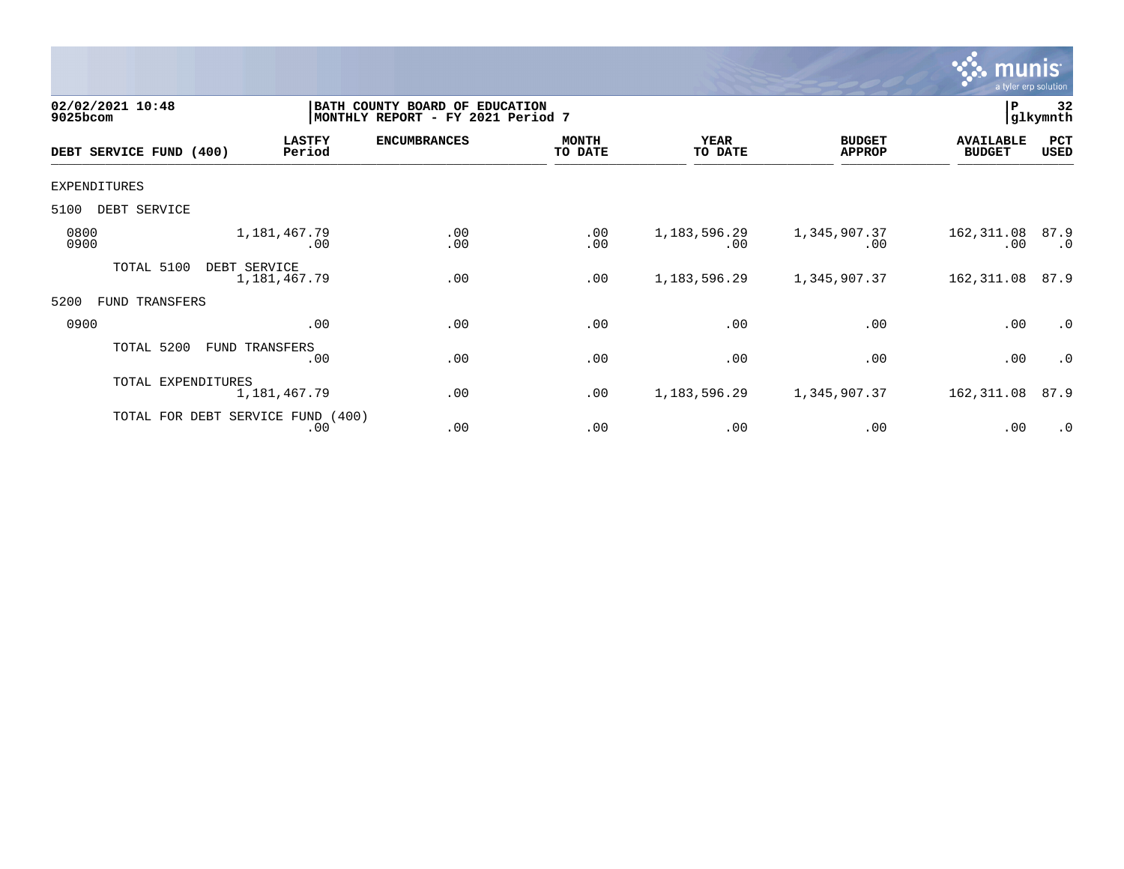

| 02/02/2021 10:48<br>9025bcom |                    |                                          | BATH COUNTY BOARD OF EDUCATION<br>MONTHLY REPORT - FY 2021 Period 7 |                         |                        |                                | P                                 | 32<br>glkymnth    |
|------------------------------|--------------------|------------------------------------------|---------------------------------------------------------------------|-------------------------|------------------------|--------------------------------|-----------------------------------|-------------------|
| DEBT SERVICE FUND (400)      |                    | <b>LASTFY</b><br>Period                  | <b>ENCUMBRANCES</b>                                                 | <b>MONTH</b><br>TO DATE | <b>YEAR</b><br>TO DATE | <b>BUDGET</b><br><b>APPROP</b> | <b>AVAILABLE</b><br><b>BUDGET</b> | PCT<br>USED       |
| EXPENDITURES                 |                    |                                          |                                                                     |                         |                        |                                |                                   |                   |
| 5100<br>DEBT SERVICE         |                    |                                          |                                                                     |                         |                        |                                |                                   |                   |
| 0800<br>0900                 |                    | 1,181,467.79<br>.00                      | .00<br>.00                                                          | .00<br>.00              | 1, 183, 596. 29<br>.00 | 1,345,907.37<br>.00            | 162,311.08<br>.00                 | 87.9<br>$\cdot$ 0 |
| TOTAL 5100                   | DEBT SERVICE       | 1,181,467.79                             | .00                                                                 | .00                     | 1, 183, 596. 29        | 1,345,907.37                   | 162,311.08                        | 87.9              |
| 5200<br>FUND                 | TRANSFERS          |                                          |                                                                     |                         |                        |                                |                                   |                   |
| 0900                         |                    | .00                                      | .00                                                                 | .00                     | .00                    | .00                            | .00                               | $\cdot$ 0         |
| TOTAL 5200                   |                    | FUND TRANSFERS<br>.00                    | .00                                                                 | .00                     | .00                    | .00                            | .00                               | $\cdot$ 0         |
|                              | TOTAL EXPENDITURES | 1,181,467.79                             | .00                                                                 | .00                     | 1, 183, 596. 29        | 1,345,907.37                   | 162,311.08                        | 87.9              |
|                              |                    | TOTAL FOR DEBT SERVICE FUND (400)<br>.00 | .00                                                                 | .00                     | .00                    | .00                            | .00                               | $\cdot$ 0         |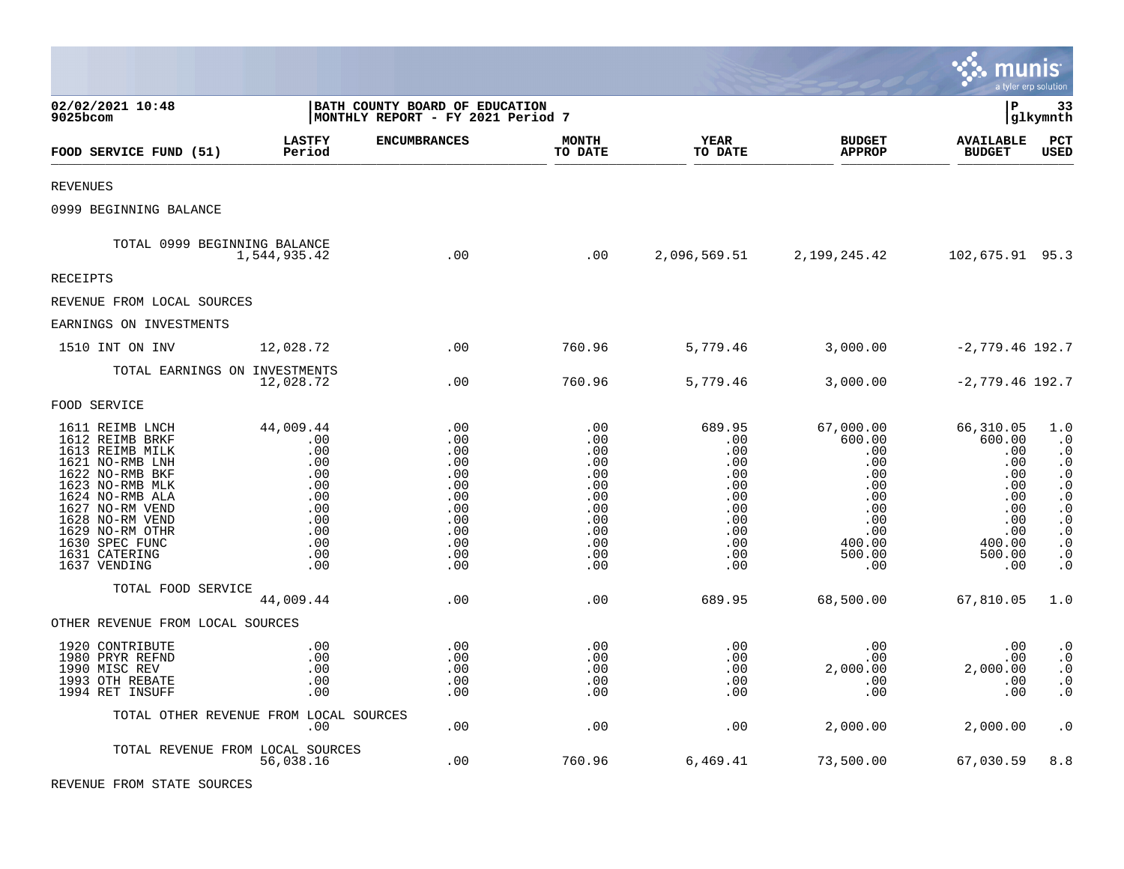|                                                                                                                                                                                                                                               |                                                                                               |                                                                                         |                                                                                         |                                                                                            |                                                                                                             | munis                                                                                                  | a tyler erp solution                                                                                                                                                         |
|-----------------------------------------------------------------------------------------------------------------------------------------------------------------------------------------------------------------------------------------------|-----------------------------------------------------------------------------------------------|-----------------------------------------------------------------------------------------|-----------------------------------------------------------------------------------------|--------------------------------------------------------------------------------------------|-------------------------------------------------------------------------------------------------------------|--------------------------------------------------------------------------------------------------------|------------------------------------------------------------------------------------------------------------------------------------------------------------------------------|
| 02/02/2021 10:48<br>9025bcom                                                                                                                                                                                                                  | BATH COUNTY BOARD OF EDUCATION<br>MONTHLY REPORT - FY 2021 Period 7                           |                                                                                         |                                                                                         |                                                                                            |                                                                                                             | l P                                                                                                    | 33<br> glkymnth                                                                                                                                                              |
| FOOD SERVICE FUND (51)                                                                                                                                                                                                                        | <b>LASTFY</b><br>Period                                                                       | <b>ENCUMBRANCES</b>                                                                     | <b>MONTH</b><br>TO DATE                                                                 | <b>YEAR</b><br>TO DATE                                                                     | <b>BUDGET</b><br><b>APPROP</b>                                                                              | <b>AVAILABLE</b><br><b>BUDGET</b>                                                                      | PCT<br>USED                                                                                                                                                                  |
| <b>REVENUES</b>                                                                                                                                                                                                                               |                                                                                               |                                                                                         |                                                                                         |                                                                                            |                                                                                                             |                                                                                                        |                                                                                                                                                                              |
| 0999 BEGINNING BALANCE                                                                                                                                                                                                                        |                                                                                               |                                                                                         |                                                                                         |                                                                                            |                                                                                                             |                                                                                                        |                                                                                                                                                                              |
| TOTAL 0999 BEGINNING BALANCE                                                                                                                                                                                                                  | 1,544,935.42                                                                                  | .00                                                                                     | .00                                                                                     |                                                                                            | 2,096,569.51 2,199,245.42                                                                                   | 102,675.91 95.3                                                                                        |                                                                                                                                                                              |
| RECEIPTS                                                                                                                                                                                                                                      |                                                                                               |                                                                                         |                                                                                         |                                                                                            |                                                                                                             |                                                                                                        |                                                                                                                                                                              |
| REVENUE FROM LOCAL SOURCES                                                                                                                                                                                                                    |                                                                                               |                                                                                         |                                                                                         |                                                                                            |                                                                                                             |                                                                                                        |                                                                                                                                                                              |
| EARNINGS ON INVESTMENTS                                                                                                                                                                                                                       |                                                                                               |                                                                                         |                                                                                         |                                                                                            |                                                                                                             |                                                                                                        |                                                                                                                                                                              |
| 1510 INT ON INV                                                                                                                                                                                                                               | 12,028.72                                                                                     | .00                                                                                     | 760.96                                                                                  | 5,779.46                                                                                   | 3,000.00                                                                                                    | $-2,779.46$ 192.7                                                                                      |                                                                                                                                                                              |
| TOTAL EARNINGS ON INVESTMENTS                                                                                                                                                                                                                 | 12,028.72                                                                                     | .00                                                                                     | 760.96                                                                                  | 5,779.46                                                                                   | 3,000.00                                                                                                    | $-2,779.46$ 192.7                                                                                      |                                                                                                                                                                              |
| FOOD SERVICE                                                                                                                                                                                                                                  |                                                                                               |                                                                                         |                                                                                         |                                                                                            |                                                                                                             |                                                                                                        |                                                                                                                                                                              |
| 1611 REIMB LNCH<br>1612 REIMB BRKF<br>1613 REIMB MILK<br>1621 NO-RMB LNH<br>1622 NO-RMB BKF<br>1623 NO-RMB MLK<br>1624 NO-RMB ALA<br>1627 NO-RM VEND<br>1628 NO-RM VEND<br>1629 NO-RM OTHR<br>1630 SPEC FUNC<br>1631 CATERING<br>1637 VENDING | 44,009.44<br>.00<br>.00<br>.00<br>.00<br>.00<br>.00<br>.00<br>.00<br>.00<br>.00<br>.00<br>.00 | .00<br>.00<br>.00<br>.00<br>.00<br>.00<br>.00<br>.00<br>.00<br>.00<br>.00<br>.00<br>.00 | .00<br>.00<br>.00<br>.00<br>.00<br>.00<br>.00<br>.00<br>.00<br>.00<br>.00<br>.00<br>.00 | 689.95<br>.00<br>.00<br>.00<br>.00<br>.00<br>.00<br>.00<br>.00<br>.00<br>.00<br>.00<br>.00 | 67,000.00<br>600.00<br>.00<br>.00<br>.00<br>.00<br>$.00 \,$<br>.00<br>.00<br>.00<br>400.00<br>500.00<br>.00 | 66,310.05<br>600.00<br>.00<br>.00<br>.00<br>.00<br>.00<br>.00<br>.00<br>.00<br>400.00<br>500.00<br>.00 | 1.0<br>$\cdot$ 0<br>$\cdot$ 0<br>$\cdot$ 0<br>$\cdot$ 0<br>$\cdot$ 0<br>$\cdot$ 0<br>$\cdot$ 0<br>$\cdot$ 0<br>$\cdot$ 0<br>$\boldsymbol{\cdot}$ 0<br>$\cdot$ 0<br>$\cdot$ 0 |
| TOTAL FOOD SERVICE                                                                                                                                                                                                                            | 44,009.44                                                                                     | .00                                                                                     | .00                                                                                     | 689.95                                                                                     | 68,500.00                                                                                                   | 67,810.05                                                                                              | 1.0                                                                                                                                                                          |
| OTHER REVENUE FROM LOCAL SOURCES                                                                                                                                                                                                              |                                                                                               |                                                                                         |                                                                                         |                                                                                            |                                                                                                             |                                                                                                        |                                                                                                                                                                              |
| 1920 CONTRIBUTE<br>1980 PRYR REFND<br>1990 MISC REV<br>1993 OTH REBATE<br>1994 RET INSUFF                                                                                                                                                     | .00<br>.00<br>.00<br>.00<br>.00                                                               | .00<br>.00<br>.00<br>.00<br>.00                                                         | .00<br>.00<br>.00<br>.00<br>.00                                                         | .00<br>.00<br>.00<br>.00<br>.00                                                            | .00<br>.00<br>2,000.00<br>.00<br>.00                                                                        | .00<br>.00<br>2,000.00<br>.00<br>.00                                                                   | $\cdot 0$<br>$\boldsymbol{\cdot}$ 0<br>$\cdot$ 0<br>$\cdot$ 0<br>$\cdot$ 0                                                                                                   |
| TOTAL OTHER REVENUE FROM LOCAL SOURCES                                                                                                                                                                                                        | $.00 \,$                                                                                      | .00                                                                                     | .00                                                                                     | .00                                                                                        | 2,000.00                                                                                                    | 2,000.00                                                                                               | $\cdot$ 0                                                                                                                                                                    |
| TOTAL REVENUE FROM LOCAL SOURCES                                                                                                                                                                                                              | 56,038.16                                                                                     | .00                                                                                     | 760.96                                                                                  | 6,469.41                                                                                   | 73,500.00                                                                                                   | 67,030.59                                                                                              | 8.8                                                                                                                                                                          |

 $\bullet$ 

REVENUE FROM STATE SOURCES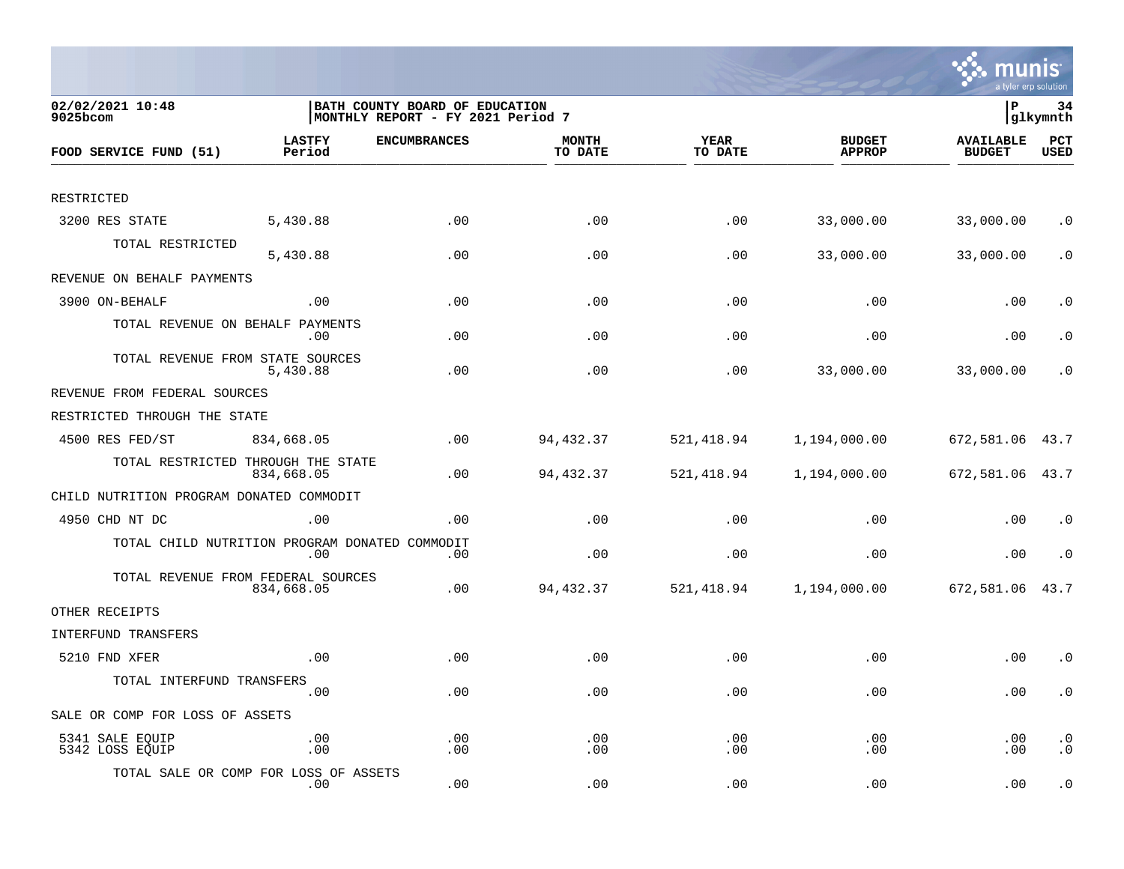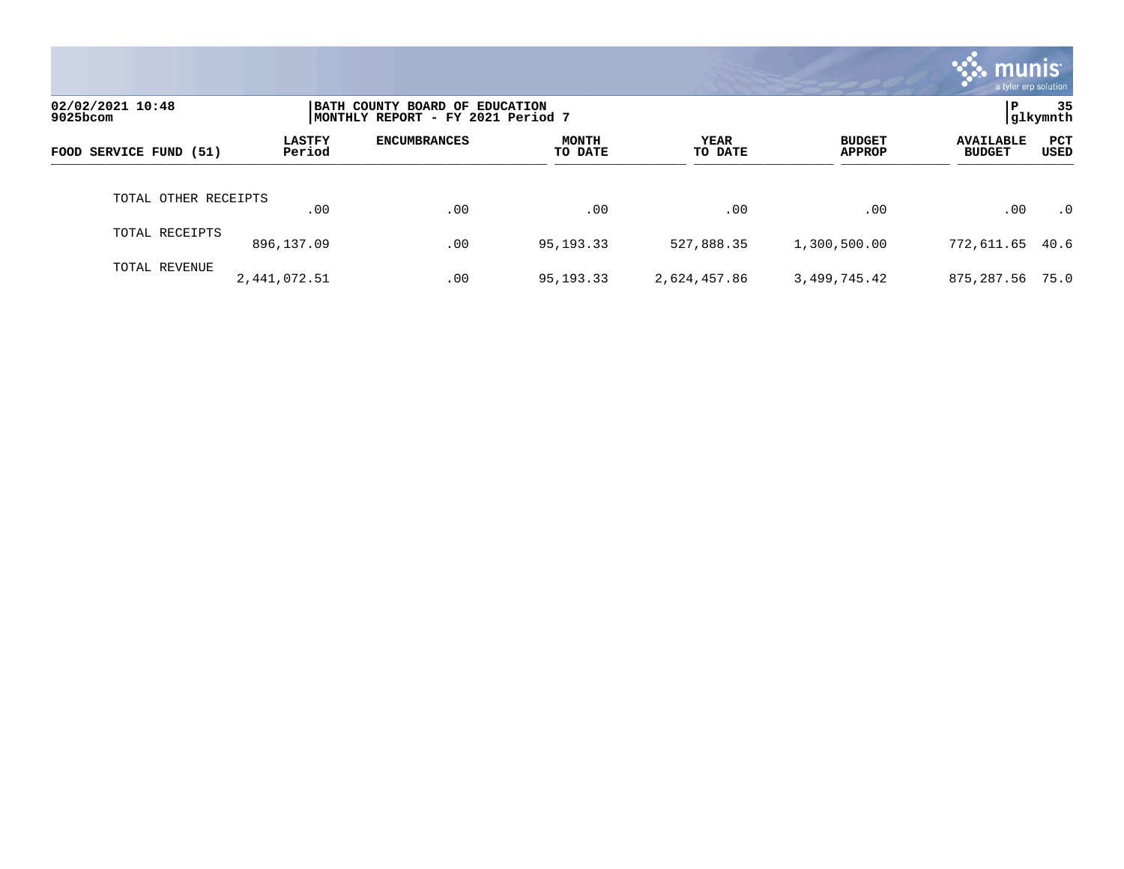|                              |                         |                                                                     |                         |                 |                                | munis<br>a tyler erp solution     |                    |
|------------------------------|-------------------------|---------------------------------------------------------------------|-------------------------|-----------------|--------------------------------|-----------------------------------|--------------------|
| 02/02/2021 10:48<br>9025bcom |                         | BATH COUNTY BOARD OF EDUCATION<br>MONTHLY REPORT - FY 2021 Period 7 |                         |                 |                                | P                                 | -35<br> glkymnth   |
| FOOD SERVICE FUND (51)       | <b>LASTFY</b><br>Period | <b>ENCUMBRANCES</b>                                                 | <b>MONTH</b><br>TO DATE | YEAR<br>TO DATE | <b>BUDGET</b><br><b>APPROP</b> | <b>AVAILABLE</b><br><b>BUDGET</b> | <b>PCT</b><br>USED |
| TOTAL OTHER RECEIPTS         | .00                     | .00                                                                 | .00                     | .00             | .00                            | .00                               | $\cdot$ 0          |
| TOTAL RECEIPTS               | 896,137.09              | .00                                                                 | 95, 193. 33             | 527,888.35      | 1,300,500.00                   | 772,611.65                        | 40.6               |
| TOTAL REVENUE                | 2,441,072.51            | .00                                                                 | 95, 193. 33             | 2,624,457.86    | 3,499,745.42                   | 875,287.56                        | 75.0               |

the contract of the contract of

a sa mga magaalang na mga magaalang ng mga magaalang ng mga magaalang ng magaalang ng magaalang ng magaalang n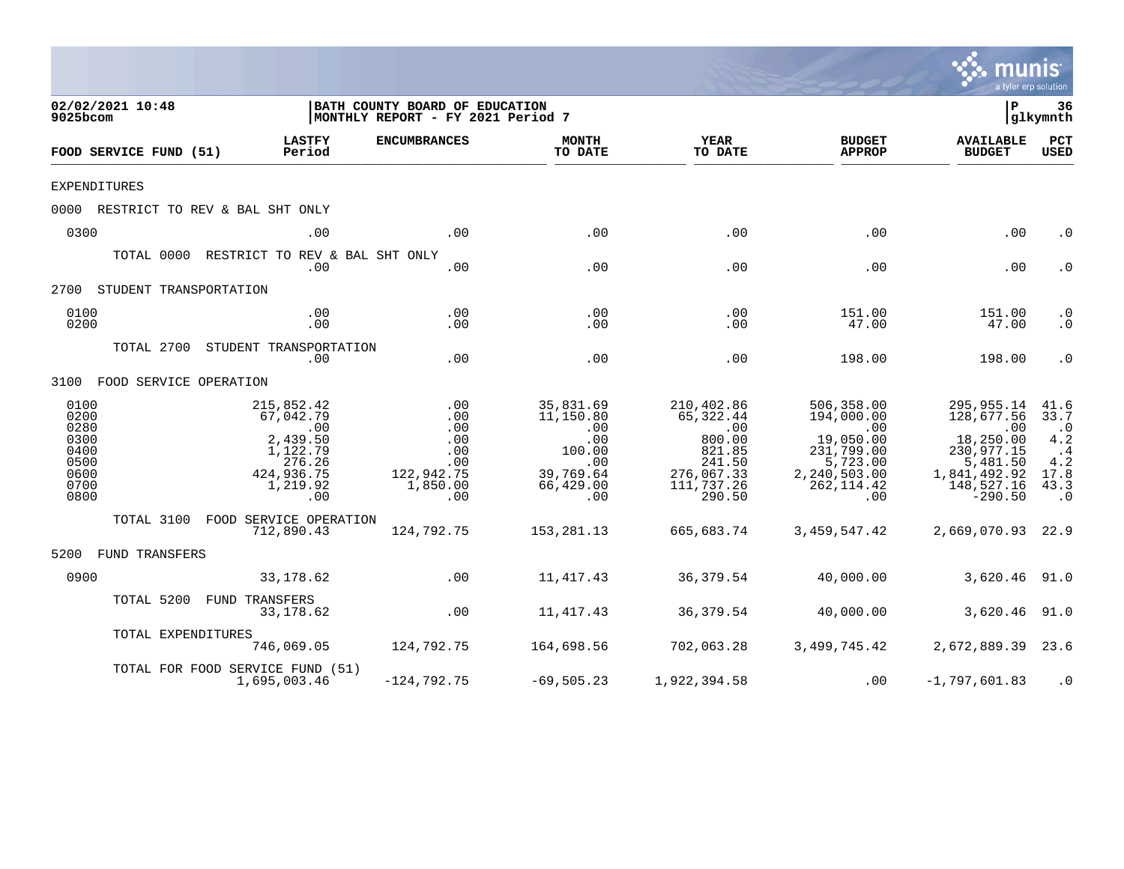|                                                                      |                                                                                                               |                                                                         |                                                                                                           |                                                                                                                |                                                                                                              | a tyler erp solution                                                                                                    |                                                                                       |
|----------------------------------------------------------------------|---------------------------------------------------------------------------------------------------------------|-------------------------------------------------------------------------|-----------------------------------------------------------------------------------------------------------|----------------------------------------------------------------------------------------------------------------|--------------------------------------------------------------------------------------------------------------|-------------------------------------------------------------------------------------------------------------------------|---------------------------------------------------------------------------------------|
| 02/02/2021 10:48<br>9025bcom                                         |                                                                                                               | BATH COUNTY BOARD OF EDUCATION<br>MONTHLY REPORT - FY 2021 Period 7     |                                                                                                           |                                                                                                                |                                                                                                              | $\mathbf{P}$                                                                                                            | 36<br> glkymnth                                                                       |
| FOOD SERVICE FUND (51)                                               | <b>LASTFY</b><br>Period                                                                                       | <b>ENCUMBRANCES</b>                                                     | <b>MONTH</b><br>TO DATE                                                                                   | <b>YEAR</b><br>TO DATE                                                                                         | <b>BUDGET</b><br><b>APPROP</b>                                                                               | <b>AVAILABLE</b><br><b>BUDGET</b>                                                                                       | PCT<br><b>USED</b>                                                                    |
| <b>EXPENDITURES</b>                                                  |                                                                                                               |                                                                         |                                                                                                           |                                                                                                                |                                                                                                              |                                                                                                                         |                                                                                       |
|                                                                      | 0000 RESTRICT TO REV & BAL SHT ONLY                                                                           |                                                                         |                                                                                                           |                                                                                                                |                                                                                                              |                                                                                                                         |                                                                                       |
| 0300                                                                 | .00                                                                                                           | .00                                                                     | .00                                                                                                       | .00                                                                                                            | .00                                                                                                          | .00                                                                                                                     | $\cdot$ 0                                                                             |
|                                                                      | TOTAL 0000 RESTRICT TO REV & BAL SHT ONLY<br>.00                                                              | .00                                                                     | .00                                                                                                       | .00                                                                                                            | .00                                                                                                          | .00                                                                                                                     | $\cdot$ 0                                                                             |
| 2700 STUDENT TRANSPORTATION                                          |                                                                                                               |                                                                         |                                                                                                           |                                                                                                                |                                                                                                              |                                                                                                                         |                                                                                       |
| 0100<br>0200                                                         | .00<br>.00                                                                                                    | .00<br>.00                                                              | .00<br>.00                                                                                                | .00<br>.00                                                                                                     | 151.00<br>47.00                                                                                              | 151.00<br>47.00                                                                                                         | $\cdot$ 0<br>$\cdot$ 0                                                                |
|                                                                      | TOTAL 2700 STUDENT TRANSPORTATION<br>.00                                                                      | .00                                                                     | .00                                                                                                       | .00                                                                                                            | 198.00                                                                                                       | 198.00                                                                                                                  | $\cdot$ 0                                                                             |
| 3100 FOOD SERVICE OPERATION                                          |                                                                                                               |                                                                         |                                                                                                           |                                                                                                                |                                                                                                              |                                                                                                                         |                                                                                       |
| 0100<br>0200<br>0280<br>0300<br>0400<br>0500<br>0600<br>0700<br>0800 | 215,852.42<br>67,042.79<br>$\overline{00}$<br>2,439.50<br>1,122.79<br>276.26<br>424,936.75<br>1,219.92<br>.00 | .00<br>.00<br>.00<br>.00<br>.00<br>.00<br>122,942.75<br>1,850.00<br>.00 | 35,831.69<br>11,150.80<br>$\overline{0}$ .<br>.00<br>100.00<br>.00<br>39,769.64<br>66,429.00<br>$\sim 00$ | 210,402.86<br>65,322.44<br>$\overline{00}$<br>800.00<br>821.85<br>241.50<br>276,067.33<br>111,737.26<br>290.50 | 506,358.00<br>194,000.00<br>.00<br>19,050.00<br>231,799.00<br>5,723.00<br>2,240,503.00<br>262, 114.42<br>.00 | 295,955.14<br>128,677.56<br>$\sim 00$<br>18,250.00<br>230,977.15<br>5,481.50<br>1,841,492.92<br>148,527.16<br>$-290.50$ | 41.6<br>33.7<br>$\cdot$ 0<br>4.2<br>$\cdot$ 4<br>$4.2\,$<br>17.8<br>43.3<br>$\cdot$ 0 |
|                                                                      | TOTAL 3100 FOOD SERVICE OPERATION<br>712,890.43                                                               | 124,792.75                                                              | 153,281.13                                                                                                | 665,683.74                                                                                                     | 3,459,547.42                                                                                                 | 2,669,070.93 22.9                                                                                                       |                                                                                       |
| 5200 FUND TRANSFERS                                                  |                                                                                                               |                                                                         |                                                                                                           |                                                                                                                |                                                                                                              |                                                                                                                         |                                                                                       |
| 0900                                                                 | 33,178.62                                                                                                     | .00                                                                     | 11,417.43                                                                                                 | 36,379.54                                                                                                      | 40,000.00                                                                                                    | 3,620.46 91.0                                                                                                           |                                                                                       |
|                                                                      | TOTAL 5200 FUND TRANSFERS<br>33,178.62                                                                        | .00                                                                     | 11,417.43                                                                                                 | 36,379.54                                                                                                      | 40,000.00                                                                                                    | 3,620.46 91.0                                                                                                           |                                                                                       |
| TOTAL EXPENDITURES                                                   |                                                                                                               | 746,069.05 124,792.75                                                   |                                                                                                           | 164,698.56     702,063.28                                                                                      |                                                                                                              | 3,499,745.42 2,672,889.39 23.6                                                                                          |                                                                                       |
|                                                                      | TOTAL FOR FOOD SERVICE FUND (51)<br>1,695,003.46                                                              | $-124, 792.75$                                                          | -69,505.23                                                                                                | 1,922,394.58                                                                                                   | .00                                                                                                          | $-1,797,601.83$                                                                                                         | $\cdot$ 0                                                                             |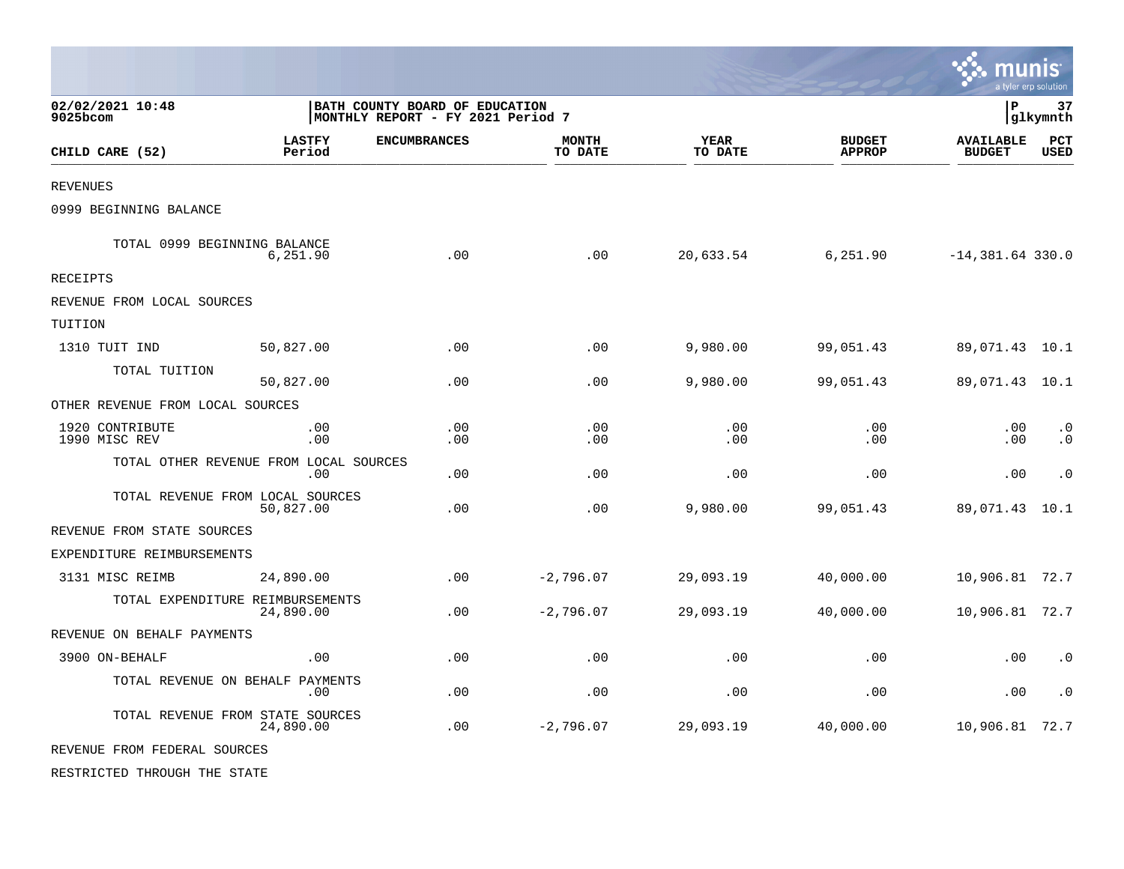|                                  |                                               |                                                                     |                         |                        |                                | m                                 | INIS<br>a tyler erp solution |
|----------------------------------|-----------------------------------------------|---------------------------------------------------------------------|-------------------------|------------------------|--------------------------------|-----------------------------------|------------------------------|
| 02/02/2021 10:48<br>9025bcom     |                                               | BATH COUNTY BOARD OF EDUCATION<br>MONTHLY REPORT - FY 2021 Period 7 |                         |                        |                                | $\mathbf{P}$                      | 37<br> glkymnth              |
| CHILD CARE (52)                  | <b>LASTFY</b><br>Period                       | <b>ENCUMBRANCES</b>                                                 | <b>MONTH</b><br>TO DATE | <b>YEAR</b><br>TO DATE | <b>BUDGET</b><br><b>APPROP</b> | <b>AVAILABLE</b><br><b>BUDGET</b> | PCT<br><b>USED</b>           |
| <b>REVENUES</b>                  |                                               |                                                                     |                         |                        |                                |                                   |                              |
| 0999 BEGINNING BALANCE           |                                               |                                                                     |                         |                        |                                |                                   |                              |
| TOTAL 0999 BEGINNING BALANCE     | 6,251.90                                      | .00                                                                 | .00                     | 20,633.54              | 6,251.90                       | $-14,381.64$ 330.0                |                              |
| RECEIPTS                         |                                               |                                                                     |                         |                        |                                |                                   |                              |
| REVENUE FROM LOCAL SOURCES       |                                               |                                                                     |                         |                        |                                |                                   |                              |
| TUITION                          |                                               |                                                                     |                         |                        |                                |                                   |                              |
| 1310 TUIT IND                    | 50,827.00                                     | .00                                                                 | .00                     | 9,980.00               | 99,051.43                      | 89,071.43                         | 10.1                         |
| TOTAL TUITION                    | 50,827.00                                     | .00                                                                 | .00                     | 9,980.00               | 99,051.43                      | 89,071.43                         | 10.1                         |
| OTHER REVENUE FROM LOCAL SOURCES |                                               |                                                                     |                         |                        |                                |                                   |                              |
| 1920 CONTRIBUTE<br>1990 MISC REV | .00<br>.00                                    | .00<br>.00                                                          | .00<br>.00              | .00<br>.00             | .00<br>.00                     | .00<br>.00                        | $\cdot$ 0<br>$\cdot$ 0       |
|                                  | TOTAL OTHER REVENUE FROM LOCAL SOURCES<br>.00 | .00                                                                 | .00                     | .00                    | .00                            | .00                               | $\cdot$ 0                    |
|                                  | TOTAL REVENUE FROM LOCAL SOURCES<br>50,827.00 | .00                                                                 | .00                     | 9,980.00               | 99,051.43                      | 89,071.43                         | 10.1                         |
| REVENUE FROM STATE SOURCES       |                                               |                                                                     |                         |                        |                                |                                   |                              |
| EXPENDITURE REIMBURSEMENTS       |                                               |                                                                     |                         |                        |                                |                                   |                              |
| 3131 MISC REIMB                  | 24,890.00                                     | .00                                                                 | $-2,796.07$             | 29,093.19              | 40,000.00                      | 10,906.81                         | 72.7                         |
|                                  | TOTAL EXPENDITURE REIMBURSEMENTS<br>24,890.00 | .00                                                                 | $-2,796.07$             | 29,093.19              | 40,000.00                      | 10,906.81 72.7                    |                              |
| REVENUE ON BEHALF PAYMENTS       |                                               |                                                                     |                         |                        |                                |                                   |                              |
| 3900 ON-BEHALF                   | .00                                           | .00                                                                 | .00                     | .00                    | .00                            | .00                               | $\cdot$ 0                    |
|                                  | TOTAL REVENUE ON BEHALF PAYMENTS<br>.00       | .00                                                                 | .00                     | .00                    | .00                            | .00                               | $\cdot$ 0                    |
|                                  | TOTAL REVENUE FROM STATE SOURCES<br>24,890.00 | .00                                                                 | $-2,796.07$             | 29,093.19              | 40,000.00                      | 10,906.81                         | 72.7                         |
| REVENUE FROM FEDERAL SOURCES     |                                               |                                                                     |                         |                        |                                |                                   |                              |

 $\bullet$ 

RESTRICTED THROUGH THE STATE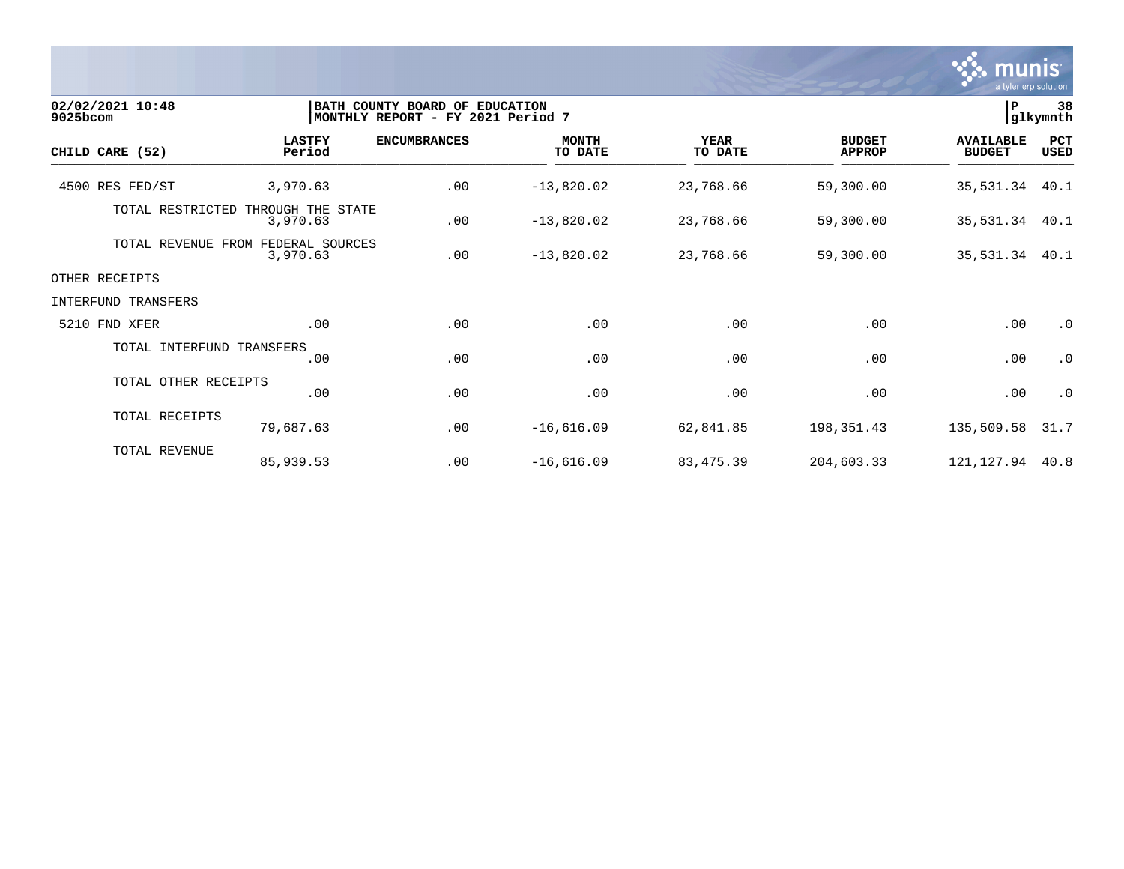

| 02/02/2021 10:48<br>9025bcom |                                                | BATH COUNTY BOARD OF EDUCATION<br> MONTHLY REPORT - FY 2021 Period 7 |                         |                        |                                | $\, {\bf P}$                      | 38<br>glkymnth     |
|------------------------------|------------------------------------------------|----------------------------------------------------------------------|-------------------------|------------------------|--------------------------------|-----------------------------------|--------------------|
| CHILD CARE (52)              | <b>LASTFY</b><br>Period                        | <b>ENCUMBRANCES</b>                                                  | <b>MONTH</b><br>TO DATE | <b>YEAR</b><br>TO DATE | <b>BUDGET</b><br><b>APPROP</b> | <b>AVAILABLE</b><br><b>BUDGET</b> | PCT<br><b>USED</b> |
| 4500 RES FED/ST              | 3,970.63                                       | .00                                                                  | $-13,820.02$            | 23,768.66              | 59,300.00                      | 35,531.34                         | 40.1               |
| TOTAL RESTRICTED             | THROUGH THE STATE<br>3,970.63                  | .00                                                                  | $-13,820.02$            | 23,768.66              | 59,300.00                      | 35, 531.34 40.1                   |                    |
|                              | TOTAL REVENUE FROM FEDERAL SOURCES<br>3,970.63 | .00                                                                  | $-13,820.02$            | 23,768.66              | 59,300.00                      | 35, 531.34 40.1                   |                    |
| OTHER RECEIPTS               |                                                |                                                                      |                         |                        |                                |                                   |                    |
| INTERFUND TRANSFERS          |                                                |                                                                      |                         |                        |                                |                                   |                    |
| 5210 FND XFER                | .00                                            | .00                                                                  | .00                     | .00                    | .00                            | .00                               | $\cdot$ 0          |
| TOTAL INTERFUND TRANSFERS    | .00                                            | .00                                                                  | .00                     | .00                    | .00                            | .00                               | $\cdot$ 0          |
| TOTAL OTHER RECEIPTS         | .00                                            | .00                                                                  | .00                     | .00                    | .00                            | .00                               | $\cdot$ 0          |
| TOTAL RECEIPTS               | 79,687.63                                      | .00                                                                  | $-16,616.09$            | 62,841.85              | 198,351.43                     | 135,509.58                        | 31.7               |
| TOTAL REVENUE                | 85,939.53                                      | .00                                                                  | $-16,616.09$            | 83,475.39              | 204,603.33                     | 121,127.94                        | 40.8               |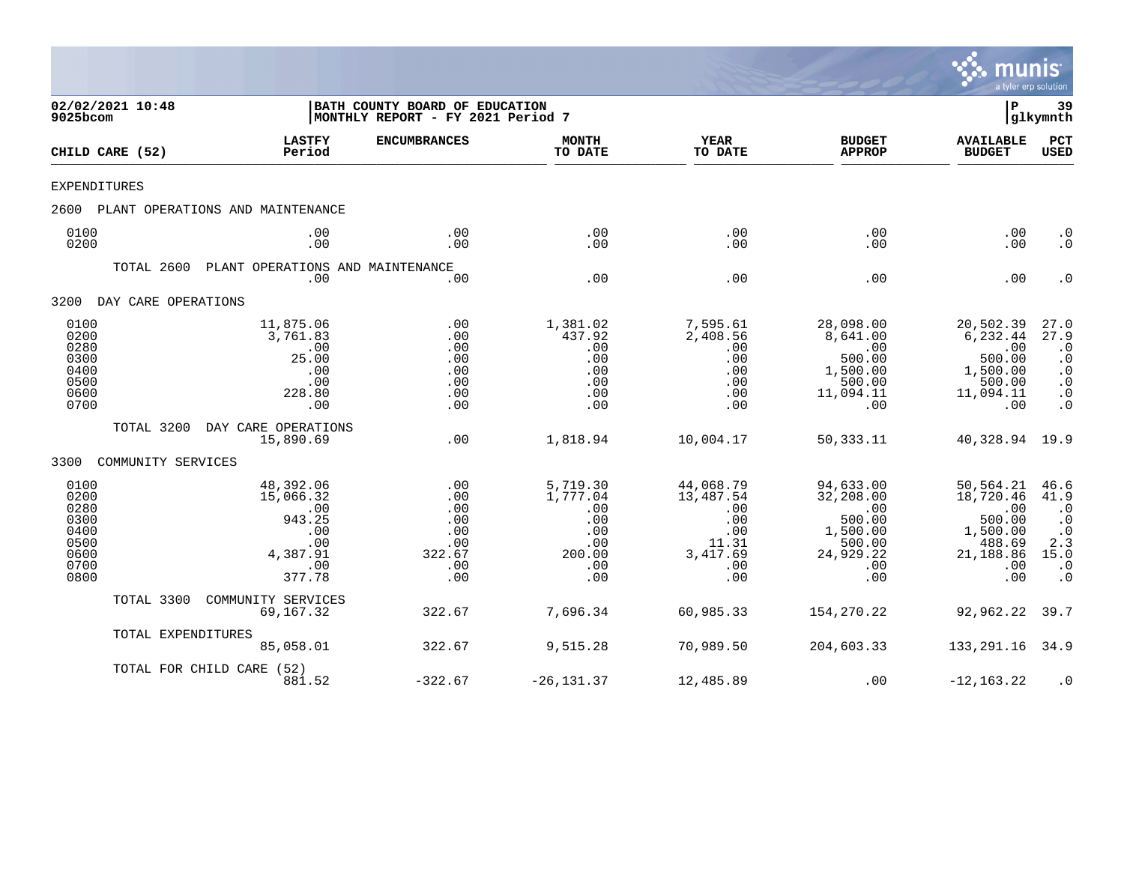

| 9025bcom                                                             | 02/02/2021 10:48    |                                                                                    | BATH COUNTY BOARD OF EDUCATION<br>MONTHLY REPORT - FY 2021 Period 7 |                                                                          |                                                                                |                                                                                          | ${\bf P}$                                                                                | 39<br>glkymnth                                                                                                                |
|----------------------------------------------------------------------|---------------------|------------------------------------------------------------------------------------|---------------------------------------------------------------------|--------------------------------------------------------------------------|--------------------------------------------------------------------------------|------------------------------------------------------------------------------------------|------------------------------------------------------------------------------------------|-------------------------------------------------------------------------------------------------------------------------------|
|                                                                      | CHILD CARE (52)     | <b>LASTFY</b><br>Period                                                            | <b>ENCUMBRANCES</b>                                                 | <b>MONTH</b><br>TO DATE                                                  | <b>YEAR</b><br>TO DATE                                                         | <b>BUDGET</b><br><b>APPROP</b>                                                           | <b>AVAILABLE</b><br><b>BUDGET</b>                                                        | PCT<br><b>USED</b>                                                                                                            |
| <b>EXPENDITURES</b>                                                  |                     |                                                                                    |                                                                     |                                                                          |                                                                                |                                                                                          |                                                                                          |                                                                                                                               |
| 2600                                                                 |                     | PLANT OPERATIONS AND MAINTENANCE                                                   |                                                                     |                                                                          |                                                                                |                                                                                          |                                                                                          |                                                                                                                               |
| 0100<br>0200                                                         |                     | .00<br>.00                                                                         | .00<br>.00                                                          | .00<br>.00                                                               | .00<br>.00                                                                     | .00<br>.00                                                                               | .00<br>.00                                                                               | $\cdot$ 0<br>$\cdot$ 0                                                                                                        |
|                                                                      | TOTAL 2600          | PLANT OPERATIONS AND MAINTENANCE<br>.00                                            | .00                                                                 | .00                                                                      | .00                                                                            | .00                                                                                      | .00                                                                                      | $\cdot$ 0                                                                                                                     |
| 3200                                                                 | DAY CARE OPERATIONS |                                                                                    |                                                                     |                                                                          |                                                                                |                                                                                          |                                                                                          |                                                                                                                               |
| 0100<br>0200<br>0280<br>0300<br>0400<br>0500<br>0600<br>0700         |                     | 11,875.06<br>3,761.83<br>.00<br>25.00<br>.00<br>.00<br>228.80<br>.00               | .00<br>.00<br>.00<br>.00<br>.00<br>.00<br>.00<br>.00                | 1,381.02<br>437.92<br>.00<br>.00<br>.00<br>.00<br>.00<br>.00             | 7,595.61<br>2,408.56<br>.00<br>.00<br>.00<br>.00<br>.00<br>.00                 | 28,098.00<br>8,641.00<br>.00<br>500.00<br>1,500.00<br>500.00<br>11,094.11<br>.00         | 20,502.39<br>6,232.44<br>.00<br>500.00<br>1,500.00<br>500.00<br>11,094.11<br>.00         | 27.0<br>27.9<br>$\cdot$ 0<br>$\cdot$ 0<br>$\boldsymbol{\cdot}$ 0<br>$\cdot$ 0<br>$\overline{0}$<br>$\overline{\phantom{0}}$ . |
|                                                                      | TOTAL 3200          | DAY CARE OPERATIONS<br>15,890.69                                                   | .00                                                                 | 1,818.94                                                                 | 10,004.17                                                                      | 50,333.11                                                                                | 40,328.94 19.9                                                                           |                                                                                                                               |
| 3300                                                                 | COMMUNITY SERVICES  |                                                                                    |                                                                     |                                                                          |                                                                                |                                                                                          |                                                                                          |                                                                                                                               |
| 0100<br>0200<br>0280<br>0300<br>0400<br>0500<br>0600<br>0700<br>0800 |                     | 48,392.06<br>15,066.32<br>.00<br>943.25<br>.00<br>.00<br>4,387.91<br>.00<br>377.78 | .00<br>.00<br>.00<br>.00<br>.00<br>.00<br>322.67<br>.00<br>.00      | 5,719.30<br>1,777.04<br>.00<br>.00<br>.00<br>.00<br>200.00<br>.00<br>.00 | 44,068.79<br>13,487.54<br>.00<br>.00<br>.00<br>11.31<br>3,417.69<br>.00<br>.00 | 94,633.00<br>32,208.00<br>.00<br>500.00<br>1,500.00<br>500.00<br>24,929.22<br>.00<br>.00 | 50,564.21<br>18,720.46<br>.00<br>500.00<br>1,500.00<br>488.69<br>21,188.86<br>.00<br>.00 | 46.6<br>41.9<br>$\cdot$ 0<br>$\cdot$ 0<br>$\cdot$ 0<br>2.3<br>15.0<br>$\cdot$ 0<br>$\cdot$ 0                                  |
|                                                                      | TOTAL 3300          | COMMUNITY SERVICES<br>69,167.32                                                    | 322.67                                                              | 7,696.34                                                                 | 60,985.33                                                                      | 154,270.22                                                                               | 92,962.22                                                                                | 39.7                                                                                                                          |
|                                                                      | TOTAL EXPENDITURES  | 85,058.01                                                                          | 322.67                                                              | 9,515.28                                                                 | 70,989.50                                                                      | 204,603.33                                                                               | 133,291.16                                                                               | 34.9                                                                                                                          |
|                                                                      |                     | TOTAL FOR CHILD CARE (52)<br>881.52                                                | $-322.67$                                                           | $-26, 131.37$                                                            | 12,485.89                                                                      | $.00 \,$                                                                                 | $-12, 163.22$                                                                            | $\cdot$ 0                                                                                                                     |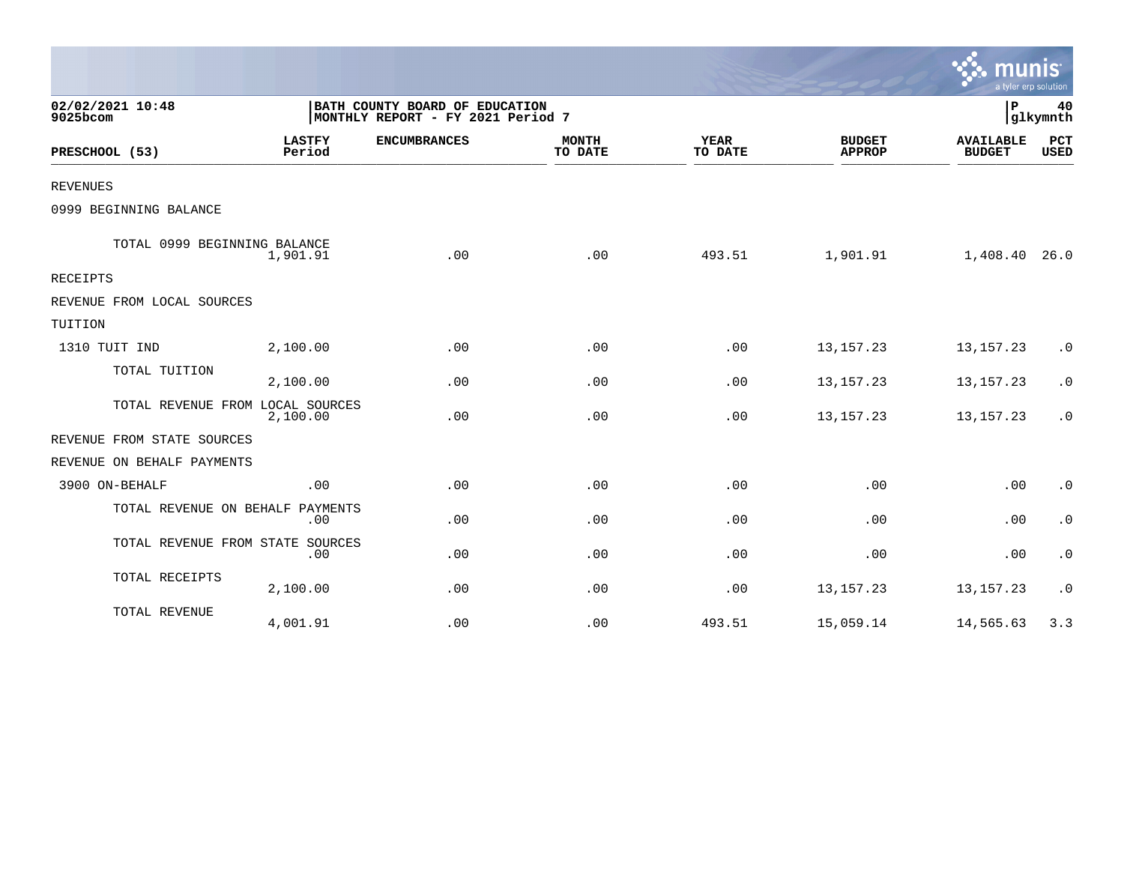|                                  |                         |                                                                     |                         |                        |                                | $\sim$ munis<br>a tyler erp solution |                    |
|----------------------------------|-------------------------|---------------------------------------------------------------------|-------------------------|------------------------|--------------------------------|--------------------------------------|--------------------|
| 02/02/2021 10:48<br>9025bcom     |                         | BATH COUNTY BOARD OF EDUCATION<br>MONTHLY REPORT - FY 2021 Period 7 |                         |                        |                                | P                                    | 40<br>glkymnth     |
| PRESCHOOL (53)                   | <b>LASTFY</b><br>Period | <b>ENCUMBRANCES</b>                                                 | <b>MONTH</b><br>TO DATE | <b>YEAR</b><br>TO DATE | <b>BUDGET</b><br><b>APPROP</b> | <b>AVAILABLE</b><br><b>BUDGET</b>    | PCT<br><b>USED</b> |
| <b>REVENUES</b>                  |                         |                                                                     |                         |                        |                                |                                      |                    |
| 0999 BEGINNING BALANCE           |                         |                                                                     |                         |                        |                                |                                      |                    |
| TOTAL 0999 BEGINNING BALANCE     | 1,901.91                | .00                                                                 | .00                     | 493.51                 | 1,901.91                       | 1,408.40                             | 26.0               |
| RECEIPTS                         |                         |                                                                     |                         |                        |                                |                                      |                    |
| REVENUE FROM LOCAL SOURCES       |                         |                                                                     |                         |                        |                                |                                      |                    |
| TUITION                          |                         |                                                                     |                         |                        |                                |                                      |                    |
| 1310 TUIT IND                    | 2,100.00                | .00                                                                 | .00                     | .00                    | 13, 157. 23                    | 13, 157. 23                          | $\cdot$ 0          |
| TOTAL TUITION                    | 2,100.00                | .00                                                                 | .00                     | .00                    | 13, 157. 23                    | 13, 157. 23                          | $\cdot$ 0          |
| TOTAL REVENUE FROM LOCAL SOURCES | 2,100.00                | .00                                                                 | .00                     | .00                    | 13, 157. 23                    | 13, 157. 23                          | $\cdot$ 0          |
| REVENUE FROM STATE SOURCES       |                         |                                                                     |                         |                        |                                |                                      |                    |
| REVENUE ON BEHALF PAYMENTS       |                         |                                                                     |                         |                        |                                |                                      |                    |
| 3900 ON-BEHALF                   | .00                     | .00                                                                 | .00                     | .00                    | .00                            | .00                                  | $\cdot$ 0          |
| TOTAL REVENUE ON BEHALF          | PAYMENTS<br>.00         | .00                                                                 | .00                     | .00                    | .00                            | .00                                  | $\cdot$ 0          |
| TOTAL REVENUE FROM STATE SOURCES | .00                     | .00                                                                 | .00                     | .00                    | .00                            | .00                                  | $\cdot$ 0          |
| TOTAL RECEIPTS                   | 2,100.00                | .00                                                                 | .00                     | .00                    | 13, 157. 23                    | 13, 157. 23                          | $\cdot$ 0          |
| TOTAL REVENUE                    | 4,001.91                | .00                                                                 | .00                     | 493.51                 | 15,059.14                      | 14,565.63                            | 3.3                |

 $\sim$   $\sim$   $\sim$   $\sim$   $\sim$   $\sim$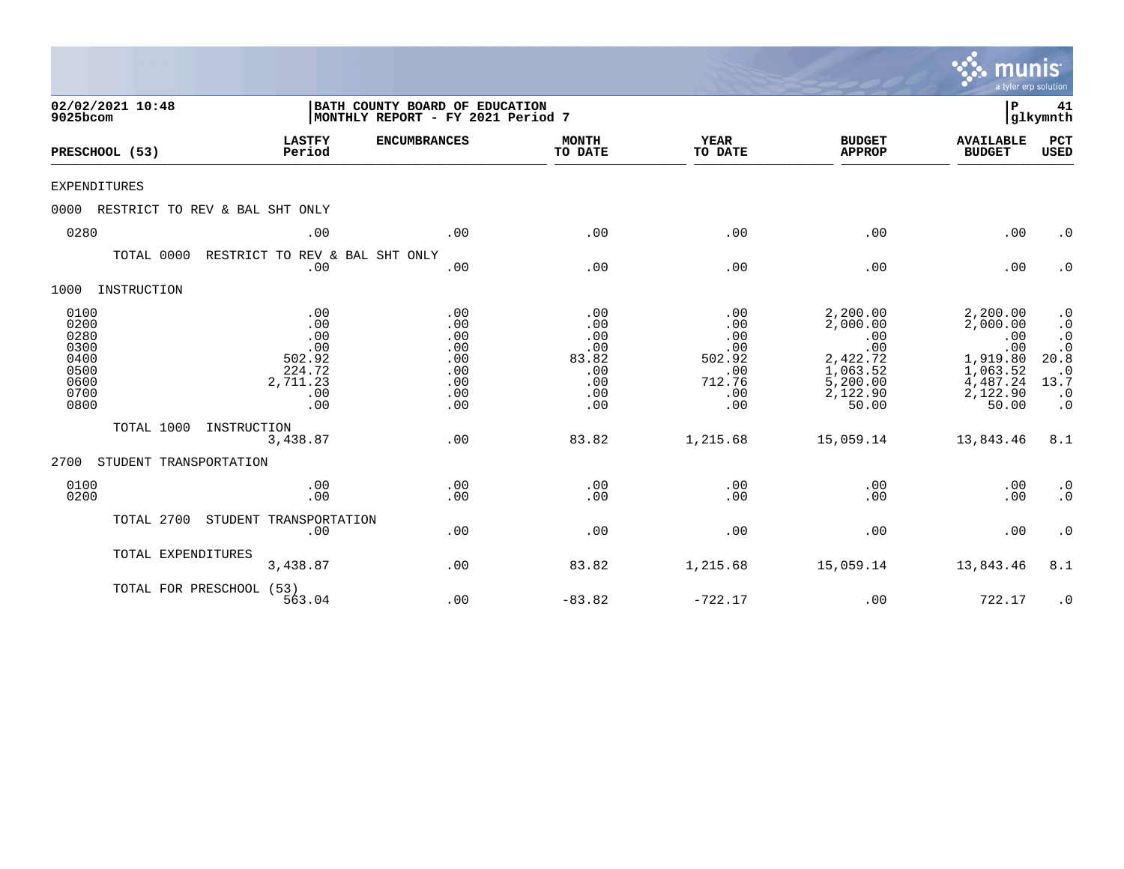|                                                                      |                                |                                                                        |                                                                     |                                                               |                                                                   |                                                                                             | munis<br>a tyler erp solution                                                               |                                                                                                                      |
|----------------------------------------------------------------------|--------------------------------|------------------------------------------------------------------------|---------------------------------------------------------------------|---------------------------------------------------------------|-------------------------------------------------------------------|---------------------------------------------------------------------------------------------|---------------------------------------------------------------------------------------------|----------------------------------------------------------------------------------------------------------------------|
| 9025bcom                                                             | 02/02/2021 10:48               |                                                                        | BATH COUNTY BOARD OF EDUCATION<br>MONTHLY REPORT - FY 2021 Period 7 |                                                               |                                                                   |                                                                                             | ΙP                                                                                          | 41<br> glkymnth                                                                                                      |
|                                                                      | PRESCHOOL (53)                 | <b>LASTFY</b><br>Period                                                | <b>ENCUMBRANCES</b>                                                 | <b>MONTH</b><br>TO DATE                                       | <b>YEAR</b><br>TO DATE                                            | <b>BUDGET</b><br><b>APPROP</b>                                                              | <b>AVAILABLE</b><br><b>BUDGET</b>                                                           | PCT<br><b>USED</b>                                                                                                   |
| <b>EXPENDITURES</b>                                                  |                                |                                                                        |                                                                     |                                                               |                                                                   |                                                                                             |                                                                                             |                                                                                                                      |
| 0000                                                                 | RESTRICT TO REV & BAL SHT ONLY |                                                                        |                                                                     |                                                               |                                                                   |                                                                                             |                                                                                             |                                                                                                                      |
| 0280                                                                 |                                | .00                                                                    | .00                                                                 | .00                                                           | .00                                                               | .00                                                                                         | .00                                                                                         | $\cdot$ 0                                                                                                            |
|                                                                      | TOTAL 0000                     | RESTRICT TO REV & BAL SHT ONLY<br>.00                                  | .00                                                                 | .00                                                           | .00                                                               | .00                                                                                         | .00                                                                                         | $\cdot$ 0                                                                                                            |
| 1000                                                                 | INSTRUCTION                    |                                                                        |                                                                     |                                                               |                                                                   |                                                                                             |                                                                                             |                                                                                                                      |
| 0100<br>0200<br>0280<br>0300<br>0400<br>0500<br>0600<br>0700<br>0800 |                                | .00<br>.00<br>.00<br>.00<br>502.92<br>224.72<br>2,711.23<br>.00<br>.00 | .00<br>.00<br>.00<br>.00<br>.00<br>.00<br>.00<br>.00<br>.00         | .00<br>.00<br>.00<br>.00<br>83.82<br>.00<br>.00<br>.00<br>.00 | .00<br>.00<br>.00<br>.00<br>502.92<br>.00<br>712.76<br>.00<br>.00 | 2,200.00<br>2,000.00<br>.00<br>.00<br>2,422.72<br>1,063.52<br>5,200.00<br>2,122.90<br>50.00 | 2,200.00<br>2,000.00<br>.00<br>.00<br>1,919.80<br>1,063.52<br>4,487.24<br>2,122.90<br>50.00 | $\cdot$ 0<br>$\cdot$ 0<br>$\cdot$ 0<br>$\boldsymbol{\cdot}$ 0<br>20.8<br>$\cdot$ 0<br>13.7<br>$\cdot$ 0<br>$\cdot$ 0 |
|                                                                      | TOTAL 1000                     | INSTRUCTION<br>3,438.87                                                | .00                                                                 | 83.82                                                         | 1,215.68                                                          | 15,059.14                                                                                   | 13,843.46                                                                                   | 8.1                                                                                                                  |
| 2700                                                                 | STUDENT TRANSPORTATION         |                                                                        |                                                                     |                                                               |                                                                   |                                                                                             |                                                                                             |                                                                                                                      |
| 0100<br>0200                                                         |                                | .00<br>.00                                                             | .00<br>.00                                                          | .00<br>.00                                                    | .00<br>.00                                                        | .00<br>.00                                                                                  | .00<br>.00                                                                                  | $\cdot$ 0<br>$\cdot$ 0                                                                                               |
|                                                                      | TOTAL 2700                     | STUDENT TRANSPORTATION<br>.00                                          | .00                                                                 | .00                                                           | .00                                                               | .00                                                                                         | .00                                                                                         | $\cdot$ 0                                                                                                            |
|                                                                      | TOTAL EXPENDITURES             | 3,438.87                                                               | .00                                                                 | 83.82                                                         | 1,215.68                                                          | 15,059.14                                                                                   | 13,843.46                                                                                   | 8.1                                                                                                                  |
|                                                                      | TOTAL FOR PRESCHOOL (53)       | 563.04                                                                 | .00                                                                 | $-83.82$                                                      | $-722.17$                                                         | .00                                                                                         | 722.17                                                                                      | $\cdot$ 0                                                                                                            |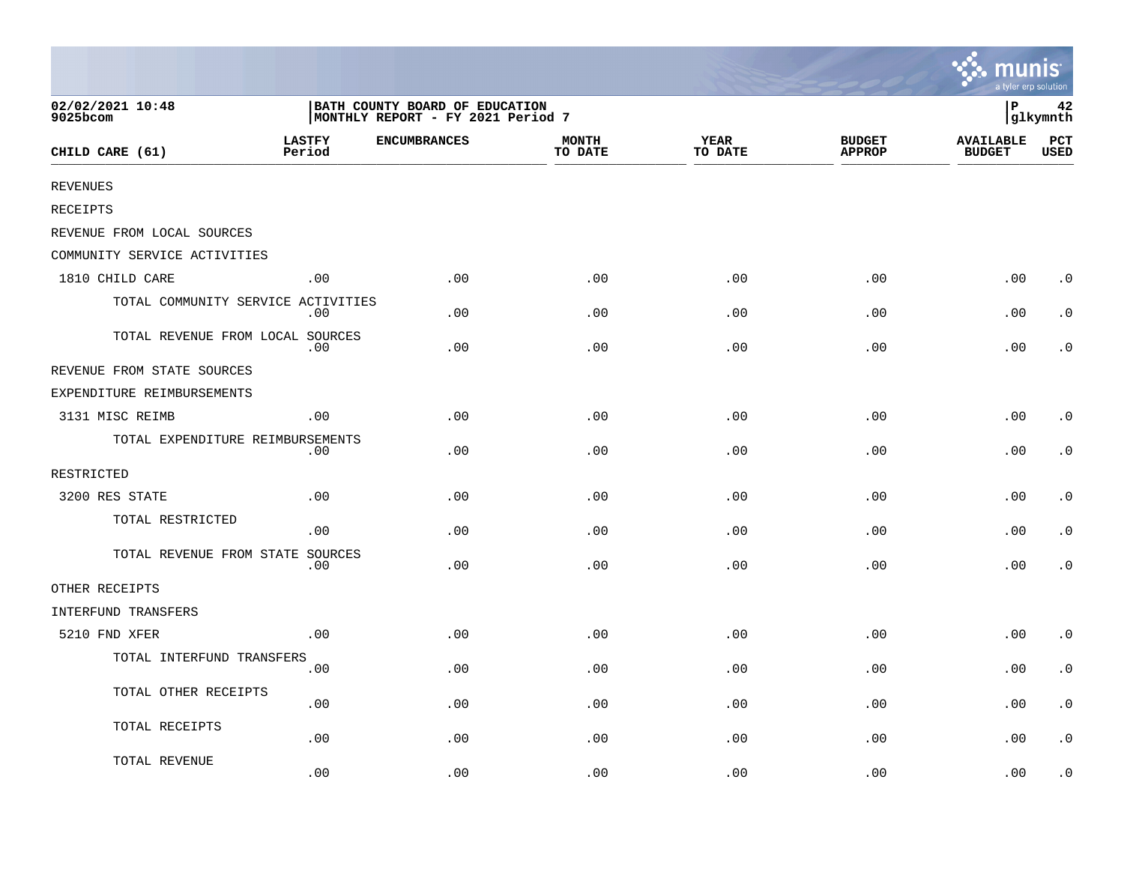|                                    |                                                                     |                     |                         |                 |                                | ः munis<br>a tyler erp solution   |                             |
|------------------------------------|---------------------------------------------------------------------|---------------------|-------------------------|-----------------|--------------------------------|-----------------------------------|-----------------------------|
| 02/02/2021 10:48<br>9025bcom       | BATH COUNTY BOARD OF EDUCATION<br>MONTHLY REPORT - FY 2021 Period 7 |                     |                         |                 |                                | lР<br>42<br> glkymnth             |                             |
| CHILD CARE (61)                    | <b>LASTFY</b><br>Period                                             | <b>ENCUMBRANCES</b> | <b>MONTH</b><br>TO DATE | YEAR<br>TO DATE | <b>BUDGET</b><br><b>APPROP</b> | <b>AVAILABLE</b><br><b>BUDGET</b> | $_{\rm PCT}$<br><b>USED</b> |
| <b>REVENUES</b>                    |                                                                     |                     |                         |                 |                                |                                   |                             |
| <b>RECEIPTS</b>                    |                                                                     |                     |                         |                 |                                |                                   |                             |
| REVENUE FROM LOCAL SOURCES         |                                                                     |                     |                         |                 |                                |                                   |                             |
| COMMUNITY SERVICE ACTIVITIES       |                                                                     |                     |                         |                 |                                |                                   |                             |
| 1810 CHILD CARE                    | .00                                                                 | .00                 | .00                     | .00             | .00                            | .00                               | $\cdot$ 0                   |
| TOTAL COMMUNITY SERVICE ACTIVITIES | $.00 \,$                                                            | .00                 | .00                     | .00             | .00                            | .00                               | $\cdot$ 0                   |
| TOTAL REVENUE FROM LOCAL SOURCES   | .00                                                                 | .00                 | .00                     | .00             | .00                            | .00                               | $\cdot$ 0                   |
| REVENUE FROM STATE SOURCES         |                                                                     |                     |                         |                 |                                |                                   |                             |
| EXPENDITURE REIMBURSEMENTS         |                                                                     |                     |                         |                 |                                |                                   |                             |
| 3131 MISC REIMB                    | .00                                                                 | .00                 | .00                     | .00             | .00                            | .00                               | $\cdot$ 0                   |
| TOTAL EXPENDITURE REIMBURSEMENTS   | $.00 \,$                                                            | .00                 | .00                     | .00             | .00                            | .00                               | $\cdot$ 0                   |
| RESTRICTED                         |                                                                     |                     |                         |                 |                                |                                   |                             |
| 3200 RES STATE                     | .00                                                                 | .00                 | .00                     | .00             | .00                            | .00                               | $\cdot$ 0                   |
| TOTAL RESTRICTED                   | .00                                                                 | .00                 | .00                     | .00             | .00                            | .00                               | $\cdot$ 0                   |
| TOTAL REVENUE FROM STATE SOURCES   | .00                                                                 | .00                 | .00                     | .00             | .00                            | .00                               | $\cdot$ 0                   |
| OTHER RECEIPTS                     |                                                                     |                     |                         |                 |                                |                                   |                             |
| INTERFUND TRANSFERS                |                                                                     |                     |                         |                 |                                |                                   |                             |
| 5210 FND XFER                      | .00                                                                 | .00                 | .00                     | .00             | .00                            | .00                               | $\cdot$ 0                   |
| TOTAL INTERFUND TRANSFERS          | .00                                                                 | .00                 | .00                     | .00             | .00                            | .00                               | $\cdot$ 0                   |
| TOTAL OTHER RECEIPTS               | .00                                                                 | .00                 | .00                     | .00             | .00                            | .00                               | $\cdot$ 0                   |
| TOTAL RECEIPTS                     | .00                                                                 | .00                 | .00                     | .00             | .00                            | .00                               | $\cdot$ 0                   |
| TOTAL REVENUE                      | .00                                                                 | .00                 | .00                     | .00             | .00                            | .00                               | $\cdot$ 0                   |

and the contract of the contract of the contract of the contract of the contract of the contract of the contract of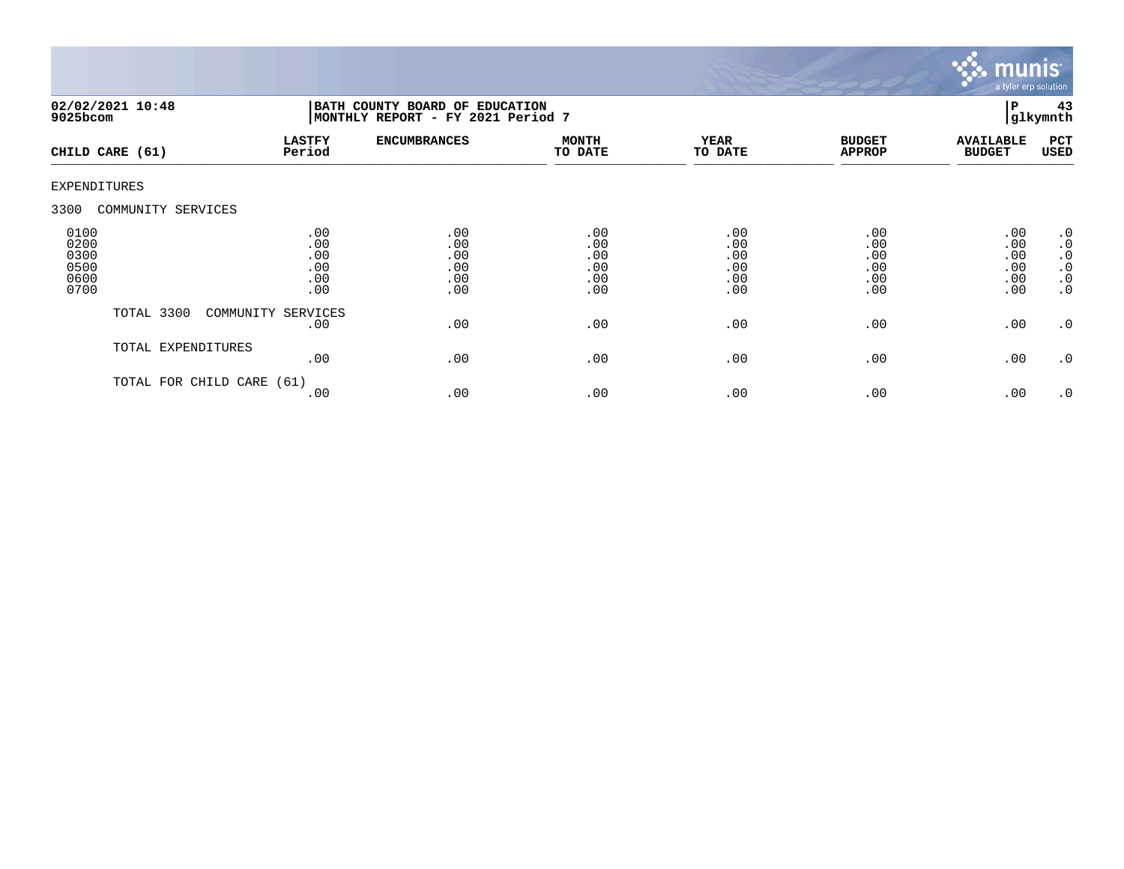

| $9025$ bcom                                  | 02/02/2021 10:48     | BATH COUNTY BOARD OF EDUCATION<br>MONTHLY REPORT - FY 2021 Period 7 |                                        |                                        |                                        |                                        |                                        | 43<br>glkymnth                                                                          |
|----------------------------------------------|----------------------|---------------------------------------------------------------------|----------------------------------------|----------------------------------------|----------------------------------------|----------------------------------------|----------------------------------------|-----------------------------------------------------------------------------------------|
|                                              | CHILD CARE (61)      | <b>LASTFY</b><br>Period                                             | <b>ENCUMBRANCES</b>                    | <b>MONTH</b><br>TO DATE                | <b>YEAR</b><br>TO DATE                 | <b>BUDGET</b><br><b>APPROP</b>         | <b>AVAILABLE</b><br><b>BUDGET</b>      | PCT<br>USED                                                                             |
| <b>EXPENDITURES</b>                          |                      |                                                                     |                                        |                                        |                                        |                                        |                                        |                                                                                         |
| 3300                                         | COMMUNITY SERVICES   |                                                                     |                                        |                                        |                                        |                                        |                                        |                                                                                         |
| 0100<br>0200<br>0300<br>0500<br>0600<br>0700 |                      | .00<br>.00<br>.00<br>.00<br>.00<br>.00                              | .00<br>.00<br>.00<br>.00<br>.00<br>.00 | .00<br>.00<br>.00<br>.00<br>.00<br>.00 | .00<br>.00<br>.00<br>.00<br>.00<br>.00 | .00<br>.00<br>.00<br>.00<br>.00<br>.00 | .00<br>.00<br>.00<br>.00<br>.00<br>.00 | $\cdot$ 0<br>$\boldsymbol{\cdot}$ 0<br>$\cdot$ 0<br>$\cdot$ 0<br>$\cdot$ 0<br>$\cdot$ 0 |
|                                              | TOTAL 3300           | COMMUNITY SERVICES<br>.00                                           | .00                                    | .00                                    | .00                                    | .00                                    | .00                                    | $\cdot$ 0                                                                               |
|                                              | TOTAL EXPENDITURES   | .00                                                                 | .00                                    | .00                                    | .00                                    | .00                                    | .00                                    | $\cdot$ 0                                                                               |
|                                              | TOTAL FOR CHILD CARE | (61)<br>.00                                                         | .00                                    | .00                                    | .00                                    | .00                                    | .00                                    | .0                                                                                      |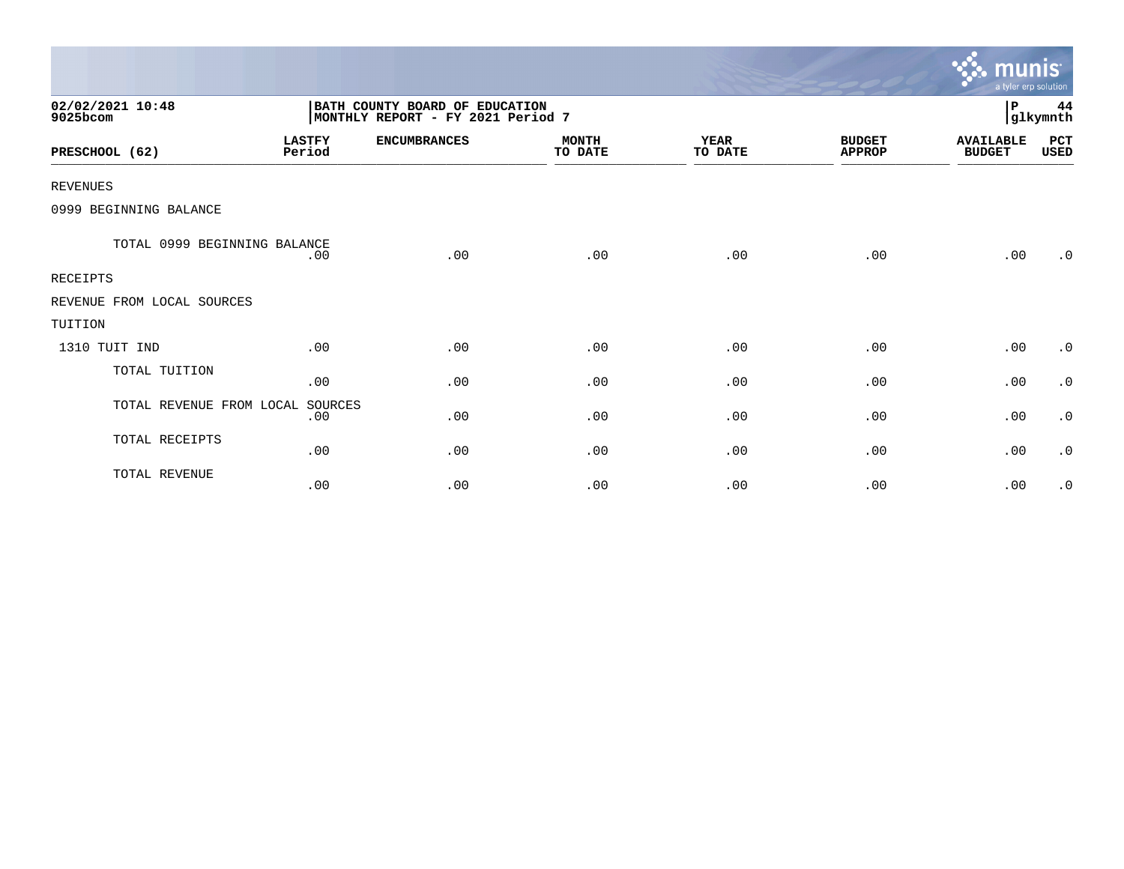|                              |                         |                                                                     |                         |                        |                                | munis<br>a tyler erp solution     |                |
|------------------------------|-------------------------|---------------------------------------------------------------------|-------------------------|------------------------|--------------------------------|-----------------------------------|----------------|
| 02/02/2021 10:48<br>9025bcom |                         | BATH COUNTY BOARD OF EDUCATION<br>MONTHLY REPORT - FY 2021 Period 7 |                         |                        |                                | $\, {\bf P}$                      | 44<br>glkymnth |
| PRESCHOOL (62)               | <b>LASTFY</b><br>Period | <b>ENCUMBRANCES</b>                                                 | <b>MONTH</b><br>TO DATE | <b>YEAR</b><br>TO DATE | <b>BUDGET</b><br><b>APPROP</b> | <b>AVAILABLE</b><br><b>BUDGET</b> | PCT<br>USED    |
| <b>REVENUES</b>              |                         |                                                                     |                         |                        |                                |                                   |                |
| 0999 BEGINNING BALANCE       |                         |                                                                     |                         |                        |                                |                                   |                |
| TOTAL 0999 BEGINNING BALANCE | .00                     | .00                                                                 | .00                     | .00                    | .00                            | .00                               | $\cdot$ 0      |
| <b>RECEIPTS</b>              |                         |                                                                     |                         |                        |                                |                                   |                |
| REVENUE FROM LOCAL SOURCES   |                         |                                                                     |                         |                        |                                |                                   |                |
| TUITION                      |                         |                                                                     |                         |                        |                                |                                   |                |
| 1310 TUIT IND                | .00                     | .00                                                                 | .00                     | .00                    | .00                            | .00                               | $\cdot$ 0      |
| TOTAL TUITION                | .00                     | .00                                                                 | .00                     | .00                    | .00                            | .00                               | $\cdot$ 0      |
| TOTAL REVENUE FROM LOCAL     | SOURCES<br>.00          | .00                                                                 | .00                     | .00                    | .00                            | .00                               | $\cdot$ 0      |
| TOTAL RECEIPTS               | .00                     | .00                                                                 | .00                     | .00                    | .00                            | .00                               | $\cdot$ 0      |
| TOTAL REVENUE                | .00                     | .00                                                                 | .00                     | .00                    | .00                            | .00                               | $\cdot$ 0      |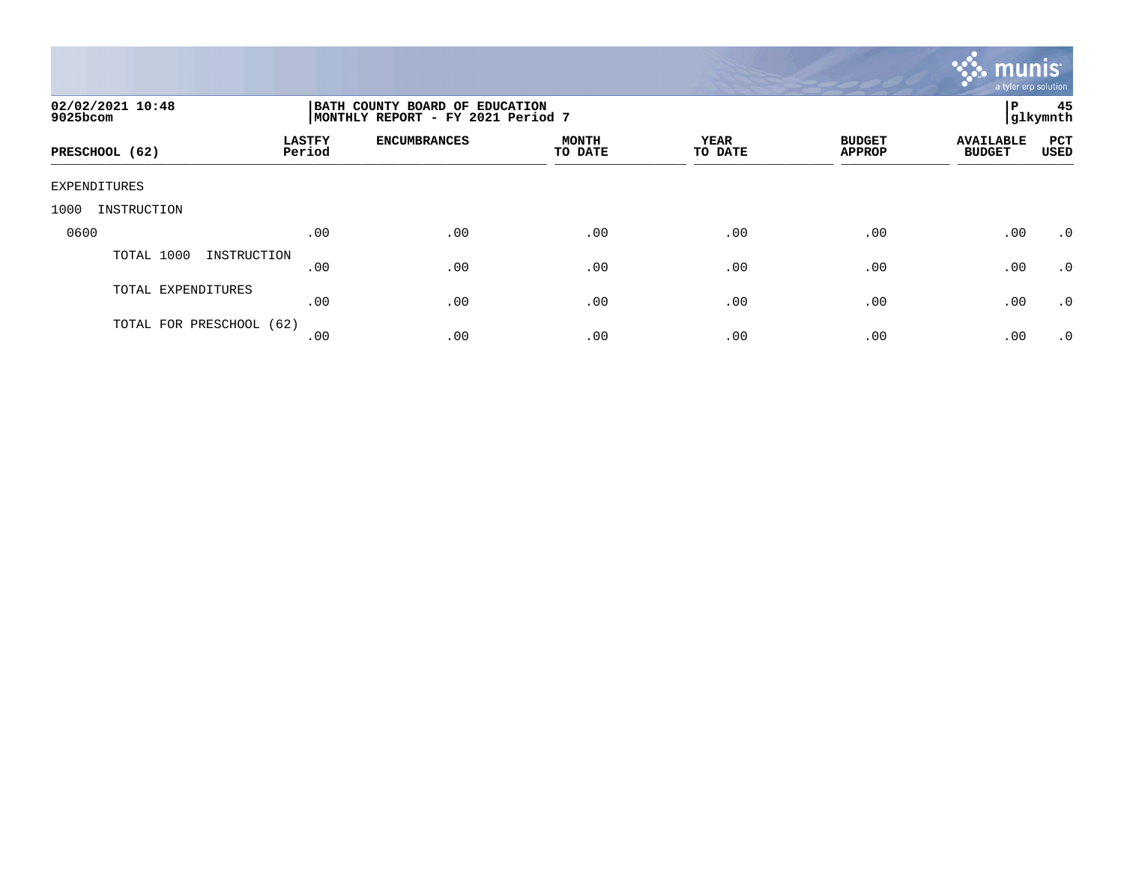

| 02/02/2021 10:48<br>9025bcom | BATH COUNTY BOARD OF EDUCATION<br>MONTHLY REPORT - FY 2021 Period 7 |                     |                         |                        |                                |                                   | 45<br> glkymnth    |
|------------------------------|---------------------------------------------------------------------|---------------------|-------------------------|------------------------|--------------------------------|-----------------------------------|--------------------|
| PRESCHOOL (62)               | <b>LASTFY</b><br>Period                                             | <b>ENCUMBRANCES</b> | <b>MONTH</b><br>TO DATE | <b>YEAR</b><br>TO DATE | <b>BUDGET</b><br><b>APPROP</b> | <b>AVAILABLE</b><br><b>BUDGET</b> | PCT<br><b>USED</b> |
| EXPENDITURES                 |                                                                     |                     |                         |                        |                                |                                   |                    |
| INSTRUCTION<br>1000          |                                                                     |                     |                         |                        |                                |                                   |                    |
| 0600                         | .00                                                                 | .00                 | .00                     | .00                    | .00                            | .00                               | $\cdot$ 0          |
| TOTAL 1000<br>INSTRUCTION    | .00                                                                 | .00                 | .00                     | .00                    | .00                            | .00                               | $\cdot$ 0          |
| TOTAL EXPENDITURES           | .00                                                                 | .00                 | .00                     | .00                    | .00                            | .00                               | .0                 |
| TOTAL FOR PRESCHOOL (62)     | .00                                                                 | .00                 | .00                     | .00                    | .00                            | .00                               | $\cdot$ 0          |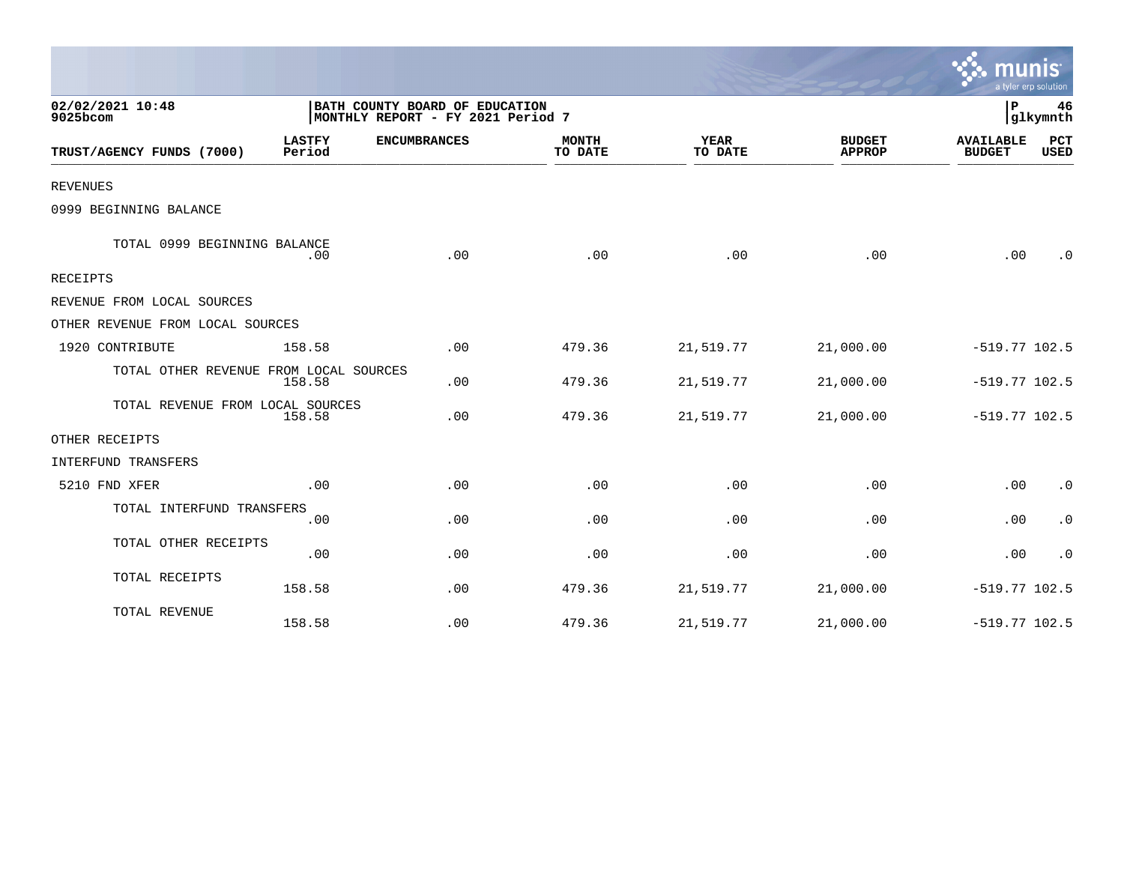|                                        |                         |                                                                     |                         |                        |                                | a tyler erp solution              |                    |
|----------------------------------------|-------------------------|---------------------------------------------------------------------|-------------------------|------------------------|--------------------------------|-----------------------------------|--------------------|
| 02/02/2021 10:48<br>9025bcom           |                         | BATH COUNTY BOARD OF EDUCATION<br>MONTHLY REPORT - FY 2021 Period 7 |                         |                        |                                | P                                 | 46<br>glkymnth     |
| TRUST/AGENCY FUNDS (7000)              | <b>LASTFY</b><br>Period | <b>ENCUMBRANCES</b>                                                 | <b>MONTH</b><br>TO DATE | <b>YEAR</b><br>TO DATE | <b>BUDGET</b><br><b>APPROP</b> | <b>AVAILABLE</b><br><b>BUDGET</b> | PCT<br><b>USED</b> |
| <b>REVENUES</b>                        |                         |                                                                     |                         |                        |                                |                                   |                    |
| 0999 BEGINNING BALANCE                 |                         |                                                                     |                         |                        |                                |                                   |                    |
| TOTAL 0999 BEGINNING BALANCE           | .00                     | .00                                                                 | .00                     | .00                    | .00                            | .00                               | $\cdot$ 0          |
| RECEIPTS                               |                         |                                                                     |                         |                        |                                |                                   |                    |
| REVENUE FROM LOCAL SOURCES             |                         |                                                                     |                         |                        |                                |                                   |                    |
| OTHER REVENUE FROM LOCAL SOURCES       |                         |                                                                     |                         |                        |                                |                                   |                    |
| 1920 CONTRIBUTE                        | 158.58                  | .00                                                                 | 479.36                  | 21,519.77              | 21,000.00                      | $-519.77$ 102.5                   |                    |
| TOTAL OTHER REVENUE FROM LOCAL SOURCES | 158.58                  | .00                                                                 | 479.36                  | 21,519.77              | 21,000.00                      | $-519.77$ 102.5                   |                    |
| TOTAL REVENUE FROM LOCAL SOURCES       | 158.58                  | .00                                                                 | 479.36                  | 21,519.77              | 21,000.00                      | $-519.77$ 102.5                   |                    |
| OTHER RECEIPTS                         |                         |                                                                     |                         |                        |                                |                                   |                    |
| INTERFUND TRANSFERS                    |                         |                                                                     |                         |                        |                                |                                   |                    |
| 5210 FND XFER                          | .00                     | .00                                                                 | .00                     | .00                    | .00                            | .00                               | $\cdot$ 0          |
| TOTAL INTERFUND TRANSFERS              | .00                     | .00                                                                 | .00                     | .00                    | .00                            | .00                               | $\cdot$ 0          |
| TOTAL OTHER RECEIPTS                   | .00                     | .00                                                                 | .00                     | .00                    | .00                            | .00                               | $\cdot$ 0          |
| TOTAL RECEIPTS                         | 158.58                  | .00                                                                 | 479.36                  | 21,519.77              | 21,000.00                      | $-519.77$ 102.5                   |                    |
| TOTAL REVENUE                          | 158.58                  | .00                                                                 | 479.36                  | 21,519.77              | 21,000.00                      | $-519.77$ 102.5                   |                    |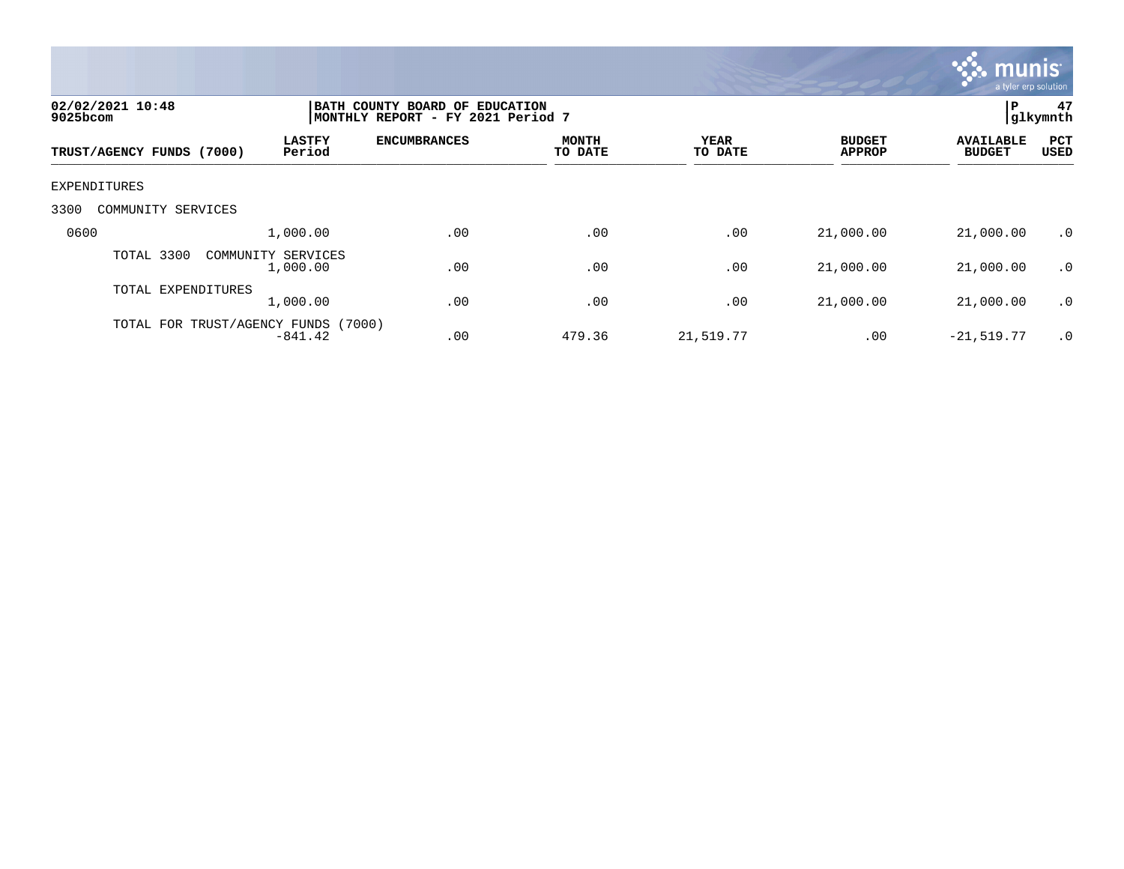

| 02/02/2021 10:48<br>9025bcom |                                | BATH COUNTY BOARD OF EDUCATION<br>MONTHLY REPORT - FY 2021 Period 7 |                         |                        |                                |                                   |                           |
|------------------------------|--------------------------------|---------------------------------------------------------------------|-------------------------|------------------------|--------------------------------|-----------------------------------|---------------------------|
| TRUST/AGENCY FUNDS (7000)    | <b>LASTFY</b><br>Period        | <b>ENCUMBRANCES</b>                                                 | <b>MONTH</b><br>TO DATE | <b>YEAR</b><br>TO DATE | <b>BUDGET</b><br><b>APPROP</b> | <b>AVAILABLE</b><br><b>BUDGET</b> | <b>PCT</b><br><b>USED</b> |
| EXPENDITURES                 |                                |                                                                     |                         |                        |                                |                                   |                           |
| 3300<br>COMMUNITY SERVICES   |                                |                                                                     |                         |                        |                                |                                   |                           |
| 0600                         | 1,000.00                       | .00                                                                 | .00                     | .00                    | 21,000.00                      | 21,000.00                         | .0                        |
| TOTAL 3300                   | COMMUNITY SERVICES<br>1,000.00 | .00                                                                 | .00                     | .00                    | 21,000.00                      | 21,000.00                         | $\cdot$ 0                 |
| TOTAL EXPENDITURES           | 1,000.00                       | .00                                                                 | .00                     | .00                    | 21,000.00                      | 21,000.00                         | .0                        |
| TOTAL FOR TRUST/AGENCY FUNDS | (7000)<br>$-841.42$            | .00                                                                 | 479.36                  | 21,519.77              | .00                            | $-21,519.77$                      | $\cdot$ 0                 |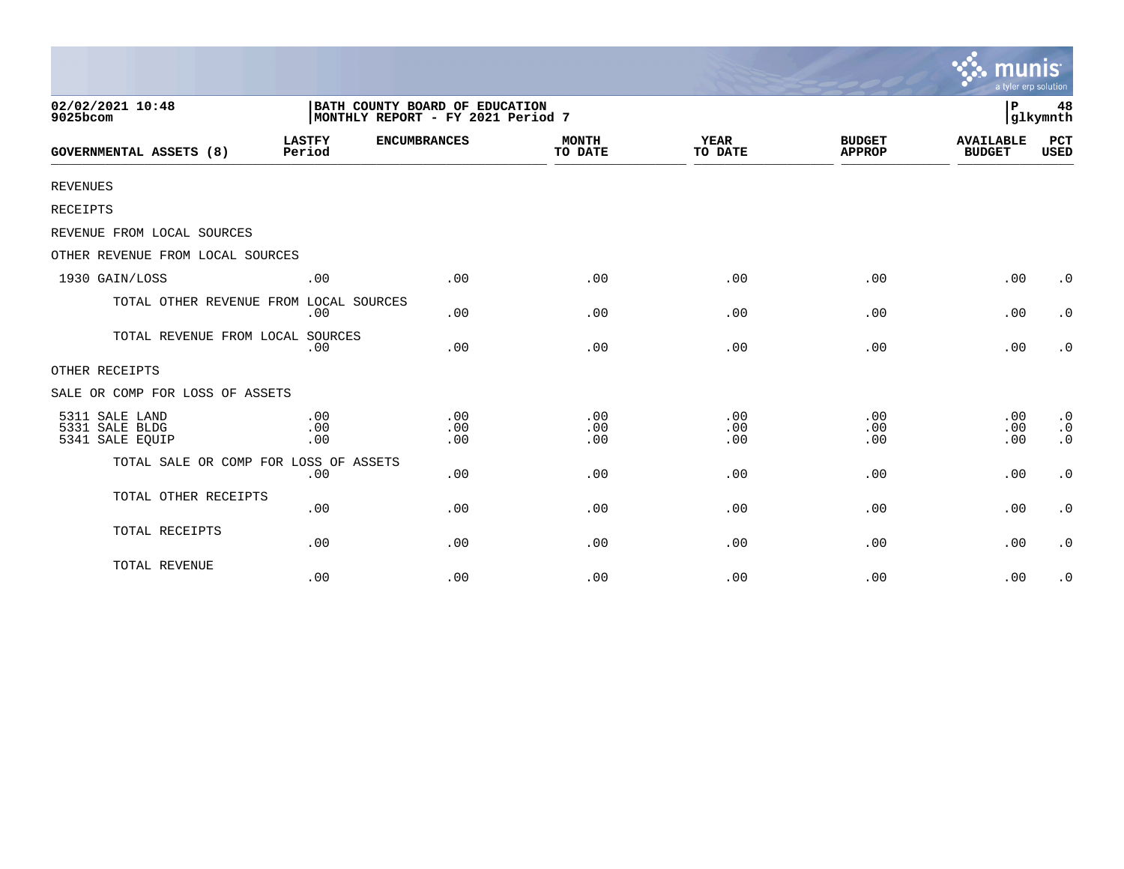|                                                     |                                                                     |                     |                         |                        |                                | <b>munis</b><br>a tyler erp solution |                                     |
|-----------------------------------------------------|---------------------------------------------------------------------|---------------------|-------------------------|------------------------|--------------------------------|--------------------------------------|-------------------------------------|
| 02/02/2021 10:48<br>9025bcom                        | BATH COUNTY BOARD OF EDUCATION<br>MONTHLY REPORT - FY 2021 Period 7 |                     |                         |                        |                                | $\, {\bf P}$                         | 48<br>glkymnth                      |
| GOVERNMENTAL ASSETS (8)                             | <b>LASTFY</b><br>Period                                             | <b>ENCUMBRANCES</b> | <b>MONTH</b><br>TO DATE | <b>YEAR</b><br>TO DATE | <b>BUDGET</b><br><b>APPROP</b> | <b>AVAILABLE</b><br><b>BUDGET</b>    | <b>PCT</b><br>USED                  |
| <b>REVENUES</b>                                     |                                                                     |                     |                         |                        |                                |                                      |                                     |
| RECEIPTS                                            |                                                                     |                     |                         |                        |                                |                                      |                                     |
| REVENUE FROM LOCAL SOURCES                          |                                                                     |                     |                         |                        |                                |                                      |                                     |
| OTHER REVENUE FROM LOCAL SOURCES                    |                                                                     |                     |                         |                        |                                |                                      |                                     |
| 1930 GAIN/LOSS                                      | .00                                                                 | .00                 | .00                     | .00                    | .00                            | .00                                  | $\cdot$ 0                           |
| TOTAL OTHER REVENUE FROM LOCAL SOURCES              | .00                                                                 | .00                 | .00                     | .00                    | .00                            | .00                                  | $\cdot$ 0                           |
| TOTAL REVENUE FROM LOCAL SOURCES                    | .00                                                                 | .00                 | .00                     | .00                    | .00                            | .00                                  | $\boldsymbol{\cdot}$ 0              |
| OTHER RECEIPTS                                      |                                                                     |                     |                         |                        |                                |                                      |                                     |
| SALE OR COMP FOR LOSS OF ASSETS                     |                                                                     |                     |                         |                        |                                |                                      |                                     |
| 5311 SALE LAND<br>5331 SALE BLDG<br>5341 SALE EQUIP | .00<br>.00<br>.00                                                   | .00<br>.00<br>.00   | .00<br>.00<br>.00       | .00<br>.00<br>.00      | .00<br>.00<br>.00              | .00<br>.00<br>.00                    | $\cdot$ 0<br>$\cdot$ 0<br>$\cdot$ 0 |
| TOTAL SALE OR COMP FOR LOSS OF ASSETS               | .00                                                                 | .00                 | .00                     | .00                    | .00                            | .00                                  | $\cdot$ 0                           |
| TOTAL OTHER RECEIPTS                                | .00                                                                 | .00                 | .00                     | .00                    | .00                            | .00                                  | $\boldsymbol{\cdot}$ 0              |
| TOTAL RECEIPTS                                      | .00                                                                 | .00                 | .00                     | .00                    | .00                            | .00                                  | $\cdot$ 0                           |
| TOTAL REVENUE                                       | .00                                                                 | .00                 | .00                     | .00                    | .00                            | .00                                  | $\cdot$ 0                           |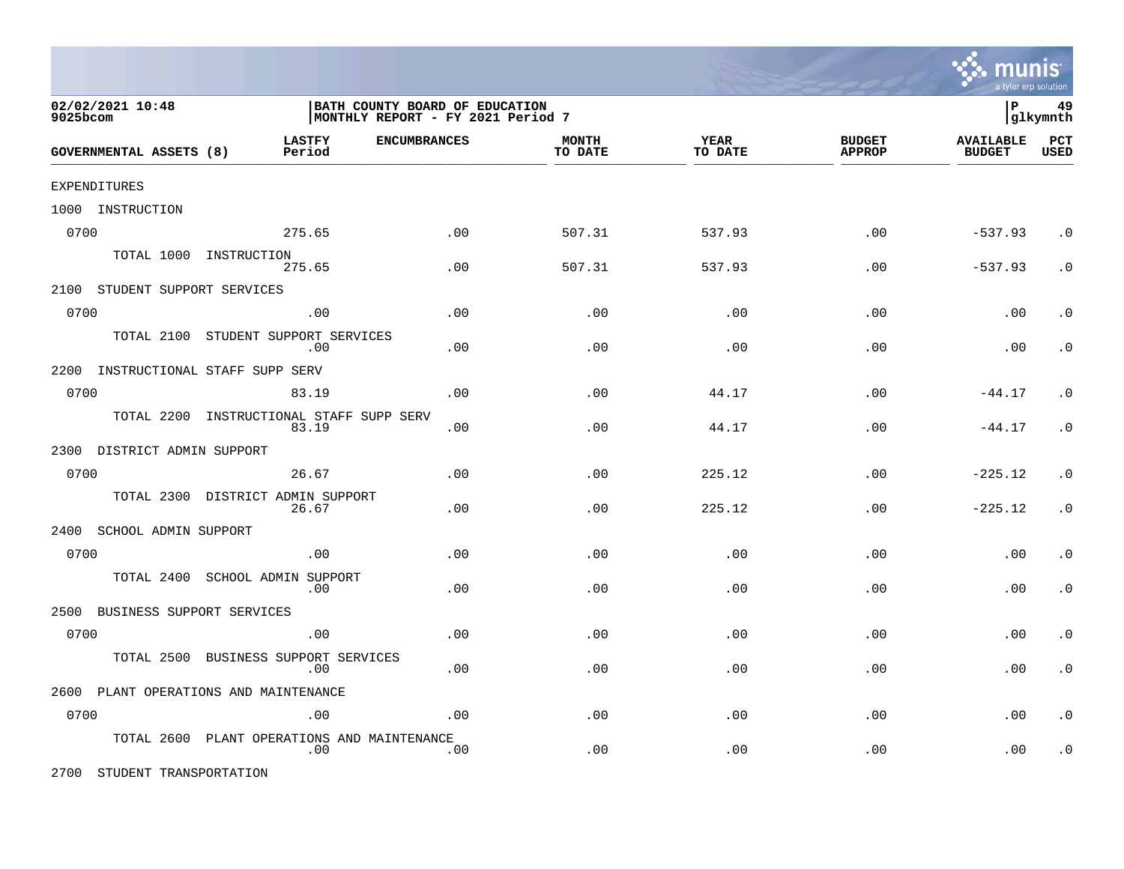

| 02/02/2021 10:48<br>9025bcom       |                                                | BATH COUNTY BOARD OF EDUCATION<br>MONTHLY REPORT - FY 2021 Period 7 |                         |                 |                                |                                   |                    |
|------------------------------------|------------------------------------------------|---------------------------------------------------------------------|-------------------------|-----------------|--------------------------------|-----------------------------------|--------------------|
| GOVERNMENTAL ASSETS (8)            | <b>LASTFY</b><br><b>ENCUMBRANCES</b><br>Period |                                                                     | <b>MONTH</b><br>TO DATE | YEAR<br>TO DATE | <b>BUDGET</b><br><b>APPROP</b> | <b>AVAILABLE</b><br><b>BUDGET</b> | PCT<br><b>USED</b> |
| EXPENDITURES                       |                                                |                                                                     |                         |                 |                                |                                   |                    |
| 1000 INSTRUCTION                   |                                                |                                                                     |                         |                 |                                |                                   |                    |
| 0700                               | 275.65                                         | .00                                                                 | 507.31                  | 537.93          | .00                            | $-537.93$                         | $\cdot$ 0          |
|                                    | TOTAL 1000 INSTRUCTION<br>275.65               | .00                                                                 | 507.31                  | 537.93          | .00                            | $-537.93$                         | $\cdot$ 0          |
| 2100 STUDENT SUPPORT SERVICES      |                                                |                                                                     |                         |                 |                                |                                   |                    |
| 0700                               | .00                                            | .00                                                                 | .00                     | .00             | .00                            | .00                               | . $\boldsymbol{0}$ |
| TOTAL 2100                         | STUDENT SUPPORT SERVICES<br>.00                | .00                                                                 | .00                     | .00             | .00                            | .00                               | $\cdot$ 0          |
| 2200 INSTRUCTIONAL STAFF SUPP SERV |                                                |                                                                     |                         |                 |                                |                                   |                    |
| 0700                               | 83.19                                          | .00                                                                 | .00                     | 44.17           | .00                            | $-44.17$                          | $\cdot$ 0          |
| TOTAL 2200                         | INSTRUCTIONAL STAFF SUPP SERV<br>83.19         | .00                                                                 | .00                     | 44.17           | .00                            | $-44.17$                          | $\cdot$ 0          |
| 2300 DISTRICT ADMIN SUPPORT        |                                                |                                                                     |                         |                 |                                |                                   |                    |
| 0700                               | 26.67                                          | .00                                                                 | .00                     | 225.12          | .00                            | $-225.12$                         | $\cdot$ 0          |
| TOTAL 2300                         | DISTRICT ADMIN SUPPORT<br>26.67                | .00                                                                 | .00                     | 225.12          | .00                            | $-225.12$                         | $\cdot$ 0          |
| 2400<br>SCHOOL ADMIN SUPPORT       |                                                |                                                                     |                         |                 |                                |                                   |                    |
| 0700                               | .00                                            | .00                                                                 | .00                     | .00             | .00                            | .00                               | $\cdot$ 0          |
| TOTAL 2400                         | SCHOOL ADMIN SUPPORT<br>.00                    | .00                                                                 | .00                     | .00             | .00                            | .00                               | $\cdot$ 0          |
| BUSINESS SUPPORT SERVICES<br>2500  |                                                |                                                                     |                         |                 |                                |                                   |                    |
| 0700                               | .00                                            | .00                                                                 | .00                     | .00             | .00                            | .00                               | $\cdot$ 0          |
| TOTAL 2500                         | BUSINESS SUPPORT SERVICES<br>.00               | .00                                                                 | .00                     | .00             | .00                            | .00                               | $\cdot$ 0          |
|                                    | 2600 PLANT OPERATIONS AND MAINTENANCE          |                                                                     |                         |                 |                                |                                   |                    |
| 0700                               | .00                                            | .00                                                                 | .00                     | .00             | .00                            | .00                               | $\cdot$ 0          |
| TOTAL 2600                         | PLANT OPERATIONS AND MAINTENANCE<br>.00        | .00                                                                 | .00                     | .00             | .00                            | .00                               | $\cdot$ 0          |

2700 STUDENT TRANSPORTATION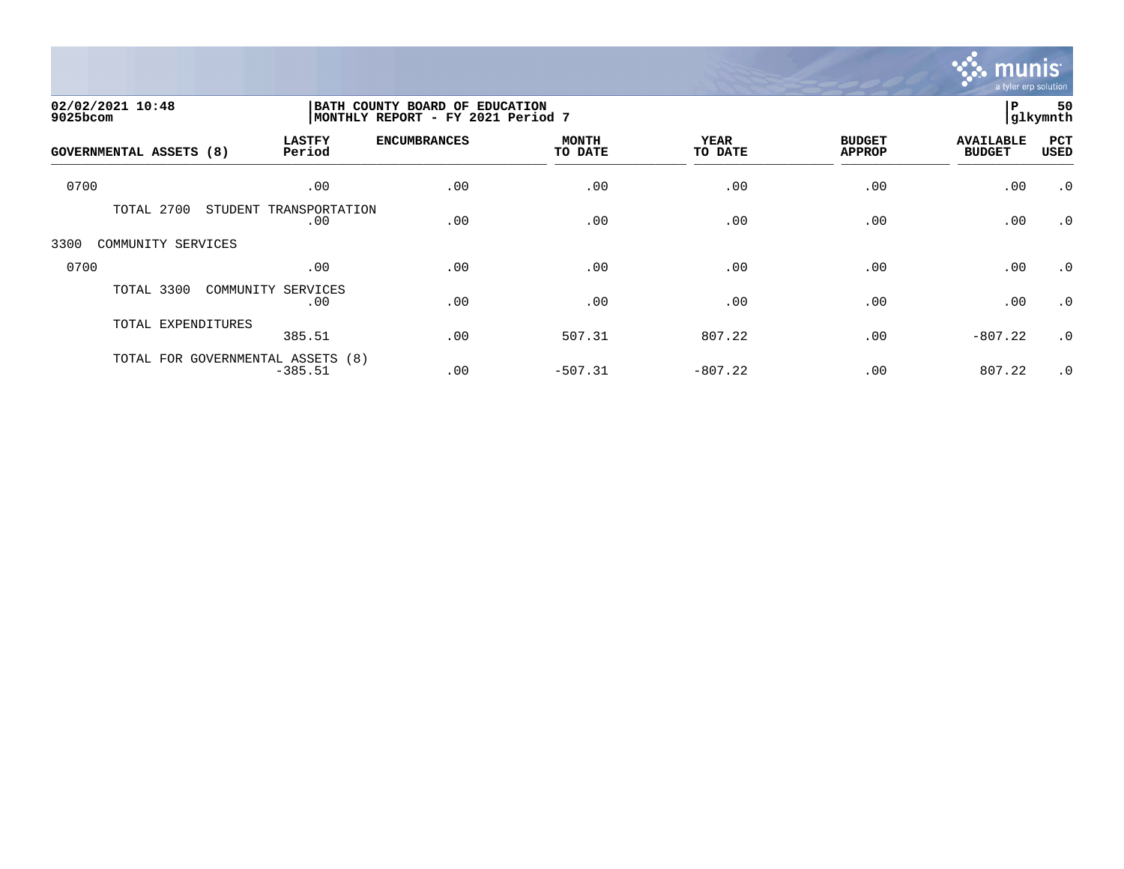

|                                                                                                     |                               |                     |                         |                 |                                | <b>munis</b><br>a tyler erp solution |             |  |
|-----------------------------------------------------------------------------------------------------|-------------------------------|---------------------|-------------------------|-----------------|--------------------------------|--------------------------------------|-------------|--|
| 02/02/2021 10:48<br>BATH COUNTY BOARD OF EDUCATION<br>MONTHLY REPORT - FY 2021 Period 7<br>9025bcom |                               |                     |                         |                 |                                |                                      |             |  |
| <b>GOVERNMENTAL ASSETS (8)</b>                                                                      | <b>LASTFY</b><br>Period       | <b>ENCUMBRANCES</b> | <b>MONTH</b><br>TO DATE | YEAR<br>TO DATE | <b>BUDGET</b><br><b>APPROP</b> | <b>AVAILABLE</b><br><b>BUDGET</b>    | PCT<br>USED |  |
| 0700                                                                                                | .00                           | .00                 | .00                     | .00             | .00                            | .00                                  | $\cdot$ 0   |  |
| TOTAL 2700                                                                                          | STUDENT TRANSPORTATION<br>.00 | .00                 | .00                     | .00             | .00                            | .00                                  | $\cdot$ 0   |  |
| 3300<br>COMMUNITY SERVICES                                                                          |                               |                     |                         |                 |                                |                                      |             |  |
| 0700                                                                                                | .00                           | .00                 | .00                     | .00             | .00                            | .00                                  | $\cdot$ 0   |  |
| TOTAL 3300                                                                                          | COMMUNITY<br>SERVICES<br>.00  | .00                 | .00                     | .00             | .00                            | .00                                  | $\cdot$ 0   |  |
| TOTAL EXPENDITURES                                                                                  | 385.51                        | .00                 | 507.31                  | 807.22          | .00                            | $-807.22$                            | $\cdot$ 0   |  |
| TOTAL FOR GOVERNMENTAL ASSETS (8)                                                                   | $-385.51$                     | .00                 | $-507.31$               | $-807.22$       | .00                            | 807.22                               | $\cdot$ 0   |  |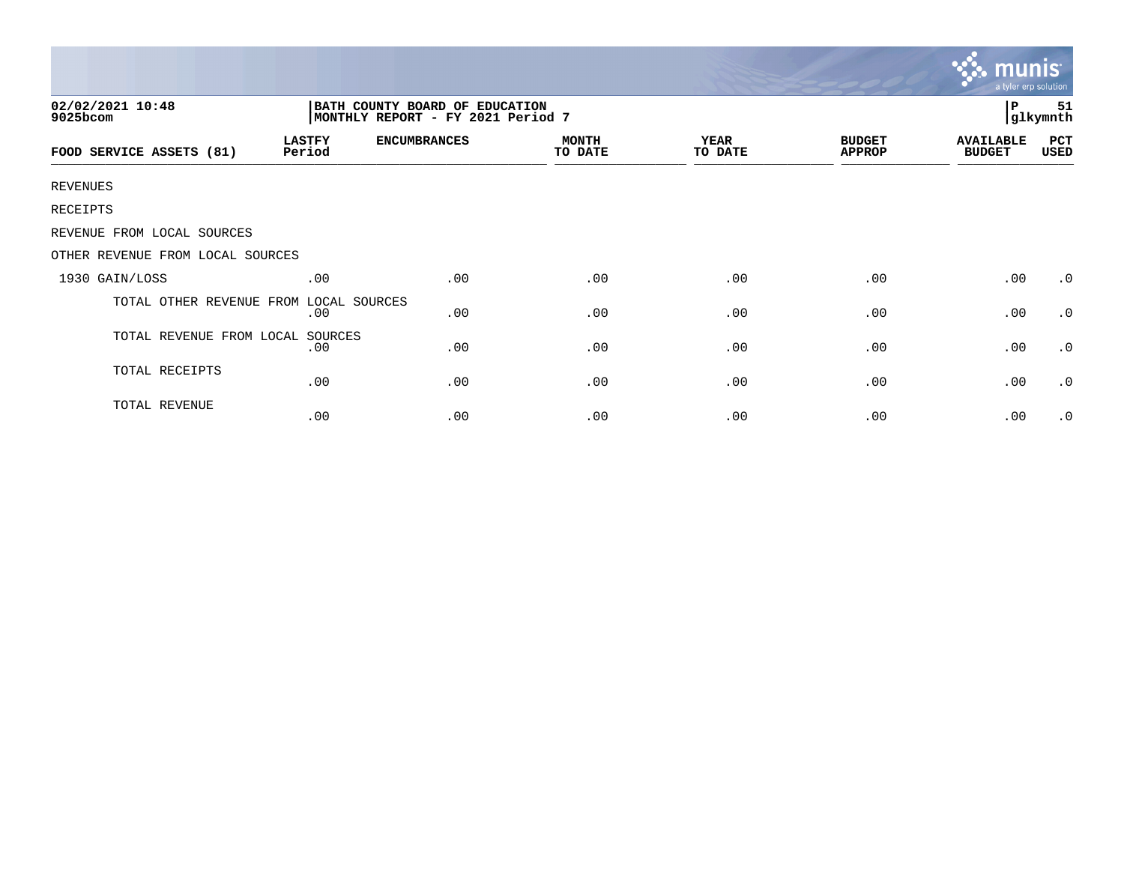|                                  |                         |                                                                     |                         |                        |                                | munis<br>a tyler erp solution     |                |
|----------------------------------|-------------------------|---------------------------------------------------------------------|-------------------------|------------------------|--------------------------------|-----------------------------------|----------------|
| 02/02/2021 10:48<br>9025bcom     |                         | BATH COUNTY BOARD OF EDUCATION<br>MONTHLY REPORT - FY 2021 Period 7 |                         |                        |                                | $\, {\bf P}$                      | 51<br>glkymnth |
| FOOD SERVICE ASSETS (81)         | <b>LASTFY</b><br>Period | <b>ENCUMBRANCES</b>                                                 | <b>MONTH</b><br>TO DATE | <b>YEAR</b><br>TO DATE | <b>BUDGET</b><br><b>APPROP</b> | <b>AVAILABLE</b><br><b>BUDGET</b> | PCT<br>USED    |
| REVENUES                         |                         |                                                                     |                         |                        |                                |                                   |                |
| RECEIPTS                         |                         |                                                                     |                         |                        |                                |                                   |                |
| REVENUE FROM LOCAL SOURCES       |                         |                                                                     |                         |                        |                                |                                   |                |
| OTHER REVENUE FROM LOCAL SOURCES |                         |                                                                     |                         |                        |                                |                                   |                |
| 1930 GAIN/LOSS                   | .00                     | .00                                                                 | .00                     | .00                    | .00                            | .00                               | $\cdot$ 0      |
| TOTAL OTHER REVENUE FROM         | LOCAL SOURCES<br>.00    | .00                                                                 | .00                     | .00                    | .00                            | .00                               | $\cdot$ 0      |
| TOTAL REVENUE FROM LOCAL SOURCES | .00                     | .00                                                                 | .00                     | .00                    | .00                            | .00                               | $\cdot$ 0      |
| TOTAL RECEIPTS                   | .00                     | .00                                                                 | .00                     | .00                    | .00                            | .00                               | $\cdot$ 0      |
| TOTAL REVENUE                    | .00                     | .00                                                                 | .00                     | .00                    | .00                            | .00                               | $\cdot$ 0      |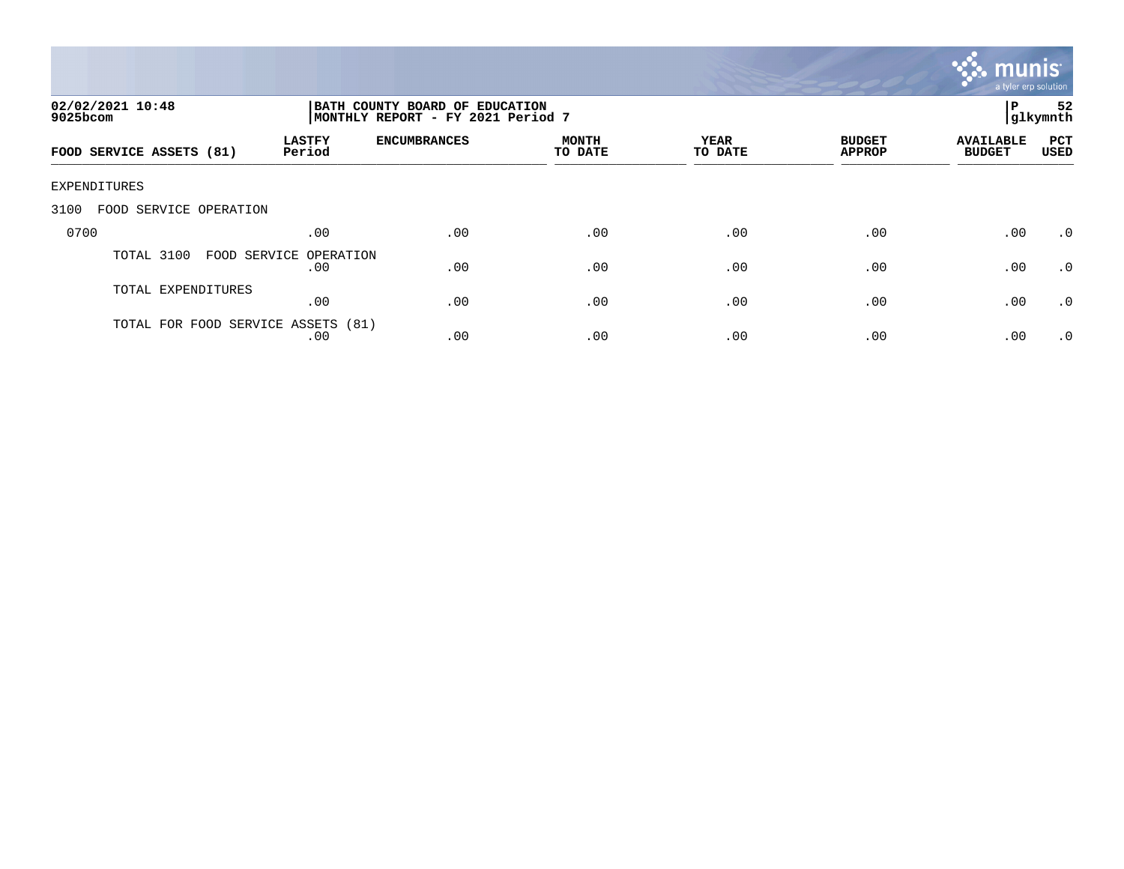

| 02/02/2021 10:48<br>$9025$ bcom    |                               | BATH COUNTY BOARD OF EDUCATION<br>MONTHLY REPORT - FY 2021 Period 7 |                         |                 |                                |                                   |                    |
|------------------------------------|-------------------------------|---------------------------------------------------------------------|-------------------------|-----------------|--------------------------------|-----------------------------------|--------------------|
| FOOD SERVICE ASSETS (81)           | <b>LASTFY</b><br>Period       | <b>ENCUMBRANCES</b>                                                 | <b>MONTH</b><br>TO DATE | YEAR<br>TO DATE | <b>BUDGET</b><br><b>APPROP</b> | <b>AVAILABLE</b><br><b>BUDGET</b> | PCT<br><b>USED</b> |
| EXPENDITURES                       |                               |                                                                     |                         |                 |                                |                                   |                    |
| 3100<br>FOOD SERVICE OPERATION     |                               |                                                                     |                         |                 |                                |                                   |                    |
| 0700                               | .00                           | .00                                                                 | .00                     | .00             | .00                            | .00                               | .0                 |
| TOTAL 3100                         | FOOD SERVICE OPERATION<br>.00 | .00                                                                 | .00                     | .00             | .00                            | .00                               | .0                 |
| TOTAL EXPENDITURES                 | .00                           | .00                                                                 | .00                     | .00             | .00                            | .00                               | .0                 |
| TOTAL FOR FOOD SERVICE ASSETS (81) | .00                           | .00                                                                 | .00                     | .00             | .00                            | .00                               | .0                 |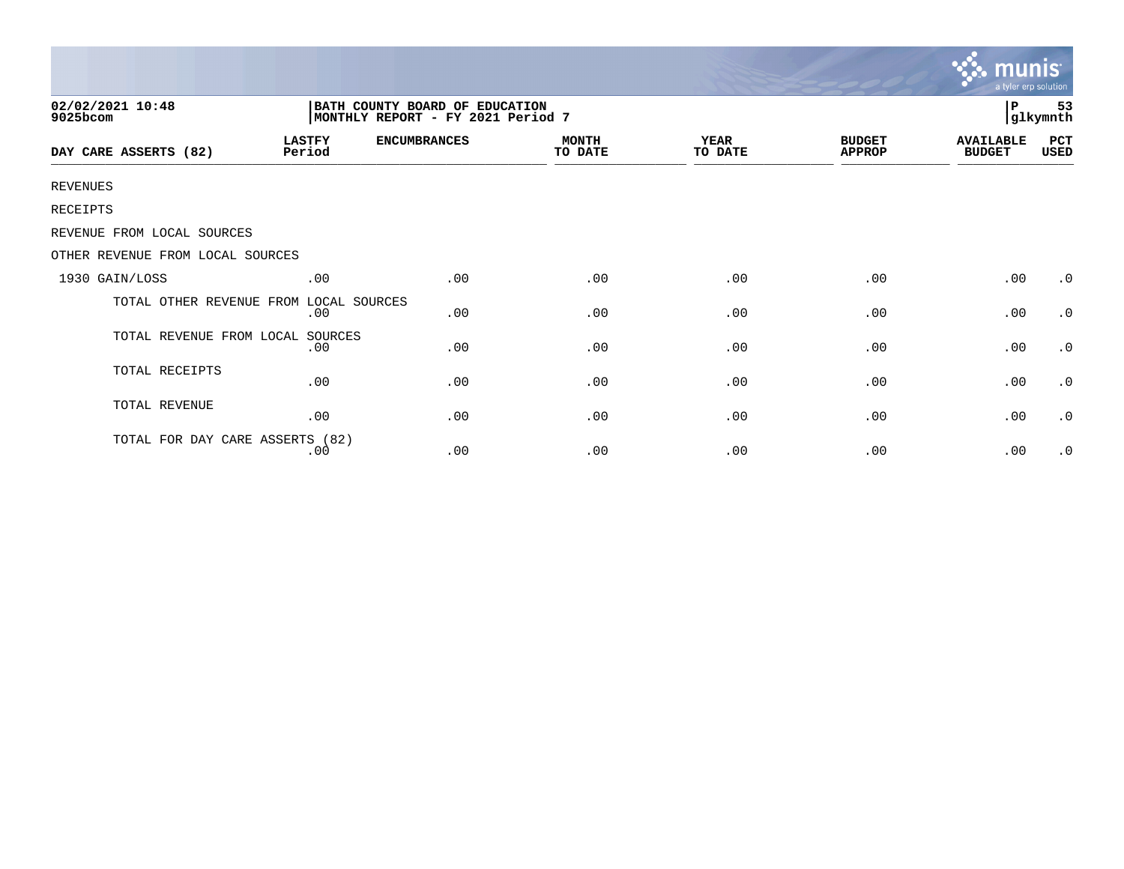|                                  |                                                                      |                     |                         |                 |                                | munis<br>a tyler erp solution     |                     |  |
|----------------------------------|----------------------------------------------------------------------|---------------------|-------------------------|-----------------|--------------------------------|-----------------------------------|---------------------|--|
| 02/02/2021 10:48<br>9025bcom     | BATH COUNTY BOARD OF EDUCATION<br> MONTHLY REPORT - FY 2021 Period 7 |                     |                         |                 |                                |                                   | 53<br>Р<br>glkymnth |  |
| DAY CARE ASSERTS (82)            | <b>LASTFY</b><br>Period                                              | <b>ENCUMBRANCES</b> | <b>MONTH</b><br>TO DATE | YEAR<br>TO DATE | <b>BUDGET</b><br><b>APPROP</b> | <b>AVAILABLE</b><br><b>BUDGET</b> | PCT<br>USED         |  |
| <b>REVENUES</b>                  |                                                                      |                     |                         |                 |                                |                                   |                     |  |
| RECEIPTS                         |                                                                      |                     |                         |                 |                                |                                   |                     |  |
| REVENUE FROM LOCAL SOURCES       |                                                                      |                     |                         |                 |                                |                                   |                     |  |
| OTHER REVENUE FROM LOCAL SOURCES |                                                                      |                     |                         |                 |                                |                                   |                     |  |
| 1930 GAIN/LOSS                   | .00                                                                  | .00                 | .00                     | .00             | .00                            | .00                               | $\cdot$ 0           |  |
| TOTAL OTHER REVENUE FROM         | LOCAL SOURCES<br>.00                                                 | .00                 | .00                     | .00             | .00                            | .00                               | $\cdot$ 0           |  |
| TOTAL REVENUE FROM LOCAL         | SOURCES<br>.00                                                       | .00                 | .00                     | .00             | .00                            | .00                               | $\cdot$ 0           |  |
| TOTAL RECEIPTS                   | .00                                                                  | .00                 | .00                     | .00             | .00                            | .00                               | $\cdot$ 0           |  |
| TOTAL REVENUE                    | .00                                                                  | .00                 | .00                     | .00             | .00                            | .00                               | $\cdot$ 0           |  |
| TOTAL FOR DAY CARE ASSERTS (82)  | .00                                                                  | .00                 | .00                     | .00             | .00                            | .00                               | $\cdot$ 0           |  |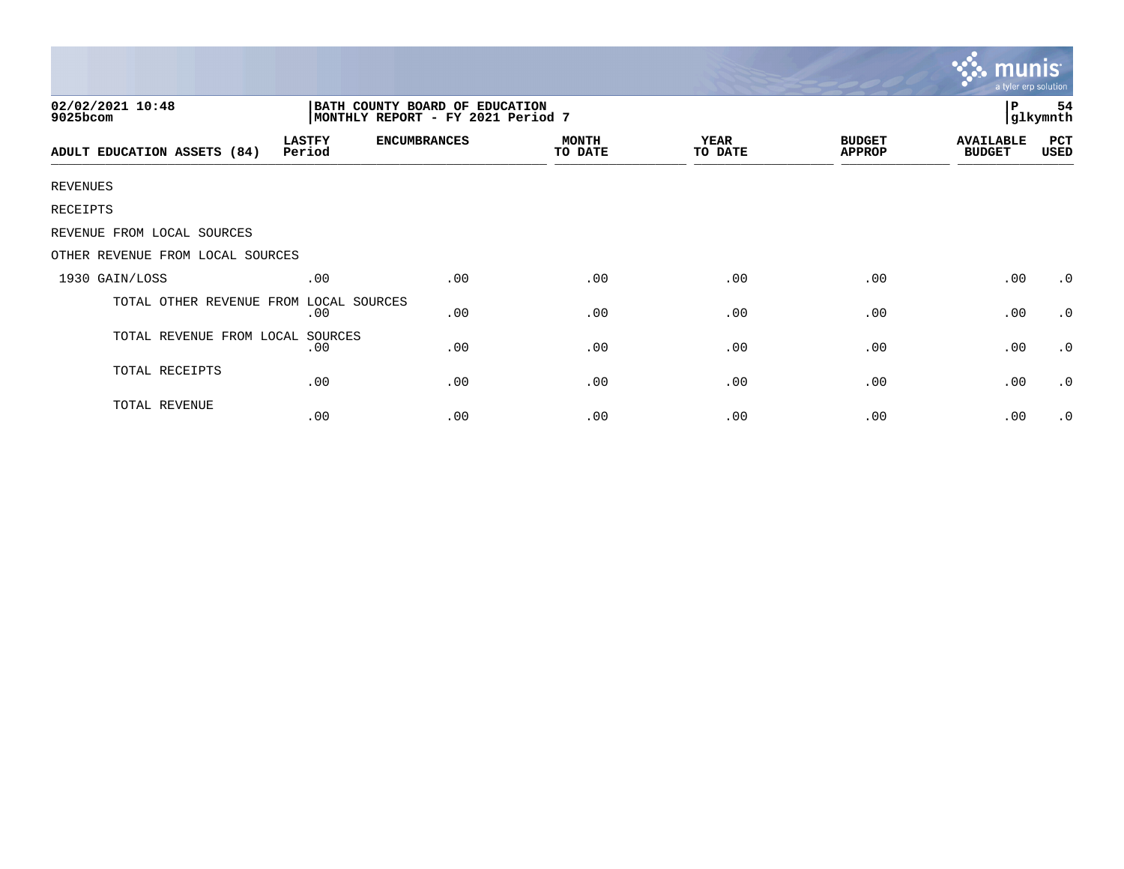| 02/02/2021 10:48<br>9025bcom     |                         |                     | l P<br>54<br>glkymnth   |                        |                                |                                   |             |  |
|----------------------------------|-------------------------|---------------------|-------------------------|------------------------|--------------------------------|-----------------------------------|-------------|--|
| ADULT EDUCATION ASSETS (84)      | <b>LASTFY</b><br>Period | <b>ENCUMBRANCES</b> | <b>MONTH</b><br>TO DATE | <b>YEAR</b><br>TO DATE | <b>BUDGET</b><br><b>APPROP</b> | <b>AVAILABLE</b><br><b>BUDGET</b> | PCT<br>USED |  |
| <b>REVENUES</b>                  |                         |                     |                         |                        |                                |                                   |             |  |
| RECEIPTS                         |                         |                     |                         |                        |                                |                                   |             |  |
| REVENUE FROM LOCAL SOURCES       |                         |                     |                         |                        |                                |                                   |             |  |
| OTHER REVENUE FROM LOCAL SOURCES |                         |                     |                         |                        |                                |                                   |             |  |
| 1930 GAIN/LOSS                   | .00                     | .00                 | .00                     | .00                    | .00                            | .00                               | $\cdot$ 0   |  |
| TOTAL OTHER REVENUE FROM         | LOCAL SOURCES<br>.00    | .00                 | .00                     | .00                    | .00                            | .00                               | $\cdot$ 0   |  |
| TOTAL REVENUE FROM LOCAL SOURCES | .00                     | .00                 | .00                     | .00                    | .00                            | .00                               | $\cdot$ 0   |  |
| TOTAL RECEIPTS                   | .00                     | .00                 | .00                     | .00                    | .00                            | .00                               | $\cdot$ 0   |  |
| TOTAL REVENUE                    | .00                     | .00                 | .00                     | .00                    | .00                            | .00                               | $\cdot$ 0   |  |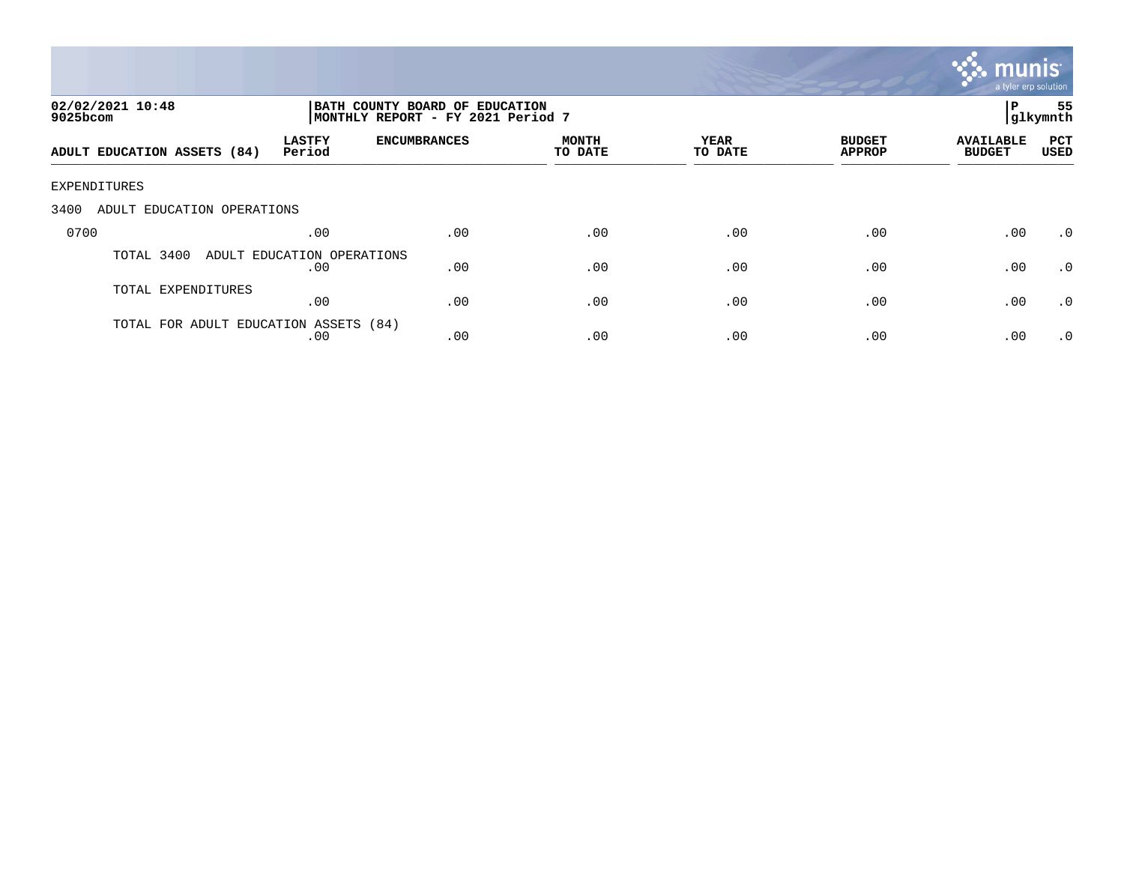

| 02/02/2021 10:48<br>9025bcom          |                                   | BATH COUNTY BOARD OF EDUCATION<br> glkymnth<br> MONTHLY REPORT - FY 2021 Period 7 |                         |                        |                                |                                   |                    |
|---------------------------------------|-----------------------------------|-----------------------------------------------------------------------------------|-------------------------|------------------------|--------------------------------|-----------------------------------|--------------------|
| ADULT EDUCATION ASSETS (84)           | <b>LASTFY</b><br>Period           | <b>ENCUMBRANCES</b>                                                               | <b>MONTH</b><br>TO DATE | <b>YEAR</b><br>TO DATE | <b>BUDGET</b><br><b>APPROP</b> | <b>AVAILABLE</b><br><b>BUDGET</b> | PCT<br><b>USED</b> |
| EXPENDITURES                          |                                   |                                                                                   |                         |                        |                                |                                   |                    |
| 3400<br>ADULT EDUCATION OPERATIONS    |                                   |                                                                                   |                         |                        |                                |                                   |                    |
| 0700                                  | .00                               | .00                                                                               | .00                     | .00                    | .00                            | .00                               | $\cdot$ 0          |
| TOTAL 3400                            | ADULT EDUCATION OPERATIONS<br>.00 | .00                                                                               | .00                     | .00                    | .00                            | .00                               | $\cdot$ 0          |
| TOTAL EXPENDITURES                    | .00                               | .00                                                                               | .00                     | .00                    | .00                            | .00                               | $\cdot$ 0          |
| TOTAL FOR ADULT EDUCATION ASSETS (84) | .00                               | .00                                                                               | .00                     | .00                    | .00                            | .00                               | $.0 \cdot$         |